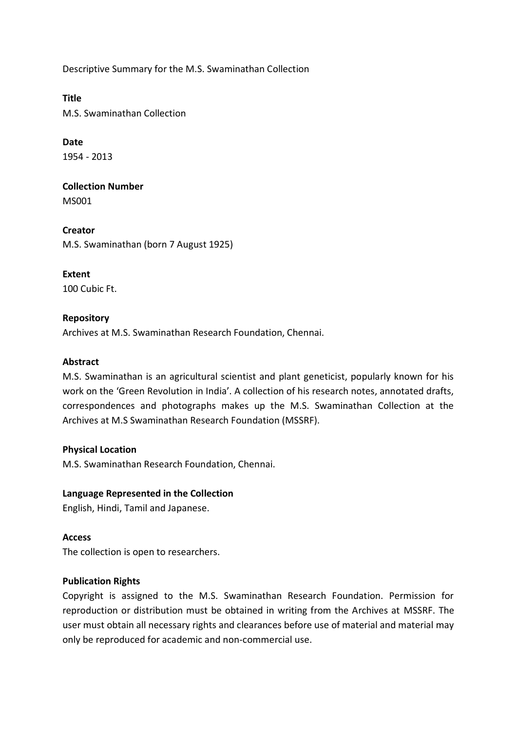Descriptive Summary for the M.S. Swaminathan Collection

**Title** M.S. Swaminathan Collection

**Date** 1954 - 2013

**Collection Number** MS001

**Creator** M.S. Swaminathan (born 7 August 1925)

**Extent** 100 Cubic Ft.

# **Repository**

Archives at M.S. Swaminathan Research Foundation, Chennai.

# **Abstract**

M.S. Swaminathan is an agricultural scientist and plant geneticist, popularly known for his work on the 'Green Revolution in India'. A collection of his research notes, annotated drafts, correspondences and photographs makes up the M.S. Swaminathan Collection at the Archives at M.S Swaminathan Research Foundation (MSSRF).

#### **Physical Location**

M.S. Swaminathan Research Foundation, Chennai.

# **Language Represented in the Collection**

English, Hindi, Tamil and Japanese.

# **Access**

The collection is open to researchers.

#### **Publication Rights**

Copyright is assigned to the M.S. Swaminathan Research Foundation. Permission for reproduction or distribution must be obtained in writing from the Archives at MSSRF. The user must obtain all necessary rights and clearances before use of material and material may only be reproduced for academic and non-commercial use.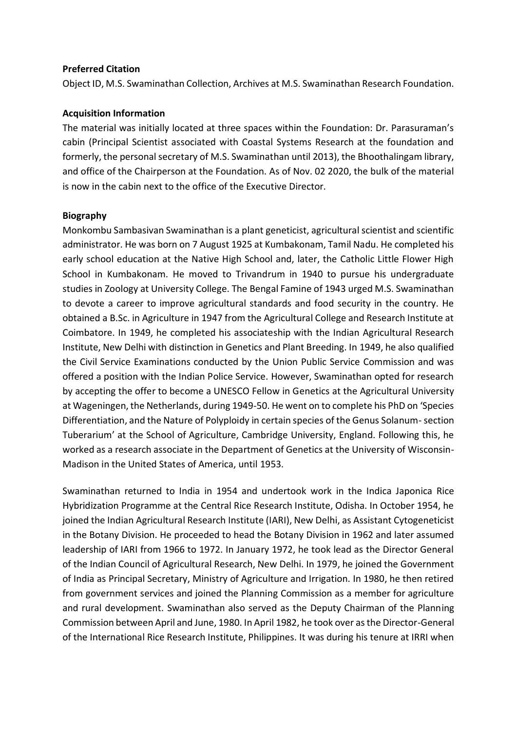#### **Preferred Citation**

Object ID, M.S. Swaminathan Collection, Archives at M.S. Swaminathan Research Foundation.

### **Acquisition Information**

The material was initially located at three spaces within the Foundation: Dr. Parasuraman's cabin (Principal Scientist associated with Coastal Systems Research at the foundation and formerly, the personal secretary of M.S. Swaminathan until 2013), the Bhoothalingam library, and office of the Chairperson at the Foundation. As of Nov. 02 2020, the bulk of the material is now in the cabin next to the office of the Executive Director.

### **Biography**

Monkombu Sambasivan Swaminathan is a plant geneticist, agricultural scientist and scientific administrator. He was born on 7 August 1925 at Kumbakonam, Tamil Nadu. He completed his early school education at the Native High School and, later, the Catholic Little Flower High School in Kumbakonam. He moved to Trivandrum in 1940 to pursue his undergraduate studies in Zoology at University College. The Bengal Famine of 1943 urged M.S. Swaminathan to devote a career to improve agricultural standards and food security in the country. He obtained a B.Sc. in Agriculture in 1947 from the Agricultural College and Research Institute at Coimbatore. In 1949, he completed his associateship with the Indian Agricultural Research Institute, New Delhi with distinction in Genetics and Plant Breeding. In 1949, he also qualified the Civil Service Examinations conducted by the Union Public Service Commission and was offered a position with the Indian Police Service. However, Swaminathan opted for research by accepting the offer to become a UNESCO Fellow in Genetics at the Agricultural University at Wageningen, the Netherlands, during 1949-50. He went on to complete his PhD on 'Species Differentiation, and the Nature of Polyploidy in certain species of the Genus Solanum-section Tuberarium' at the School of Agriculture, Cambridge University, England. Following this, he worked as a research associate in the Department of Genetics at the University of Wisconsin-Madison in the United States of America, until 1953.

Swaminathan returned to India in 1954 and undertook work in the Indica Japonica Rice Hybridization Programme at the Central Rice Research Institute, Odisha. In October 1954, he joined the Indian Agricultural Research Institute (IARI), New Delhi, as Assistant Cytogeneticist in the Botany Division. He proceeded to head the Botany Division in 1962 and later assumed leadership of IARI from 1966 to 1972. In January 1972, he took lead as the Director General of the Indian Council of Agricultural Research, New Delhi. In 1979, he joined the Government of India as Principal Secretary, Ministry of Agriculture and Irrigation. In 1980, he then retired from government services and joined the Planning Commission as a member for agriculture and rural development. Swaminathan also served as the Deputy Chairman of the Planning Commission between April and June, 1980. In April 1982, he took over as the Director-General of the International Rice Research Institute, Philippines. It was during his tenure at IRRI when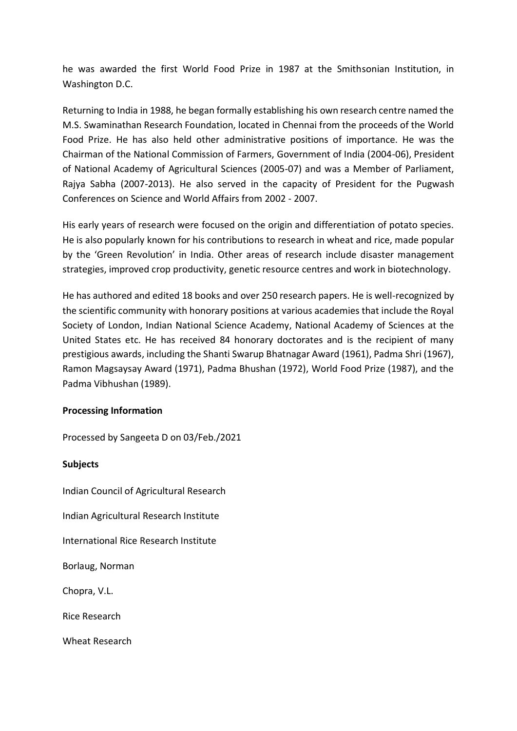he was awarded the first World Food Prize in 1987 at the Smithsonian Institution, in Washington D.C.

Returning to India in 1988, he began formally establishing his own research centre named the M.S. Swaminathan Research Foundation, located in Chennai from the proceeds of the World Food Prize. He has also held other administrative positions of importance. He was the Chairman of the National Commission of Farmers, Government of India (2004-06), President of National Academy of Agricultural Sciences (2005-07) and was a Member of Parliament, Rajya Sabha (2007-2013). He also served in the capacity of President for the Pugwash Conferences on Science and World Affairs from 2002 - 2007.

His early years of research were focused on the origin and differentiation of potato species. He is also popularly known for his contributions to research in wheat and rice, made popular by the 'Green Revolution' in India. Other areas of research include disaster management strategies, improved crop productivity, genetic resource centres and work in biotechnology.

He has authored and edited 18 books and over 250 research papers. He is well-recognized by the scientific community with honorary positions at various academies that include the Royal Society of London, Indian National Science Academy, National Academy of Sciences at the United States etc. He has received 84 honorary doctorates and is the recipient of many prestigious awards, including the Shanti Swarup Bhatnagar Award (1961), Padma Shri (1967), Ramon Magsaysay Award (1971), Padma Bhushan (1972), World Food Prize (1987), and the Padma Vibhushan (1989).

#### **Processing Information**

Processed by Sangeeta D on 03/Feb./2021

# **Subjects**

Indian Council of Agricultural Research

Indian Agricultural Research Institute

International Rice Research Institute

Borlaug, Norman

Chopra, V.L.

Rice Research

Wheat Research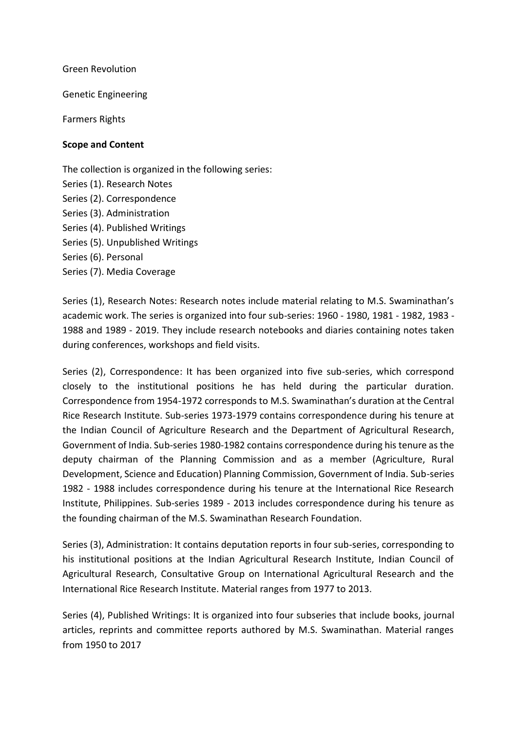Green Revolution

Genetic Engineering

Farmers Rights

#### **Scope and Content**

The collection is organized in the following series: Series (1). Research Notes Series (2). Correspondence Series (3). Administration Series (4). Published Writings Series (5). Unpublished Writings Series (6). Personal Series (7). Media Coverage

Series (1), Research Notes: Research notes include material relating to M.S. Swaminathan's academic work. The series is organized into four sub-series: 1960 - 1980, 1981 - 1982, 1983 - 1988 and 1989 - 2019. They include research notebooks and diaries containing notes taken during conferences, workshops and field visits.

Series (2), Correspondence: It has been organized into five sub-series, which correspond closely to the institutional positions he has held during the particular duration. Correspondence from 1954-1972 corresponds to M.S. Swaminathan's duration at the Central Rice Research Institute. Sub-series 1973-1979 contains correspondence during his tenure at the Indian Council of Agriculture Research and the Department of Agricultural Research, Government of India. Sub-series 1980-1982 contains correspondence during his tenure as the deputy chairman of the Planning Commission and as a member (Agriculture, Rural Development, Science and Education) Planning Commission, Government of India. Sub-series 1982 - 1988 includes correspondence during his tenure at the International Rice Research Institute, Philippines. Sub-series 1989 - 2013 includes correspondence during his tenure as the founding chairman of the M.S. Swaminathan Research Foundation.

Series (3), Administration: It contains deputation reports in four sub-series, corresponding to his institutional positions at the Indian Agricultural Research Institute, Indian Council of Agricultural Research, Consultative Group on International Agricultural Research and the International Rice Research Institute. Material ranges from 1977 to 2013.

Series (4), Published Writings: It is organized into four subseries that include books, journal articles, reprints and committee reports authored by M.S. Swaminathan. Material ranges from 1950 to 2017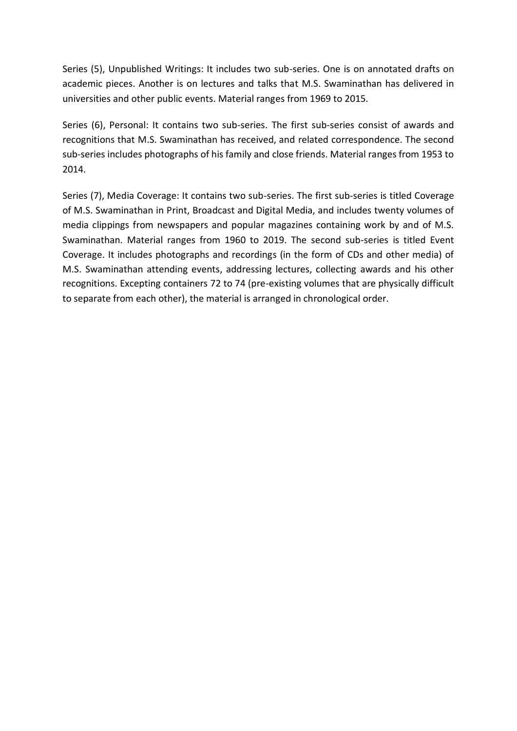Series (5), Unpublished Writings: It includes two sub-series. One is on annotated drafts on academic pieces. Another is on lectures and talks that M.S. Swaminathan has delivered in universities and other public events. Material ranges from 1969 to 2015.

Series (6), Personal: It contains two sub-series. The first sub-series consist of awards and recognitions that M.S. Swaminathan has received, and related correspondence. The second sub-series includes photographs of his family and close friends. Material ranges from 1953 to 2014.

Series (7), Media Coverage: It contains two sub-series. The first sub-series is titled Coverage of M.S. Swaminathan in Print, Broadcast and Digital Media, and includes twenty volumes of media clippings from newspapers and popular magazines containing work by and of M.S. Swaminathan. Material ranges from 1960 to 2019. The second sub-series is titled Event Coverage. It includes photographs and recordings (in the form of CDs and other media) of M.S. Swaminathan attending events, addressing lectures, collecting awards and his other recognitions. Excepting containers 72 to 74 (pre-existing volumes that are physically difficult to separate from each other), the material is arranged in chronological order.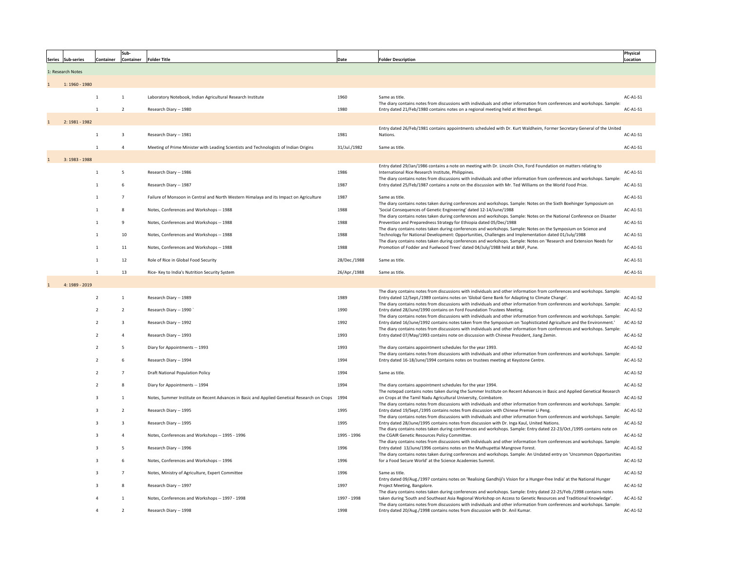| Series Sub-series | <b>Container</b> | Sub-<br><b>Container</b> | <b>Folder Title</b>                                                                              | Date         | <b>Folder Description</b>                                                                                                                                                                                                                                                                                                                                                   | Physical<br>Location |
|-------------------|------------------|--------------------------|--------------------------------------------------------------------------------------------------|--------------|-----------------------------------------------------------------------------------------------------------------------------------------------------------------------------------------------------------------------------------------------------------------------------------------------------------------------------------------------------------------------------|----------------------|
| 1: Research Notes |                  |                          |                                                                                                  |              |                                                                                                                                                                                                                                                                                                                                                                             |                      |
| 1: 1960 - 1980    |                  |                          |                                                                                                  |              |                                                                                                                                                                                                                                                                                                                                                                             |                      |
|                   |                  |                          | Laboratory Notebook, Indian Agricultural Research Institute                                      | 1960         | Same as title.                                                                                                                                                                                                                                                                                                                                                              | AC-A1-S1             |
|                   |                  | $\overline{2}$           | Research Diary -- 1980                                                                           | 1980         | The diary contains notes from discussions with individuals and other information from conferences and workshops. Sample:<br>Entry dated 21/Feb/1980 contains notes on a regional meeting held at West Bengal.                                                                                                                                                               | AC-A1-S1             |
| 2: 1981 - 1982    |                  |                          |                                                                                                  |              |                                                                                                                                                                                                                                                                                                                                                                             |                      |
|                   |                  | 3                        | Research Diary -- 1981                                                                           | 1981         | Entry dated 26/Feb/1981 contains appointments scheduled with Dr. Kurt Waldheim, Former Secretary General of the United<br>Nations.                                                                                                                                                                                                                                          | AC-A1-S1             |
|                   |                  |                          | Meeting of Prime Minister with Leading Scientists and Technologists of Indian Origins            | 31/Jul./1982 | Same as title.                                                                                                                                                                                                                                                                                                                                                              | AC-A1-S1             |
| $3: 1983 - 1988$  |                  |                          |                                                                                                  |              |                                                                                                                                                                                                                                                                                                                                                                             |                      |
|                   |                  | -5                       | Research Diary -- 1986                                                                           | 1986         | Entry dated 29/Jan/1986 contains a note on meeting with Dr. Lincoln Chin, Ford Foundation on matters relating to<br>International Rice Research Institute, Philippines.<br>The diary contains notes from discussions with individuals and other information from conferences and workshops. Sample:                                                                         | AC-A1-S1             |
|                   |                  | 6                        | Research Diary -- 1987                                                                           | 1987         | Entry dated 25/Feb/1987 contains a note on the discussion with Mr. Ted Williams on the World Food Prize.                                                                                                                                                                                                                                                                    | AC-A1-S1             |
|                   |                  |                          | Failure of Monsoon in Central and North Western Himalaya and its Impact on Agriculture           | 1987         | Same as title.                                                                                                                                                                                                                                                                                                                                                              | AC-A1-S1             |
|                   |                  | 8                        | Notes, Conferences and Workshops -- 1988                                                         | 1988         | The diary contains notes taken during conferences and workshops. Sample: Notes on the Sixth Boehinger Symposium on<br>'Social Consequences of Genetic Engineering' dated 12-14/June/1988<br>The diary contains notes taken during conferences and workshops. Sample: Notes on the National Conference on Disaster                                                           | AC-A1-S1             |
|                   |                  |                          | Notes, Conferences and Workshops -- 1988                                                         | 1988         | Prevention and Preparedness Strategy for Ethiopia dated 05/Dec/1988                                                                                                                                                                                                                                                                                                         | AC-A1-S1             |
|                   |                  | 10                       | Notes, Conferences and Workshops -- 1988                                                         | 1988         | The diary contains notes taken during conferences and workshops. Sample: Notes on the Symposium on Science and<br>Technology for National Development: Opportunities, Challenges and Implementation dated 01/July/1988<br>The diary contains notes taken during conferences and workshops. Sample: Notes on 'Research and Extension Needs for                               | AC-A1-S1             |
|                   | $\mathbf 1$      | 11                       | Notes, Conferences and Workshops -- 1988                                                         | 1988         | Promotion of Fodder and Fuelwood Trees' dated 04/July/1988 held at BAIF, Pune.                                                                                                                                                                                                                                                                                              | AC-A1-S1             |
|                   |                  | 12                       | Role of Rice in Global Food Security                                                             | 28/Dec./1988 | Same as title.                                                                                                                                                                                                                                                                                                                                                              | AC-A1-S1             |
|                   |                  | 13                       | Rice- Key to India's Nutrition Security System                                                   | 26/Apr./1988 | Same as title.                                                                                                                                                                                                                                                                                                                                                              | AC-A1-S1             |
| 4: 1989 - 2019    |                  |                          |                                                                                                  |              |                                                                                                                                                                                                                                                                                                                                                                             |                      |
|                   | $\overline{2}$   |                          | Research Diary -- 1989                                                                           | 1989         | The diary contains notes from discussions with individuals and other information from conferences and workshops. Sample:<br>Entry dated 12/Sept./1989 contains notes on 'Global Gene Bank for Adapting to Climate Change'.<br>The diary contains notes from discussions with individuals and other information from conferences and workshops. Sample:                      | $AC-A1-S2$           |
|                   | $\overline{2}$   |                          | Research Diary -- 1990                                                                           | 1990         | Entry dated 28/June/1990 contains on Ford Foundation Trustees Meeting.                                                                                                                                                                                                                                                                                                      | $AC-A1-S2$           |
|                   | 2                | 3                        | Research Diary -- 1992                                                                           | 1992         | The diary contains notes from discussions with individuals and other information from conferences and workshops. Sample:<br>Entry dated 16/June/1992 contains notes taken from the Symposium on 'Sophisticated Agriculture and the Environment.<br>The diary contains notes from discussions with individuals and other information from conferences and workshops. Sample: | $AC-A1-S2$           |
|                   |                  |                          | Research Diary -- 1993                                                                           | 1993         | Entry dated 07/May/1993 contains note on discussion with Chinese President, Jiang Zemin.                                                                                                                                                                                                                                                                                    | AC-A1-S2             |
|                   | $\overline{2}$   | 5                        | Diary for Appointments -- 1993                                                                   | 1993         | The diary contains appointment schedules for the year 1993.<br>The diary contains notes from discussions with individuals and other information from conferences and workshops. Sample:                                                                                                                                                                                     | AC-A1-S2             |
|                   | $\overline{2}$   | 6                        | Research Diary -- 1994                                                                           | 1994         | Entry dated 16-18/June/1994 contains notes on trustees meeting at Keystone Centre.                                                                                                                                                                                                                                                                                          | $AC-A1-S2$           |
|                   |                  |                          | <b>Draft National Population Policy</b>                                                          | 1994         | Same as title.                                                                                                                                                                                                                                                                                                                                                              | AC-A1-S2             |
|                   |                  | 8                        | Diary for Appointments -- 1994                                                                   | 1994         | The diary contains appointment schedules for the year 1994.<br>The notepad contains notes taken during the Summer Institute on Recent Advances in Basic and Applied Genetical Research                                                                                                                                                                                      | $AC-A1-S2$           |
|                   | 3                |                          | Notes, Summer Institute on Recent Advances in Basic and Applied Genetical Research on Crops 1994 |              | on Crops at the Tamil Nadu Agricultural University, Coimbatore.                                                                                                                                                                                                                                                                                                             | AC-A1-S2             |
|                   | 3                |                          | Research Diary -- 1995                                                                           | 1995         | The diary contains notes from discussions with individuals and other information from conferences and workshops. Sample:<br>Entry dated 19/Sept./1995 contains notes from discussion with Chinese Premier Li Peng.<br>The diary contains notes from discussions with individuals and other information from conferences and workshops. Sample:                              | $AC-A1-S2$           |
|                   | 3                |                          | Research Diary -- 1995                                                                           | 1995         | Entry dated 28/June/1995 contains notes from discussion with Dr. Inga Kaul, United Nations.<br>The diary contains notes taken during conferences and workshops. Sample: Entry dated 22-23/Oct./1995 contains note on                                                                                                                                                        | $AC-A1-S2$           |
|                   | 3                |                          | Notes, Conferences and Workshops -- 1995 - 1996                                                  | 1995 - 1996  | the CGAIR Genetic Resources Policy Committee.<br>The diary contains notes from discussions with individuals and other information from conferences and workshops. Sample:                                                                                                                                                                                                   | $AC-A1-S2$           |
|                   | 3                |                          | Research Diary -- 1996                                                                           | 1996         | Entry dated 13/June/1996 contains notes on the Muthupettai Mangrove Forest.<br>The diary contains notes taken during conferences and workshops. Sample: An Undated entry on 'Uncommon Opportunities                                                                                                                                                                         | $AC-A1-S2$           |
|                   | 3                | 6                        | Notes, Conferences and Workshops -- 1996                                                         | 1996         | for a Food Secure World' at the Science Academies Summit.                                                                                                                                                                                                                                                                                                                   | AC-A1-S2             |
|                   | 3                |                          | Notes, Ministry of Agriculture, Expert Committee                                                 | 1996         | Same as title.                                                                                                                                                                                                                                                                                                                                                              | AC-A1-S2             |
|                   | 3                | 8                        | Research Diary -- 1997                                                                           | 1997         | Entry dated 09/Aug./1997 contains notes on 'Realising Gandhiji's Vision for a Hunger-free India' at the National Hunger<br>Project Meeting, Bangalore.                                                                                                                                                                                                                      | $AC-A1-S2$           |
|                   |                  |                          | Notes, Conferences and Workshops -- 1997 - 1998                                                  | 1997 - 1998  | The diary contains notes taken during conferences and workshops. Sample: Entry dated 22-25/Feb./1998 contains notes<br>taken during 'South and Southeast Asia Regional Workshop on Access to Genetic Resources and Traditional Knowledge'.<br>The diary contains notes from discussions with individuals and other information from conferences and workshops. Sample:      | AC-A1-S2             |
|                   | 4                |                          | Research Diary -- 1998                                                                           | 1998         | Entry dated 20/Aug./1998 contains notes from discussion with Dr. Anil Kumar.                                                                                                                                                                                                                                                                                                | $AC-A1-S2$           |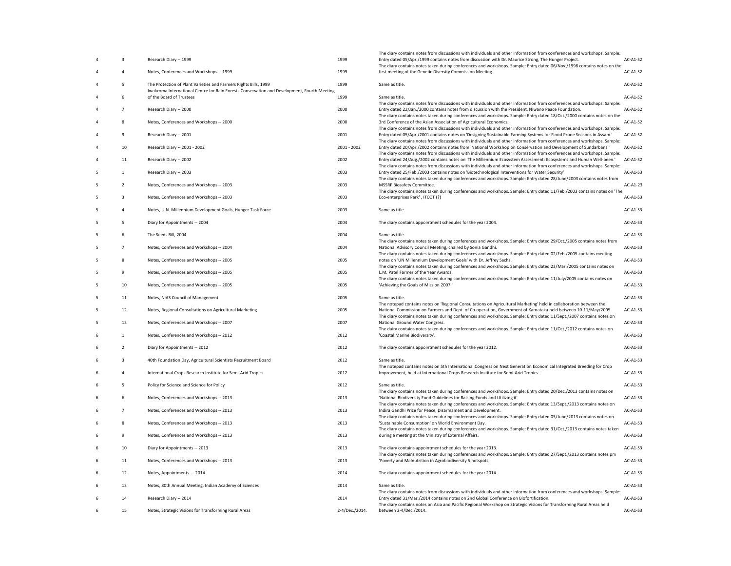| 4 | 3              | Research Diary -- 1999                                                                                                  | 1999           |
|---|----------------|-------------------------------------------------------------------------------------------------------------------------|----------------|
| 4 | 4              | Notes, Conferences and Workshops -- 1999                                                                                | 1999           |
| 4 | 5              | The Protection of Plant Varieties and Farmers Rights Bills, 1999                                                        | 1999           |
| 4 | 6              | Iwokroma International Centre for Rain Forests Conservation and Development, Fourth Meeting<br>of the Board of Trustees | 1999           |
| 4 | 7              | Research Diary -- 2000                                                                                                  | 2000           |
| 4 | 8              | Notes, Conferences and Workshops -- 2000                                                                                | 2000           |
| 4 | 9              | Research Diary -- 2001                                                                                                  | 2001           |
| 4 | 10             | Research Diary -- 2001 - 2002                                                                                           | 2001 - 2002    |
| 4 | 11             | Research Diary -- 2002                                                                                                  | 2002           |
| 5 | $\mathbf{1}$   | Research Diary -- 2003                                                                                                  | 2003           |
| 5 | $\overline{2}$ | Notes, Conferences and Workshops -- 2003                                                                                | 2003           |
| 5 | 3              | Notes, Conferences and Workshops -- 2003                                                                                | 2003           |
| 5 | 4              | Notes, U.N. Millennium Development Goals, Hunger Task Force                                                             | 2003           |
| 5 | 5              | Diary for Appointments -- 2004                                                                                          | 2004           |
| 5 | 6              | The Seeds Bill, 2004                                                                                                    | 2004           |
| 5 | $\overline{7}$ | Notes, Conferences and Workshops -- 2004                                                                                | 2004           |
| 5 | 8              | Notes, Conferences and Workshops -- 2005                                                                                | 2005           |
| 5 | 9              | Notes, Conferences and Workshops -- 2005                                                                                | 2005           |
| 5 | 10             | Notes, Conferences and Workshops -- 2005                                                                                | 2005           |
| 5 | 11             | Notes, NIAS Council of Management                                                                                       | 2005           |
| 5 | 12             | Notes, Regional Consultations on Agricultural Marketing                                                                 | 2005           |
| 5 | 13             | Notes, Conferences and Workshops -- 2007                                                                                | 2007           |
| 6 | $\mathbf{1}$   | Notes, Conferences and Workshops -- 2012                                                                                | 2012           |
| 6 | $\overline{2}$ | Diary for Appointments -- 2012                                                                                          | 2012           |
| 6 | 3              | 40th Foundation Day, Agricultural Scientists Recruitment Board                                                          | 2012           |
| 6 | 4              | International Crops Research Institute for Semi-Arid Tropics                                                            | 2012           |
| 6 | 5              | Policy for Science and Science for Policy                                                                               | 2012           |
| 6 | 6              | Notes, Conferences and Workshops -- 2013                                                                                | 2013           |
| 6 | 7              | Notes, Conferences and Workshops -- 2013                                                                                | 2013           |
| 6 | 8              | Notes, Conferences and Workshops -- 2013                                                                                | 2013           |
| 6 | 9              | Notes, Conferences and Workshops -- 2013                                                                                | 2013           |
| 6 | 10             | Diary for Appointments -- 2013                                                                                          | 2013           |
| 6 | 11             | Notes, Conferences and Workshops -- 2013                                                                                | 2013           |
| 6 | 12             | Notes, Appointments -- 2014                                                                                             | 2014           |
| 6 | 13             | Notes, 80th Annual Meeting, Indian Academy of Sciences                                                                  | 2014           |
| 6 | 14             | Research Diary -- 2014                                                                                                  | 2014           |
| 6 | 15             | Notes, Strategic Visions for Transforming Rural Areas                                                                   | 2-4/Dec./2014. |

| 3              | Research Diary -- 1999                                                                                                  | 1999           | The diary contains notes from discussions with individuals and other information from conferences and workshops. Sample:<br>Entry dated 05/Apr./1999 contains notes from discussion with Dr. Maurice Strong, The Hunger Project.                 | <b>AC-A1-S2</b> |
|----------------|-------------------------------------------------------------------------------------------------------------------------|----------------|--------------------------------------------------------------------------------------------------------------------------------------------------------------------------------------------------------------------------------------------------|-----------------|
|                | Notes, Conferences and Workshops -- 1999                                                                                | 1999           | The diary contains notes taken during conferences and workshops. Sample: Entry dated 06/Nov./1998 contains notes on the<br>first meeting of the Genetic Diversity Commission Meeting.                                                            | <b>AC-A1-S2</b> |
| 5              | The Protection of Plant Varieties and Farmers Rights Bills, 1999                                                        | 1999           | Same as title.                                                                                                                                                                                                                                   | AC-A1-S2        |
| 6              | Iwokroma International Centre for Rain Forests Conservation and Development, Fourth Meeting<br>of the Board of Trustees | 1999           | Same as title.                                                                                                                                                                                                                                   | <b>AC-A1-S2</b> |
|                |                                                                                                                         |                | The diary contains notes from discussions with individuals and other information from conferences and workshops. Sample:                                                                                                                         |                 |
|                | Research Diary -- 2000                                                                                                  | 2000           | Entry dated 22/Jan./2000 contains notes from discussion with the President, Niwano Peace Foundation.<br>The diary contains notes taken during conferences and workshops. Sample: Entry dated 18/Oct./2000 contains notes on the                  | <b>AC-A1-S2</b> |
| 8              | Notes, Conferences and Workshops -- 2000                                                                                | 2000           | 3rd Conference of the Asian Association of Agricultural Economics.<br>The diary contains notes from discussions with individuals and other information from conferences and workshops. Sample:                                                   | AC-A1-S2        |
| 9              | Research Diary -- 2001                                                                                                  | 2001           | Entry dated 05/Apr./2001 contains notes on 'Designing Sustainable Farming Systems for Flood Prone Seasons in Assam.'<br>The diary contains notes from discussions with individuals and other information from conferences and workshops. Sample: | <b>AC-A1-S2</b> |
| 10             | Research Diary -- 2001 - 2002                                                                                           | 2001 - 2002    | Entry dated 20/Apr./2002 contains notes from 'National Workshop on Conservation and Development of Sundarbans.'<br>The diary contains notes from discussions with individuals and other information from conferences and workshops. Sample:      | <b>AC-A1-S2</b> |
| 11             | Research Diary -- 2002                                                                                                  | 2002           | Entry dated 24/Aug./2002 contains notes on 'The Millennium Ecosystem Assessment: Ecosystems and Human Well-been.'                                                                                                                                | <b>AC-A1-S2</b> |
|                | Research Diary -- 2003                                                                                                  | 2003           | The diary contains notes from discussions with individuals and other information from conferences and workshops. Sample:<br>Entry dated 25/Feb./2003 contains notes on 'Biotechnological Interventions for Water Security'                       | AC-A1-S3        |
| $\overline{2}$ | Notes, Conferences and Workshops -- 2003                                                                                | 2003           | The diary contains notes taken during conferences and workshops. Sample: Entry dated 28/June/2003 contains notes from<br><b>MSSRF Biosafety Committee.</b>                                                                                       | AC-A1-23        |
| 3              | Notes, Conferences and Workshops -- 2003                                                                                | 2003           | The diary contains notes taken during conferences and workshops. Sample: Entry dated 11/Feb./2003 contains notes on 'The<br>Eco-enterprises Park', ITCOT (?)                                                                                     | AC-A1-S3        |
|                |                                                                                                                         |                |                                                                                                                                                                                                                                                  |                 |
|                | Notes, U.N. Millennium Development Goals, Hunger Task Force                                                             | 2003           | Same as title.                                                                                                                                                                                                                                   | AC-A1-S3        |
|                | Diary for Appointments -- 2004                                                                                          | 2004           | The diary contains appointment schedules for the year 2004.                                                                                                                                                                                      | AC-A1-S3        |
| 6              | The Seeds Bill, 2004                                                                                                    | 2004           | Same as title.<br>The diary contains notes taken during conferences and workshops. Sample: Entry dated 29/Oct./2005 contains notes from                                                                                                          | AC-A1-S3        |
| $\overline{7}$ | Notes, Conferences and Workshops -- 2004                                                                                | 2004           | National Advisory Council Meeting, chaired by Sonia Gandhi.                                                                                                                                                                                      | AC-A1-S3        |
| 8              | Notes, Conferences and Workshops -- 2005                                                                                | 2005           | The diary contains notes taken during conferences and workshops. Sample: Entry dated 02/Feb./2005 contains meeting<br>notes on 'UN Millennium Development Goals' with Dr. Jeffrey Sachs.                                                         | AC-A1-S3        |
| 9              | Notes, Conferences and Workshops -- 2005                                                                                | 2005           | The diary contains notes taken during conferences and workshops. Sample: Entry dated 23/Mar./2005 contains notes on<br>L.M. Patel Farmer of the Year Awards.                                                                                     | AC-A1-S3        |
| 10             | Notes, Conferences and Workshops -- 2005                                                                                | 2005           | The diary contains notes taken during conferences and workshops. Sample: Entry dated 11/July/2005 contains notes on<br>'Achieving the Goals of Mission 2007.'                                                                                    | AC-A1-S3        |
| 11             | Notes, NIAS Council of Management                                                                                       | 2005           | Same as title.                                                                                                                                                                                                                                   | AC-A1-S3        |
|                |                                                                                                                         |                | The notepad contains notes on 'Regional Consultations on Agricultural Marketing' held in collaboration between the                                                                                                                               |                 |
| 12             | Notes, Regional Consultations on Agricultural Marketing                                                                 | 2005           | National Commission on Farmers and Dept. of Co-operation, Government of Karnataka held between 10-11/May/2005.<br>The diary contains notes taken during conferences and workshops. Sample: Entry dated 11/Sept./2007 contains notes on           | AC-A1-S3        |
| 13             | Notes, Conferences and Workshops -- 2007                                                                                | 2007           | National Ground Water Congress.<br>The dairy contains notes taken during conferences and workshops. Sample: Entry dated 11/Oct./2012 contains notes on                                                                                           | AC-A1-S3        |
| 1              | Notes, Conferences and Workshops -- 2012                                                                                | 2012           | 'Coastal Marine Biodiversity'.                                                                                                                                                                                                                   | AC-A1-S3        |
| $\overline{2}$ | Diary for Appointments -- 2012                                                                                          | 2012           | The diary contains appointment schedules for the year 2012.                                                                                                                                                                                      | AC-A1-S3        |
| 3              | 40th Foundation Day, Agricultural Scientists Recruitment Board                                                          | 2012           | Same as title.                                                                                                                                                                                                                                   | AC-A1-S3        |
|                | International Crops Research Institute for Semi-Arid Tropics                                                            | 2012           | The notepad contains notes on 5th International Congress on Next Generation Economical Integrated Breeding for Crop<br>Improvement, held at International Crops Research Institute for Semi-Arid Tropics.                                        | AC-A1-S3        |
| 5              | Policy for Science and Science for Policy                                                                               | 2012           | Same as title.                                                                                                                                                                                                                                   | AC-A1-S3        |
| 6              | Notes, Conferences and Workshops -- 2013                                                                                | 2013           | The diary contains notes taken during conferences and workshops. Sample: Entry dated 20/Dec./2013 contains notes on<br>'National Biodiversity Fund Guidelines for Raising Funds and Utilizing it'                                                | AC-A1-S3        |
|                | Notes, Conferences and Workshops -- 2013                                                                                | 2013           | The diary contains notes taken during conferences and workshops. Sample: Entry dated 13/Sept./2013 contains notes on<br>Indira Gandhi Prize for Peace, Disarmament and Development.                                                              | AC-A1-S3        |
|                |                                                                                                                         |                | The diary contains notes taken during conferences and workshops. Sample: Entry dated 05/June/2013 contains notes on                                                                                                                              |                 |
| 8              | Notes, Conferences and Workshops -- 2013                                                                                | 2013           | 'Sustainable Consumption' on World Environment Day.<br>The diary contains notes taken during conferences and workshops. Sample: Entry dated 31/Oct./2013 contains notes taken                                                                    | AC-A1-S3        |
| 9              | Notes, Conferences and Workshops -- 2013                                                                                | 2013           | during a meeting at the Ministry of External Affairs.                                                                                                                                                                                            | AC-A1-S3        |
| 10             | Diary for Appointments -- 2013                                                                                          | 2013           | The diary contains appointment schedules for the year 2013.<br>The diary contains notes taken during conferences and workshops. Sample: Entry dated 27/Sept./2013 contains notes pm                                                              | AC-A1-S3        |
| 11             | Notes, Conferences and Workshops -- 2013                                                                                | 2013           | 'Poverty and Malnutrition in Agrobiodiversity 5 hotspots'                                                                                                                                                                                        | AC-A1-S3        |
| 12             | Notes, Appointments -- 2014                                                                                             | 2014           | The diary contains appointment schedules for the year 2014.                                                                                                                                                                                      | AC-A1-S3        |
| 13             | Notes, 80th Annual Meeting, Indian Academy of Sciences                                                                  | 2014           | Same as title.                                                                                                                                                                                                                                   | AC-A1-S3        |
| 14             | Research Diary -- 2014                                                                                                  | 2014           | The diary contains notes from discussions with individuals and other information from conferences and workshops. Sample:<br>Entry dated 31/Mar./2014 contains notes on 2nd Global Conference on Biofortification.                                | AC-A1-S3        |
| 15             | Notes, Strategic Visions for Transforming Rural Areas                                                                   | 2-4/Dec./2014. | The diary contains notes on Asia and Pacific Regional Workshop on Strategic Visions for Transforming Rural Areas held<br>between 2-4/Dec./2014.                                                                                                  | AC-A1-S3        |
|                |                                                                                                                         |                |                                                                                                                                                                                                                                                  |                 |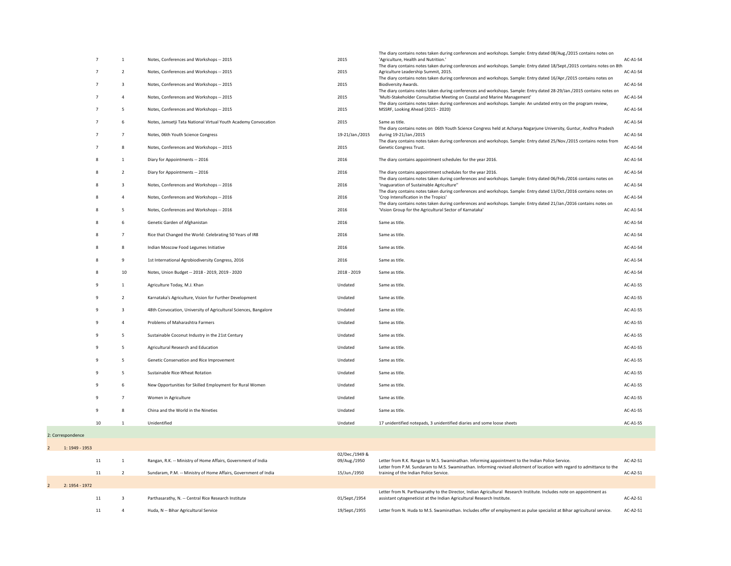|         |    |                |                                                                  |                                | The diary contains notes taken during conferences and workshops. Sample: Entry dated 08/Aug./2015 contains notes on                                                                                                                                                                                                     |            |
|---------|----|----------------|------------------------------------------------------------------|--------------------------------|-------------------------------------------------------------------------------------------------------------------------------------------------------------------------------------------------------------------------------------------------------------------------------------------------------------------------|------------|
|         |    |                | Notes, Conferences and Workshops -- 2015                         | 2015                           | 'Agriculture, Health and Nutrition.'<br>The diary contains notes taken during conferences and workshops. Sample: Entry dated 18/Sept./2015 contains notes on 8th                                                                                                                                                        | AC-A1-S4   |
|         |    | $\overline{2}$ | Notes, Conferences and Workshops -- 2015                         | 2015                           | Agriculture Leadership Summit, 2015.                                                                                                                                                                                                                                                                                    | $AC-A1-S4$ |
|         |    | $\overline{3}$ | Notes, Conferences and Workshops -- 2015                         | 2015                           | The diary contains notes taken during conferences and workshops. Sample: Entry dated 16/Apr./2015 contains notes on<br><b>Biodiversity Awards.</b>                                                                                                                                                                      | AC-A1-S4   |
|         |    | $\overline{4}$ | Notes, Conferences and Workshops -- 2015                         | 2015                           | The diary contains notes taken during conferences and workshops. Sample: Entry dated 28-29/Jan./2015 contains notes on<br>'Multi-Stakeholder Consultative Meeting on Coastal and Marine Management'<br>The diary contains notes taken during conferences and workshops. Sample: An undated entry on the program review, | $AC-A1-S4$ |
|         |    | 5              | Notes, Conferences and Workshops -- 2015                         | 2015                           | MSSRF, Looking Ahead (2015 - 2020)                                                                                                                                                                                                                                                                                      | AC-A1-S4   |
|         |    | 6              | Notes, Jamsetji Tata National Virtual Youth Academy Convocation  | 2015                           | Same as title.                                                                                                                                                                                                                                                                                                          | AC-A1-S4   |
|         |    | 7              | Notes, 06th Youth Science Congress                               | 19-21/Jan./2015                | The diary contains notes on O6th Youth Science Congress held at Acharya Nagarjune University, Guntur, Andhra Pradesh<br>during 19-21/Jan./2015<br>The diary contains notes taken during conferences and workshops. Sample: Entry dated 25/Nov./2015 contains notes from                                                 | $AC-A1-S4$ |
|         |    | 8              | Notes, Conferences and Workshops -- 2015                         | 2015                           | Genetic Congress Trust.                                                                                                                                                                                                                                                                                                 | AC-A1-S4   |
|         |    |                | Diary for Appointments -- 2016                                   | 2016                           | The diary contains appointment schedules for the year 2016.                                                                                                                                                                                                                                                             | AC-A1-S4   |
|         |    | $\overline{2}$ | Diary for Appointments -- 2016                                   | 2016                           | The diary contains appointment schedules for the year 2016.                                                                                                                                                                                                                                                             | $AC-A1-S4$ |
|         |    | 3              | Notes, Conferences and Workshops -- 2016                         | 2016                           | The diary contains notes taken during conferences and workshops. Sample: Entry dated 06/Feb./2016 contains notes on<br>'Inaguaration of Sustainable Agriculture"                                                                                                                                                        | AC-A1-S4   |
|         | 8  | 4              | Notes, Conferences and Workshops -- 2016                         | 2016                           | The diary contains notes taken during conferences and workshops. Sample: Entry dated 13/Oct./2016 contains notes on<br>'Crop Intensification in the Tropics'                                                                                                                                                            | $AC-A1-S4$ |
|         |    | 5              | Notes, Conferences and Workshops -- 2016                         | 2016                           | The diary contains notes taken during conferences and workshops. Sample: Entry dated 21/Jan./2016 contains notes on<br>'Vision Group for the Agricultural Sector of Karnataka'                                                                                                                                          | AC-A1-S4   |
|         |    | 6              | Genetic Garden of Afghanistan                                    | 2016                           | Same as title.                                                                                                                                                                                                                                                                                                          | $AC-A1-S4$ |
|         | 8  | $\overline{7}$ | Rice that Changed the World: Celebrating 50 Years of IR8         | 2016                           | Same as title.                                                                                                                                                                                                                                                                                                          | $AC-A1-S4$ |
|         | 8  | 8              | Indian Moscow Food Legumes Initiative                            | 2016                           | Same as title.                                                                                                                                                                                                                                                                                                          | AC-A1-S4   |
|         | 8  | 9              | 1st International Agrobiodiversity Congress, 2016                | 2016                           | Same as title.                                                                                                                                                                                                                                                                                                          | AC-A1-S4   |
|         | 8  | 10             | Notes, Union Budget -- 2018 - 2019, 2019 - 2020                  | 2018 - 2019                    | Same as title.                                                                                                                                                                                                                                                                                                          | AC-A1-S4   |
|         | 9  | $\mathbf 1$    | Agriculture Today, M.J. Khan                                     | Undated                        | Same as title.                                                                                                                                                                                                                                                                                                          | $AC-A1-S5$ |
|         | 9  | $\overline{2}$ | Karnataka's Agriculture, Vision for Further Development          | Undated                        | Same as title.                                                                                                                                                                                                                                                                                                          | AC-A1-S5   |
|         | 9  | 3              | 48th Convocation, University of Agricultural Sciences, Bangalore | Undated                        | Same as title.                                                                                                                                                                                                                                                                                                          | AC-A1-S5   |
|         | 9  | $\overline{4}$ | Problems of Maharashtra Farmers                                  | Undated                        | Same as title.                                                                                                                                                                                                                                                                                                          | $AC-A1-S5$ |
|         | 9  | 5              | Sustainable Coconut Industry in the 21st Century                 | Undated                        | Same as title.                                                                                                                                                                                                                                                                                                          | AC-A1-S5   |
|         | 9  | 5 <sub>1</sub> | Agricultural Research and Education                              | Undated                        | Same as title.                                                                                                                                                                                                                                                                                                          | AC-A1-S5   |
|         | 9  | 5              | Genetic Conservation and Rice Improvement                        | Undated                        | Same as title.                                                                                                                                                                                                                                                                                                          | AC-A1-S5   |
|         | 9  | 5 <sub>1</sub> | Sustainable Rice-Wheat Rotation                                  | Undated                        | Same as title.                                                                                                                                                                                                                                                                                                          | $AC-A1-S5$ |
|         | 9  | 6              | New Opportunities for Skilled Employment for Rural Women         | Undated                        | Same as title.                                                                                                                                                                                                                                                                                                          | AC-A1-S5   |
|         | 9  |                | Women in Agriculture                                             | Undated                        | Same as title.                                                                                                                                                                                                                                                                                                          | AC-A1-S5   |
|         | -9 | 8              | China and the World in the Nineties                              | Undated                        | Same as title.                                                                                                                                                                                                                                                                                                          | AC-A1-S5   |
|         | 10 |                | Unidentified                                                     | Undated                        | 17 unidentified notepads, 3 unidentified diaries and some loose sheets                                                                                                                                                                                                                                                  | AC-A1-S5   |
| ce      |    |                |                                                                  |                                |                                                                                                                                                                                                                                                                                                                         |            |
| $-1953$ |    |                |                                                                  |                                |                                                                                                                                                                                                                                                                                                                         |            |
|         | 11 |                | Rangan, R.K. -- Ministry of Home Affairs, Government of India    | 02/Dec./1949 &<br>09/Aug./1950 | Letter from R.K. Rangan to M.S. Swaminathan. Informing appointment to the Indian Police Service.                                                                                                                                                                                                                        | $AC-A2-S1$ |
|         | 11 | $\overline{2}$ | Sundaram, P.M. -- Ministry of Home Affairs, Government of India  | 15/Jun./1950                   | Letter from P.M. Sundaram to M.S. Swaminathan. Informing revised allotment of location with regard to admittance to the<br>training of the Indian Police Service.                                                                                                                                                       | $AC-A2-S1$ |
| $-1972$ |    |                |                                                                  |                                |                                                                                                                                                                                                                                                                                                                         |            |
|         | 11 | 3              | Parthasarathy, N. -- Central Rice Research Institute             | 01/Sept./1954                  | Letter from N. Parthasarathy to the Director, Indian Agricultural Research Institute. Includes note on appointment as<br>assistant cytogeneticist at the Indian Agricultural Research Institute.                                                                                                                        | $AC-A2-S1$ |
|         | 11 | 4              | Huda, N -- Bihar Agricultural Service                            | 19/Sept./1955                  | Letter from N. Huda to M.S. Swaminathan. Includes offer of employment as pulse specialist at Bihar agricultural service.                                                                                                                                                                                                | AC-A2-S1   |
|         |    |                |                                                                  |                                |                                                                                                                                                                                                                                                                                                                         |            |

|                                  |                 | Notes, Conferences and Workshops -- 2015                         | 2015                           | The diary contains notes taken during conferences and workshops. Sample: Entry dated 08/Aug./2015 contains notes on<br>'Agriculture, Health and Nutrition.'                                                                                                                                                             | $AC-A1-S4$ |
|----------------------------------|-----------------|------------------------------------------------------------------|--------------------------------|-------------------------------------------------------------------------------------------------------------------------------------------------------------------------------------------------------------------------------------------------------------------------------------------------------------------------|------------|
| $\overline{7}$                   | $\overline{2}$  | Notes, Conferences and Workshops -- 2015                         | 2015                           | The diary contains notes taken during conferences and workshops. Sample: Entry dated 18/Sept./2015 contains notes on 8th<br>Agriculture Leadership Summit, 2015.                                                                                                                                                        | AC-A1-S4   |
| $\overline{7}$                   | $\overline{3}$  | Notes, Conferences and Workshops -- 2015                         | 2015                           | The diary contains notes taken during conferences and workshops. Sample: Entry dated 16/Apr./2015 contains notes on<br><b>Biodiversity Awards.</b>                                                                                                                                                                      | $AC-A1-S4$ |
| 7                                |                 | Notes, Conferences and Workshops -- 2015                         | 2015                           | The diary contains notes taken during conferences and workshops. Sample: Entry dated 28-29/Jan./2015 contains notes on<br>'Multi-Stakeholder Consultative Meeting on Coastal and Marine Management'<br>The diary contains notes taken during conferences and workshops. Sample: An undated entry on the program review, | $AC-A1-S4$ |
|                                  | 5               | Notes, Conferences and Workshops -- 2015                         | 2015                           | MSSRF, Looking Ahead (2015 - 2020)                                                                                                                                                                                                                                                                                      | $AC-A1-S4$ |
|                                  | 6               | Notes, Jamsetji Tata National Virtual Youth Academy Convocation  | 2015                           | Same as title.<br>The diary contains notes on O6th Youth Science Congress held at Acharya Nagarjune University, Guntur, Andhra Pradesh                                                                                                                                                                                  | AC-A1-S4   |
| 7                                |                 | Notes, 06th Youth Science Congress                               | 19-21/Jan./2015                | during 19-21/Jan./2015                                                                                                                                                                                                                                                                                                  | $AC-A1-S4$ |
|                                  | 8               | Notes, Conferences and Workshops -- 2015                         | 2015                           | The diary contains notes taken during conferences and workshops. Sample: Entry dated 25/Nov./2015 contains notes from<br>Genetic Congress Trust.                                                                                                                                                                        | $AC-A1-S4$ |
| 8                                |                 | Diary for Appointments -- 2016                                   | 2016                           | The diary contains appointment schedules for the year 2016.                                                                                                                                                                                                                                                             | $AC-A1-S4$ |
| 8                                | $\overline{2}$  | Diary for Appointments -- 2016                                   | 2016                           | The diary contains appointment schedules for the year 2016.                                                                                                                                                                                                                                                             | AC-A1-S4   |
| 8                                | $\overline{3}$  | Notes, Conferences and Workshops -- 2016                         | 2016                           | The diary contains notes taken during conferences and workshops. Sample: Entry dated 06/Feb./2016 contains notes on<br>'Inaguaration of Sustainable Agriculture"                                                                                                                                                        | $AC-A1-S4$ |
| 8                                |                 | Notes, Conferences and Workshops -- 2016                         | 2016                           | The diary contains notes taken during conferences and workshops. Sample: Entry dated 13/Oct./2016 contains notes on<br>'Crop Intensification in the Tropics'                                                                                                                                                            | AC-A1-S4   |
|                                  |                 | Notes, Conferences and Workshops -- 2016                         | 2016                           | The diary contains notes taken during conferences and workshops. Sample: Entry dated 21/Jan./2016 contains notes on<br>'Vision Group for the Agricultural Sector of Karnataka'                                                                                                                                          | $AC-A1-S4$ |
|                                  | 6               | Genetic Garden of Afghanistan                                    | 2016                           | Same as title.                                                                                                                                                                                                                                                                                                          | AC-A1-S4   |
| 8                                | 7               | Rice that Changed the World: Celebrating 50 Years of IR8         | 2016                           | Same as title.                                                                                                                                                                                                                                                                                                          | AC-A1-S4   |
| 8                                | 8               | Indian Moscow Food Legumes Initiative                            | 2016                           | Same as title.                                                                                                                                                                                                                                                                                                          | AC-A1-S4   |
| 8                                | 9               | 1st International Agrobiodiversity Congress, 2016                | 2016                           | Same as title.                                                                                                                                                                                                                                                                                                          | AC-A1-S4   |
| 8                                | 10              | Notes, Union Budget -- 2018 - 2019, 2019 - 2020                  | 2018 - 2019                    | Same as title.                                                                                                                                                                                                                                                                                                          | AC-A1-S4   |
| 9                                | $\mathbf{1}$    | Agriculture Today, M.J. Khan                                     | Undated                        | Same as title.                                                                                                                                                                                                                                                                                                          | $AC-A1-S5$ |
| 9                                | $\overline{2}$  | Karnataka's Agriculture, Vision for Further Development          | Undated                        | Same as title.                                                                                                                                                                                                                                                                                                          | AC-A1-S5   |
| 9                                | $\overline{3}$  | 48th Convocation, University of Agricultural Sciences, Bangalore | Undated                        | Same as title.                                                                                                                                                                                                                                                                                                          | $AC-A1-S5$ |
| 9                                |                 | <b>Problems of Maharashtra Farmers</b>                           | Undated                        | Same as title.                                                                                                                                                                                                                                                                                                          | $AC-A1-S5$ |
| 9                                | $5\phantom{.}$  | Sustainable Coconut Industry in the 21st Century                 | Undated                        | Same as title.                                                                                                                                                                                                                                                                                                          | $AC-A1-S5$ |
| 9                                | $5\overline{)}$ | <b>Agricultural Research and Education</b>                       | Undated                        | Same as title.                                                                                                                                                                                                                                                                                                          | $AC-A1-S5$ |
| 9                                | 5               | Genetic Conservation and Rice Improvement                        | Undated                        | Same as title.                                                                                                                                                                                                                                                                                                          | $AC-A1-S5$ |
| 9                                | $5\overline{)}$ | Sustainable Rice-Wheat Rotation                                  | Undated                        | Same as title.                                                                                                                                                                                                                                                                                                          | $AC-A1-S5$ |
| 9                                | 6               | New Opportunities for Skilled Employment for Rural Women         | Undated                        | Same as title.                                                                                                                                                                                                                                                                                                          | $AC-A1-S5$ |
| 9                                |                 | Women in Agriculture                                             | Undated                        | Same as title.                                                                                                                                                                                                                                                                                                          | AC-A1-S5   |
| q                                |                 | China and the World in the Nineties                              | Undated                        | Same as title.                                                                                                                                                                                                                                                                                                          | $AC-A1-S5$ |
| 10 <sup>°</sup>                  |                 | Unidentified                                                     | Undated                        | 17 unidentified notepads, 3 unidentified diaries and some loose sheets                                                                                                                                                                                                                                                  | AC-A1-S5   |
| 2: Correspondence                |                 |                                                                  |                                |                                                                                                                                                                                                                                                                                                                         |            |
| 1: 1949 - 1953<br>$\overline{2}$ |                 |                                                                  |                                |                                                                                                                                                                                                                                                                                                                         |            |
| 11                               |                 | Rangan, R.K. -- Ministry of Home Affairs, Government of India    | 02/Dec./1949 &<br>09/Aug./1950 | Letter from R.K. Rangan to M.S. Swaminathan. Informing appointment to the Indian Police Service.<br>Letter from P.M. Sundaram to M.S. Swaminathan. Informing revised allotment of location with regard to admittance to the                                                                                             | AC-A2-S1   |
| 11                               | $\overline{2}$  | Sundaram, P.M. -- Ministry of Home Affairs, Government of India  | 15/Jun./1950                   | training of the Indian Police Service.                                                                                                                                                                                                                                                                                  | AC-A2-S1   |
| $2: 1954 - 1972$                 |                 |                                                                  |                                |                                                                                                                                                                                                                                                                                                                         |            |
| 11                               | -3              | Parthasarathy, N. -- Central Rice Research Institute             | 01/Sept./1954                  | Letter from N. Parthasarathy to the Director, Indian Agricultural Research Institute. Includes note on appointment as<br>assistant cytogeneticist at the Indian Agricultural Research Institute.                                                                                                                        | AC-A2-S1   |
| 11                               |                 | Huda, N -- Bihar Agricultural Service                            | 19/Sept./1955                  | Letter from N. Huda to M.S. Swaminathan. Includes offer of employment as pulse specialist at Bihar agricultural service.                                                                                                                                                                                                | AC-A2-S1   |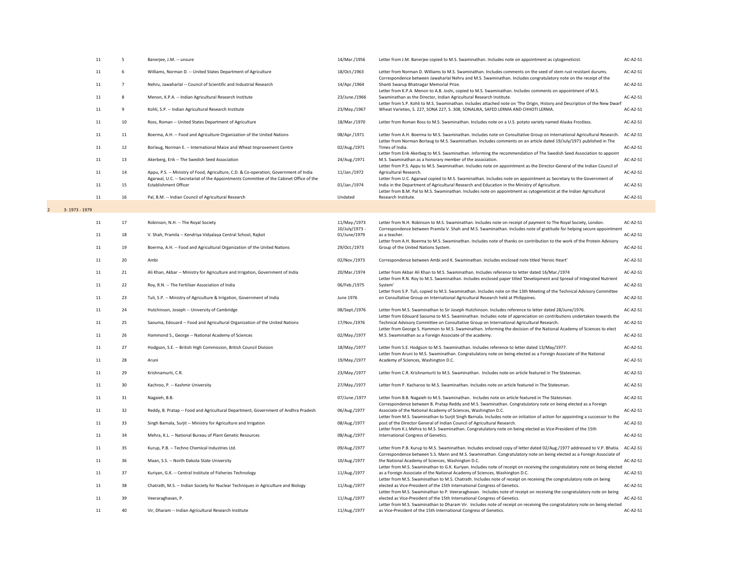|                  | 11 |                 | Banerjee, J.M. -- unsure                                                                                                | 14/Mar./1956                   | Letter from J.M. Banerjee copied to M.S. Swaminathan. Includes note on appointment as cytogeneticist.                                                                                                                 | AC-A2-S1   |
|------------------|----|-----------------|-------------------------------------------------------------------------------------------------------------------------|--------------------------------|-----------------------------------------------------------------------------------------------------------------------------------------------------------------------------------------------------------------------|------------|
|                  | 11 | 6               | Williams, Norman D. -- United States Department of Agriculture                                                          | 18/Oct./1963                   | Letter from Norman D. Williams to M.S. Swaminathan. Includes comments on the seed of stem rust resistant durums.                                                                                                      | $AC-A2-S1$ |
|                  | 11 |                 | Nehru, Jawaharlal -- Council of Scientific and Industrial Research                                                      | 14/Apr./1964                   | Correspondence between Jawaharlal Nehru and M.S. Swaminathan. Includes congratulatory note on the receipt of the<br>Shanti Swarup Bhatnagar Memorial Prize.                                                           | AC-A2-S1   |
|                  | 11 | 8               | Menon, K.P.A. -- Indian Agricultural Research Institute                                                                 | 23/June./1966                  | Letter from K.P.A. Menon to A.B. Joshi, copied to M.S. Swaminathan. Includes comments on appointment of M.S.<br>Swaminathan as the Director, Indian Agricultural Research Institute.                                  | AC-A2-S1   |
|                  | 11 | 9               | Kohli, S.P. -- Indian Agricultural Research Institute                                                                   | 23/May./1967                   | Letter from S.P. Kohli to M.S. Swaminathan. Includes attached note on 'The Origin, History and Description of the New Dwarf<br>Wheat Varieties, S. 227, SONA 227, S. 308, SONALIKA, SAFED LERMA AND CHHOTI LERMA.     | AC-A2-S1   |
|                  | 11 | 10              | Ross, Roman -- United States Department of Agriculture                                                                  | 18/Mar./1970                   | Letter from Roman Ross to M.S. Swaminathan. Includes note on a U.S. potato variety named Alaska Frostless.                                                                                                            | AC-A2-S1   |
|                  | 11 | 11              | Boerma, A.H. -- Food and Agriculture Organization of the United Nations                                                 | 08/Apr./1971                   | Letter from A.H. Boerma to M.S. Swaminathan. Includes note on Consultative Group on International Agricultural Research.                                                                                              | AC-A2-S1   |
|                  | 11 | 12              | Borlaug, Norman E. -- International Maize and Wheat Improvement Centre                                                  | 02/Aug./1971                   | Letter from Norman Borlaug to M.S. Swaminathan. Includes comments on an article dated 19/July/1971 published in The<br>Times of India.                                                                                | AC-A2-S1   |
|                  | 11 | 13              | Akerberg, Erik -- The Swedish Seed Association                                                                          | 24/Aug./1971                   | Letter from Erik Akerbeg to M.S. Swaminathan. Informing the recommendation of The Swedish Seed Association to appoint<br>M.S. Swaminathan as a honorary member of the association.                                    | AC-A2-S1   |
|                  | 11 | 14              | Appu, P.S. -- Ministry of Food, Agriculture, C.D. & Co-operation, Government of India                                   | 11/Jan./1972                   | Letter from P.S. Appu to M.S. Swaminathan. Includes note on appointment as the Director-General of the Indian Council of<br>Agricultural Research.                                                                    | AC-A2-S1   |
|                  | 11 | 15              | Agarwal, U.C. -- Secretariat of the Appointments Committee of the Cabinet Office of the<br><b>Establishment Officer</b> | 01/Jan./1974                   | Letter from U.C. Agarwal copied to M.S. Swaminathan. Includes note on appointment as Secretary to the Government of<br>India in the Department of Agricultural Research and Education in the Ministry of Agriculture. | AC-A2-S1   |
|                  | 11 | 16              | Pal, B.M. -- Indian Council of Agricultural Research                                                                    | Undated                        | Letter from B.M. Pal to M.S. Swaminathan. Includes note on appointment as cytogeneticist at the Indian Agricultural<br>Research Institute.                                                                            | AC-A2-S1   |
| $3: 1973 - 1979$ |    |                 |                                                                                                                         |                                |                                                                                                                                                                                                                       |            |
|                  | 11 | 17              | Robinson, N.H. -- The Royal Society                                                                                     | 11/May./1973                   | Letter from N.H. Robinson to M.S. Swaminathan. Includes note on receipt of payment to The Royal Society, London.                                                                                                      | $AC-A2-S1$ |
|                  | 11 | 18              | V. Shah, Pramila -- Kendriya Vidyalaya Central School, Rajkot                                                           | 10/July/1973 -<br>01/June/1979 | Correspondence between Pramila V. Shah and M.S. Swaminathan. Includes note of gratitude for helping secure appointment<br>as a teacher.                                                                               | AC-A2-S1   |
|                  | 11 | 19              | Boerma, A.H. -- Food and Agricultural Organization of the United Nations                                                | 29/Oct./1973                   | Letter from A.H. Boerma to M.S. Swaminathan. Includes note of thanks on contribution to the work of the Protein Advisory<br>Group of the United Nations System.                                                       | AC-A2-S1   |
|                  | 11 | 20              | Ambi                                                                                                                    | 02/Nov./1973                   | Correspondence between Ambi and K. Swaminathan. Includes enclosed note titled 'Heroic Heart'                                                                                                                          | AC-A2-S1   |
|                  | 11 | 21              | Ali Khan, Akbar -- Ministry for Agriculture and Irrigation, Government of India                                         | 20/Mar./1974                   | Letter from Akbar Ali Khan to M.S. Swaminathan. Includes reference to letter dated 16/Mar./1974                                                                                                                       | AC-A2-S1   |
|                  | 11 | 22              | Roy, R.N. -- The Fertiliser Association of India                                                                        | 06/Feb./1975                   | Letter from R.N. Roy to M.S. Swaminathan. Includes enclosed paper titled 'Development and Spread of Integrated Nutrient<br>System'                                                                                    | AC-A2-S1   |
|                  | 11 | 23              | Tuli, S.P. -- Ministry of Agriculture & Irrigation, Government of India                                                 | June 1976                      | Letter from S.P. Tuli, copied to M.S. Swaminathan. Includes note on the 13th Meeting of the Technical Advisory Committee<br>on Consultative Group on International Agricultural Research held at Philippines.         | AC-A2-S1   |
|                  | 11 | 24              | Hutchinson, Joseph -- University of Cambridge                                                                           | 08/Sept./1976                  | Letter from M.S. Swaminathan to Sir Joseph Hutchinson. Includes reference to letter dated 28/June/1976.                                                                                                               | AC-A2-S1   |
|                  | 11 | 25              | Saouma, Edouard -- Food and Agricultural Organization of the United Nations                                             | 17/Nov./1976                   | Letter from Edouard Saouma to M.S. Swaminathan. Includes note of appreciation on contributions undertaken towards the<br>Technical Advisory Committee on Consultative Group on International Agricultural Research.   | AC-A2-S1   |
|                  | 11 | 26              | Hammond S., George -- National Academy of Sciences                                                                      | 02/May./1977                   | Letter from George S. Hammon to M.S. Swaminathan. Informing the decision of the National Academy of Sciences to elect<br>M.S. Swaminathan as a Foreign Associate of the academy.                                      | AC-A2-S1   |
|                  | 11 | 27              | Hodgson, S.E. -- British High Commission, British Council Division                                                      | 18/May./1977                   | Letter from S.E. Hodgson to M.S. Swaminathan. Includes reference to letter dated 13/May/1977.                                                                                                                         | AC-A2-S1   |
|                  | 11 | 28              | Aruni                                                                                                                   | 19/May./1977                   | Letter from Aruni to M.S. Swaminathan. Congratulatory note on being elected as a Foreign Associate of the National<br>Academy of Sciences, Washington D.C.                                                            | $AC-A2-S1$ |
|                  | 11 | 29              | Krishnamurti, C.R.                                                                                                      | 23/May./1977                   | Letter from C.R. Krishnamurti to M.S. Swaminathan. Includes note on article featured in The Statesman.                                                                                                                | AC-A2-S1   |
|                  | 11 | 30 <sup>°</sup> | Kachroo, P. -- Kashmir University                                                                                       | 27/May./1977                   | Letter from P. Kacharoo to M.S. Swaminathan. Includes note on article featured in The Statesman.                                                                                                                      | AC-A2-S1   |
|                  | 11 | 31              | Nagaieh, B.B.                                                                                                           | 07/June./1977                  | Letter from B.B. Nagaieh to M.S. Swaminathan. Includes note on article featured in The Statesman.<br>Correspondence between B. Pratap Reddy and M.S. Swaminathan. Congratulatory note on being elected as a Foreign   | AC-A2-S1   |
|                  | 11 | 32              | Reddy, B. Pratap -- Food and Agricultural Department, Government of Andhra Pradesh                                      | 06/Aug./1977                   | Associate of the National Academy of Sciences, Washington D.C.                                                                                                                                                        | AC-A2-S1   |
|                  | 11 | 33              | Singh Barnala, Surjit -- Ministry for Agriculture and Irrigation                                                        | 08/Aug./1977                   | Letter from M.S. Swaminathan to Surjit Singh Barnala. Includes note on initiation of action for appointing a successor to the<br>post of the Director General of Indian Council of Agricultural Research.             | $AC-A2-S1$ |
|                  | 11 | 34              | Mehra, K.L. -- National Bureau of Plant Genetic Resources                                                               | 08/Aug./1977                   | Letter from K.L Mehra to M.S. Swaminathan. Congratulatory note on being elected as Vice-President of the 15th<br>International Congress of Genetics.                                                                  | $AC-A2-S1$ |
|                  | 11 | 35              | Kurup, P.B. -- Techno Chemical Industries Ltd.                                                                          | 09/Aug./1977                   | Letter from P.B. Kurup to M.S. Swaminathan. Includes enclosed copy of letter dated 02/Aug./1977 addressed to V.P. Bhatia. AC-A2-S1                                                                                    |            |
|                  | 11 | 36              | Maan, S.S. -- North Dakota State University                                                                             | 10/Aug./1977                   | Correspondence between S.S. Mann and M.S. Swaminathan. Congratulatory note on being elected as a Foreign Associate of<br>the National Academy of Sciences, Washington D.C.                                            | $AC-A2-S1$ |
|                  | 11 | 37              | Kuriyan, G.K. -- Central Institute of Fisheries Technology                                                              | 11/Aug./1977                   | Letter from M.S. Swaminathan to G.K. Kuriyan. Includes note of receipt on receiving the congratulatory note on being elected<br>as a Foreign Associate of the National Academy of Sciences, Washington D.C.           | AC-A2-S1   |
|                  | 11 | 38              | Chatrath, M.S. -- Indian Society for Nuclear Techniques in Agriculture and Biology                                      | 11/Aug./1977                   | Letter from M.S. Swaminathan to M.S. Chatrath. Includes note of receipt on receiving the congratulatory note on being<br>elected as Vice-President of the 15th International Congress of Genetics.                    | AC-A2-S1   |
|                  | 11 | 39              | Veeraraghavan, P.                                                                                                       | 11/Aug./1977                   | Letter from M.S. Swaminathan to P. Veeraraghavan. Includes note of receipt on receiving the congratulatory note on being<br>elected as Vice-President of the 15th International Congress of Genetics.                 | AC-A2-S1   |
|                  | 11 | 40              | Vir, Dharam -- Indian Agricultural Research Institute                                                                   | 11/Aug./1977                   | Letter from M.S. Swaminathan to Dharam Vir. Includes note of receipt on receiving the congratulatory note on being elected<br>as Vice-President of the 15th International Congress of Genetics.                       | $AC-A2-S1$ |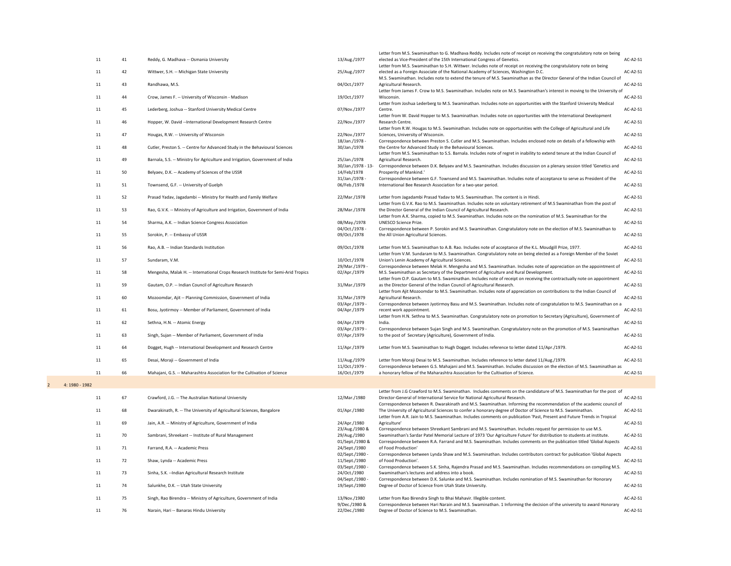|         |    |                                                                                    |                                    | Letter from M.S. Swaminathan to G. Madhava Reddy. Includes note of receipt on receiving the congratulatory note on being                                                                                                               |            |
|---------|----|------------------------------------------------------------------------------------|------------------------------------|----------------------------------------------------------------------------------------------------------------------------------------------------------------------------------------------------------------------------------------|------------|
| 11      | 41 | Reddy, G. Madhava -- Osmania University                                            | 13/Aug./1977                       | elected as Vice-President of the 15th International Congress of Genetics.<br>Letter from M.S. Swaminathan to S.H. Wittwer. Includes note of receipt on receiving the congratulatory note on being                                      | AC-A2-S1   |
| 11      | 42 | Wittwer, S.H. -- Michigan State University                                         | 25/Aug./1977                       | elected as a Foreign Associate of the National Academy of Sciences, Washington D.C.                                                                                                                                                    | AC-A2-S1   |
| 11      | 43 | Randhawa, M.S.                                                                     | 04/Oct./1977                       | M.S. Swaminathan. Includes note to extend the tenure of M.S. Swaminathan as the Director General of the Indian Council of<br>Agricultural Research.                                                                                    | $AC-A2-S1$ |
| 11      | 44 | Crow, James F. -- University of Wisconsin - Madison                                | 19/Oct./1977                       | Letter from James F. Crow to M.S. Swaminathan. Includes note on M.S. Swaminathan's interest in moving to the University of<br>Wisconsin.                                                                                               | AC-A2-S1   |
| 11      | 45 | Lederberg, Joshua -- Stanford University Medical Centre                            | 07/Nov./1977                       | Letter from Joshua Lederberg to M.S. Swaminathan. Includes note on opportunities with the Stanford University Medical<br>Centre.                                                                                                       | AC-A2-S1   |
| 11      | 46 | Hopper, W. David --International Development Research Centre                       | 22/Nov./1977                       | Letter from W. David Hopper to M.S. Swaminathan. Includes note on opportunities with the International Development<br>Research Centre.                                                                                                 | AC-A2-S1   |
|         |    |                                                                                    |                                    | Letter from R.W. Hougas to M.S. Swaminathan. Includes note on opportunities with the College of Agricultural and Life                                                                                                                  |            |
| 11      | 47 | Hougas, R.W. -- University of Wisconsin                                            | 22/Nov./1977<br>18/Jan./1978 -     | Sciences, University of Wisconsin.<br>Correspondence between Preston S. Cutler and M.S. Swaminathan. Includes enclosed note on details of a fellowship with                                                                            | AC-A2-S1   |
| 11      | 48 | Cutler, Preston S. -- Centre for Advanced Study in the Behavioural Sciences        | 30/Jan./1978                       | the Centre for Advanced Study in the Behavioural Sciences.<br>Letter from M.S. Swaminathan to S.S. Barnala. Includes note of regret in inability to extend tenure at the Indian Council of                                             | AC-A2-S1   |
| 11      | 49 | Barnala, S.S. -- Ministry for Agriculture and Irrigation, Government of India      | 25/Jan./1978<br>30/Jan./1978 - 13- | Agricultural Research.<br>Correspondence between D.K. Belyaev and M.S. Swaminathan. Includes discussion on a plenary session titled 'Genetics and                                                                                      | AC-A2-S1   |
| 11      | 50 | Belyaev, D.K. -- Academy of Sciences of the USSR                                   | 14/Feb/1978                        | Prosperity of Mankind.'                                                                                                                                                                                                                | AC-A2-S1   |
| 11      | 51 | Townsend, G.F. -- University of Guelph                                             | 31/Jan./1978 -<br>06/Feb./1978     | Correspondence between G.F. Townsend and M.S. Swaminathan. Includes note of acceptance to serve as President of the<br>International Bee Research Association for a two-year period.                                                   | AC-A2-S1   |
| 11      | 52 | Prasad Yadav, Jagadambi -- Ministry for Health and Family Welfare                  | 22/Mar./1978                       | Letter from Jagadambi Prasad Yadav to M.S. Swaminathan. The content is in Hindi.                                                                                                                                                       | AC-A2-S1   |
| 11      | 53 | Rao, G.V.K. -- Ministry of Agriculture and Irrigation, Government of India         | 28/Mar./1978                       | Letter from G.V.K. Rao to M.S. Swaminathan. Includes note on voluntary retirement of M.S Swaminathan from the post of<br>the Director General of the Indian Council of Agricultural Research.                                          | AC-A2-S1   |
| 11      | 54 | Sharma, A.K. -- Indian Science Congress Association                                | 08/May./1978                       | Letter from A.K. Sharma, copied to M.S. Swaminathan. Includes note on the nomination of M.S. Swaminathan for the<br><b>UNESCO Science Prize.</b>                                                                                       | AC-A2-S1   |
| 11      | 55 | Sorokin, P. -- Embassy of USSR                                                     | 04/Oct./1978 -<br>09/Oct./1978     | Correspondence between P. Sorokin and M.S. Swaminathan. Congratulatory note on the election of M.S. Swaminathan to<br>the All Union Agricultural Sciences.                                                                             | AC-A2-S1   |
|         |    |                                                                                    |                                    |                                                                                                                                                                                                                                        |            |
| 11      | 56 | Rao, A.B. -- Indian Standards Institution                                          | 09/Oct./1978                       | Letter from M.S. Swaminathan to A.B. Rao. Includes note of acceptance of the K.L. Moudgill Prize, 1977.<br>Letter from V.M. Sundaram to M.S. Swaminathan. Congratulatory note on being elected as a Foreign Member of the Soviet       | AC-A2-S1   |
| 11      | 57 | Sundaram, V.M.                                                                     | 10/Oct./1978<br>29/Mar./1979 -     | Union's Lenin Academy of Agricultural Sciences.<br>Correspondence between Melak H. Mengesha and M.S. Swaminathan. Includes note of appreciation on the appointment of                                                                  | AC-A2-S1   |
| 11      | 58 | Mengesha, Malak H. -- International Crops Research Institute for Semi-Arid Tropics | 02/Apr./1979                       | M.S. Swaminathan as Secretary of the Department of Agriculture and Rural Development.<br>Letter from O.P. Gautam to M.S. Swaminathan. Includes note of receipt on receiving the contractually note on appointment                      | $AC-A2-S1$ |
| 11      | 59 | Gautam, O.P. -- Indian Council of Agriculture Research                             | 31/Mar./1979                       | as the Director General of the Indian Council of Agricultural Research.<br>Letter from Ajit Mozoomdar to M.S. Swaminathan. Includes note of appreciation on contributions to the Indian Council of                                     | AC-A2-S1   |
| 11      | 60 | Mozoomdar, Ajit -- Planning Commission, Government of India                        | 31/Mar./1979                       | Agricultural Research.                                                                                                                                                                                                                 | AC-A2-S1   |
| 11      | 61 | Bosu, Jyotirmoy -- Member of Parliament, Government of India                       | 03/Apr./1979 -<br>04/Apr./1979     | Correspondence between Jyotirmoy Basu and M.S. Swaminathan. Includes note of congratulation to M.S. Swaminathan on a<br>recent work appointment.                                                                                       | $AC-A2-S1$ |
| 11      | 62 | Sethna, H.N. -- Atomic Energy                                                      | 04/Apr./1979                       | Letter from H.N. Sethna to M.S. Swaminathan. Congratulatory note on promotion to Secretary (Agriculture), Government of<br>India.                                                                                                      | $AC-A2-S1$ |
| 11      | 63 | Singh, Sujan -- Member of Parliament, Government of India                          | 03/Apr./1979 -<br>07/Apr./1979     | Correspondence between Sujan Singh and M.S. Swaminathan. Congratulatory note on the promotion of M.S. Swaminathan<br>to the post of Secretary (Agriculture), Government of India.                                                      | AC-A2-S1   |
| 11      | 64 | Dogget, Hugh -- International Development and Research Centre                      | 11/Apr./1979                       | Letter from M.S. Swaminathan to Hugh Dogget. Includes reference to letter dated 11/Apr./1979.                                                                                                                                          | AC-A2-S1   |
| 11      | 65 | Desai, Moraji -- Government of India                                               | 11/Aug./1979                       | Letter from Moraji Desai to M.S. Swaminathan. Includes reference to letter dated 11/Aug./1979.                                                                                                                                         | AC-A2-S1   |
|         |    |                                                                                    | 11/Oct./1979 -                     | Correspondence between G.S. Mahajani and M.S. Swaminathan. Includes discussion on the election of M.S. Swaminathan as                                                                                                                  |            |
| 11      | 66 | Mahajani, G.S. -- Maharashtra Association for the Cultivation of Science           | 16/Oct./1979                       | a honorary fellow of the Maharashtra Association for the Cultivation of Science.                                                                                                                                                       | AC-A2-S1   |
| $-1982$ |    |                                                                                    |                                    |                                                                                                                                                                                                                                        |            |
| 11      | 67 | Crawford, J.G. -- The Australian National University                               | 12/Mar./1980                       | Letter from J.G Crawford to M.S. Swaminathan. Includes comments on the candidature of M.S. Swaminathan for the post of<br>Director-General of International Service for National Agricultural Research.                                | AC-A2-S1   |
| 11      | 68 | Dwarakinath, R. -- The University of Agricultural Sciences, Bangalore              | 01/Apr./1980                       | Correspondence between R. Dwarakinath and M.S. Swaminathan. Informing the recommendation of the academic council of<br>The University of Agricultural Sciences to confer a honorary degree of Doctor of Science to M.S. Swaminathan.   | AC-A2-S1   |
| 11      | 69 | Jain, A.R. -- Ministry of Agriculture, Government of India                         | 24/Apr./1980                       | Letter from A.R. Jain to M.S. Swaminathan. Includes comments on publication 'Past, Present and Future Trends in Tropical<br>Agriculture'                                                                                               | $AC-A2-S1$ |
| 11      | 70 | Sambrani, Shreekant -- Institute of Rural Management                               | 23/Aug./1980 &<br>29/Aug./1980     | Correspondence between Shreekant Sambrani and M.S. Swaminathan. Includes request for permission to use M.S.<br>Swaminathan's Sardar Patel Memorial Lecture of 1973 'Our Agriculture Future' for distribution to students at institute. | $AC-A2-S1$ |
| 11      | 71 | Farrand, R.A. -- Academic Press                                                    | 01/Sept./1980 &<br>24/Sept./1980   | Correspondence between R.A. Farrand and M.S. Swaminathan. Includes comments on the publication titled 'Global Aspects<br>of Food Production'                                                                                           | AC-A2-S1   |
| 11      | 72 | Shaw, Lynda -- Academic Press                                                      | 02/Sept./1980 -<br>11/Sept./1980   | Correspondence between Lynda Shaw and M.S. Swaminathan. Includes contributors contract for publication 'Global Aspects<br>of Food Production'.                                                                                         | $AC-A2-S1$ |
| 11      | 73 | Sinha, S.K. --Indian Agricultural Research Institute                               | 03/Sept./1980 -<br>24/Oct./1980    | Correspondence between S.K. Sinha, Rajendra Prasad and M.S. Swaminathan. Includes recommendations on compiling M.S.<br>Swaminathan's lectures and address into a book.                                                                 | $AC-A2-S1$ |
| 11      | 74 | Salunkhe, D.K. -- Utah State University                                            | 04/Sept./1980 -<br>19/Sept./1980   | Correspondence between D.K. Salunke and M.S. Swaminathan. Includes nomination of M.S. Swaminathan for Honorary<br>Degree of Doctor of Science from Utah State University.                                                              | AC-A2-S1   |
| 11      | 75 | Singh, Rao Birendra -- Ministry of Agriculture, Government of India                | 13/Nov./1980                       | Letter from Rao Birendra Singh to Bhai Mahavir. Illegible content.                                                                                                                                                                     | AC-A2-S1   |
| 11      | 76 | Narain, Hari -- Banaras Hindu University                                           | 9/Dec./1980 &<br>22/Dec./1980      | Correspondence between Hari Narain and M.S. Swaminathan. 1 Informing the decision of the university to award Honorary<br>Degree of Doctor of Science to M.S. Swaminathan.                                                              | $AC-A2-S1$ |
|         |    |                                                                                    |                                    |                                                                                                                                                                                                                                        |            |

|    |    |                                                                                    |                                  | Letter from M.S. Swaminathan to G. Madhava Reddy. Includes note of receipt on receiving the congratulatory note on being                                                                                                               |            |
|----|----|------------------------------------------------------------------------------------|----------------------------------|----------------------------------------------------------------------------------------------------------------------------------------------------------------------------------------------------------------------------------------|------------|
| 11 | 41 | Reddy, G. Madhava -- Osmania University                                            | 13/Aug./1977                     | elected as Vice-President of the 15th International Congress of Genetics.<br>Letter from M.S. Swaminathan to S.H. Wittwer. Includes note of receipt on receiving the congratulatory note on being                                      | $AC-A2-S1$ |
| 11 | 42 | Wittwer, S.H. -- Michigan State University                                         | 25/Aug./1977                     | elected as a Foreign Associate of the National Academy of Sciences, Washington D.C.                                                                                                                                                    | AC-A2-S1   |
|    |    |                                                                                    |                                  | M.S. Swaminathan. Includes note to extend the tenure of M.S. Swaminathan as the Director General of the Indian Council of                                                                                                              |            |
| 11 | 43 | Randhawa, M.S.                                                                     | 04/Oct./1977                     | Agricultural Research.<br>Letter from James F. Crow to M.S. Swaminathan. Includes note on M.S. Swaminathan's interest in moving to the University of                                                                                   | $AC-A2-S1$ |
| 11 | 44 | Crow, James F. -- University of Wisconsin - Madison                                | 19/Oct./1977                     | Wisconsin.                                                                                                                                                                                                                             | AC-A2-S1   |
| 11 | 45 | Lederberg, Joshua -- Stanford University Medical Centre                            | 07/Nov./1977                     | Letter from Joshua Lederberg to M.S. Swaminathan. Includes note on opportunities with the Stanford University Medical<br>Centre.                                                                                                       | AC-A2-S1   |
|    |    |                                                                                    |                                  | Letter from W. David Hopper to M.S. Swaminathan. Includes note on opportunities with the International Development                                                                                                                     |            |
| 11 | 46 | Hopper, W. David --International Development Research Centre                       | 22/Nov./1977                     | Research Centre.                                                                                                                                                                                                                       | $AC-A2-S1$ |
| 11 | 47 | Hougas, R.W. -- University of Wisconsin                                            | 22/Nov./1977                     | Letter from R.W. Hougas to M.S. Swaminathan. Includes note on opportunities with the College of Agricultural and Life<br>Sciences, University of Wisconsin.                                                                            | $AC-A2-S1$ |
|    |    |                                                                                    | 18/Jan./1978 -                   | Correspondence between Preston S. Cutler and M.S. Swaminathan. Includes enclosed note on details of a fellowship with                                                                                                                  |            |
| 11 | 48 | Cutler, Preston S. -- Centre for Advanced Study in the Behavioural Sciences        | 30/Jan./1978                     | the Centre for Advanced Study in the Behavioural Sciences.<br>Letter from M.S. Swaminathan to S.S. Barnala. Includes note of regret in inability to extend tenure at the Indian Council of                                             | AC-A2-S1   |
| 11 | 49 | Barnala, S.S. -- Ministry for Agriculture and Irrigation, Government of India      | 25/Jan./1978                     | Agricultural Research.                                                                                                                                                                                                                 | AC-A2-S1   |
| 11 | 50 | Belyaev, D.K. -- Academy of Sciences of the USSR                                   | 30/Jan./1978 - 13<br>14/Feb/1978 | Correspondence between D.K. Belyaev and M.S. Swaminathan. Includes discussion on a plenary session titled 'Genetics and<br>Prosperity of Mankind.'                                                                                     | AC-A2-S1   |
|    |    |                                                                                    | 31/Jan./1978 -                   | Correspondence between G.F. Townsend and M.S. Swaminathan. Includes note of acceptance to serve as President of the                                                                                                                    |            |
| 11 | 51 | Townsend, G.F. -- University of Guelph                                             | 06/Feb./1978                     | International Bee Research Association for a two-year period.                                                                                                                                                                          | AC-A2-S1   |
| 11 | 52 | Prasad Yadav, Jagadambi -- Ministry for Health and Family Welfare                  | 22/Mar./1978                     | Letter from Jagadambi Prasad Yadav to M.S. Swaminathan. The content is in Hindi.                                                                                                                                                       | AC-A2-S1   |
|    | 53 | Rao, G.V.K. -- Ministry of Agriculture and Irrigation, Government of India         | 28/Mar./1978                     | Letter from G.V.K. Rao to M.S. Swaminathan. Includes note on voluntary retirement of M.S Swaminathan from the post of<br>the Director General of the Indian Council of Agricultural Research.                                          | AC-A2-S1   |
| 11 |    |                                                                                    |                                  | Letter from A.K. Sharma, copied to M.S. Swaminathan. Includes note on the nomination of M.S. Swaminathan for the                                                                                                                       |            |
| 11 | 54 | Sharma, A.K. -- Indian Science Congress Association                                | 08/May./1978                     | <b>UNESCO Science Prize.</b>                                                                                                                                                                                                           | AC-A2-S1   |
| 11 | 55 | Sorokin, P. -- Embassy of USSR                                                     | 04/Oct./1978 -<br>09/Oct./1978   | Correspondence between P. Sorokin and M.S. Swaminathan. Congratulatory note on the election of M.S. Swaminathan to<br>the All Union Agricultural Sciences.                                                                             | $AC-A2-S1$ |
|    |    |                                                                                    |                                  |                                                                                                                                                                                                                                        |            |
| 11 | 56 | Rao, A.B. -- Indian Standards Institution                                          | 09/Oct./1978                     | Letter from M.S. Swaminathan to A.B. Rao. Includes note of acceptance of the K.L. Moudgill Prize, 1977.<br>Letter from V.M. Sundaram to M.S. Swaminathan. Congratulatory note on being elected as a Foreign Member of the Soviet       | $AC-A2-S1$ |
| 11 | 57 | Sundaram, V.M.                                                                     | 10/Oct./1978                     | Union's Lenin Academy of Agricultural Sciences.                                                                                                                                                                                        | $AC-A2-S1$ |
| 11 | 58 | Mengesha, Malak H. -- International Crops Research Institute for Semi-Arid Tropics | 29/Mar./1979 -<br>02/Apr./1979   | Correspondence between Melak H. Mengesha and M.S. Swaminathan. Includes note of appreciation on the appointment of<br>M.S. Swaminathan as Secretary of the Department of Agriculture and Rural Development.                            | $AC-A2-S1$ |
|    |    |                                                                                    |                                  | Letter from O.P. Gautam to M.S. Swaminathan. Includes note of receipt on receiving the contractually note on appointment                                                                                                               |            |
| 11 | 59 | Gautam, O.P. -- Indian Council of Agriculture Research                             | 31/Mar./1979                     | as the Director General of the Indian Council of Agricultural Research.<br>Letter from Ajit Mozoomdar to M.S. Swaminathan. Includes note of appreciation on contributions to the Indian Council of                                     | AC-A2-S1   |
| 11 | 60 | Mozoomdar, Ajit -- Planning Commission, Government of India                        | 31/Mar./1979                     | Agricultural Research.                                                                                                                                                                                                                 | AC-A2-S1   |
|    | 61 |                                                                                    | 03/Apr./1979 -                   | Correspondence between Jyotirmoy Basu and M.S. Swaminathan. Includes note of congratulation to M.S. Swaminathan on a<br>recent work appointment.                                                                                       | $AC-A2-S1$ |
| 11 |    | Bosu, Jyotirmoy -- Member of Parliament, Government of India                       | 04/Apr./1979                     | Letter from H.N. Sethna to M.S. Swaminathan. Congratulatory note on promotion to Secretary (Agriculture), Government of                                                                                                                |            |
| 11 | 62 | Sethna, H.N. -- Atomic Energy                                                      | 04/Apr./1979                     | India.                                                                                                                                                                                                                                 | $AC-A2-S1$ |
| 11 | 63 | Singh, Sujan -- Member of Parliament, Government of India                          | 03/Apr./1979 -<br>07/Apr./1979   | Correspondence between Sujan Singh and M.S. Swaminathan. Congratulatory note on the promotion of M.S. Swaminathan<br>to the post of Secretary (Agriculture), Government of India.                                                      | AC-A2-S1   |
|    |    |                                                                                    |                                  |                                                                                                                                                                                                                                        |            |
| 11 | 64 | Dogget, Hugh -- International Development and Research Centre                      | 11/Apr./1979                     | Letter from M.S. Swaminathan to Hugh Dogget. Includes reference to letter dated 11/Apr./1979.                                                                                                                                          | $AC-A2-S1$ |
| 11 | 65 | Desai, Moraji -- Government of India                                               | 11/Aug./1979                     | Letter from Moraji Desai to M.S. Swaminathan. Includes reference to letter dated 11/Aug./1979.                                                                                                                                         | $AC-A2-S1$ |
| 11 | 66 | Mahajani, G.S. -- Maharashtra Association for the Cultivation of Science           | 11/Oct./1979 -<br>16/Oct./1979   | Correspondence between G.S. Mahajani and M.S. Swaminathan. Includes discussion on the election of M.S. Swaminathan as<br>a honorary fellow of the Maharashtra Association for the Cultivation of Science.                              | $AC-A2-S1$ |
|    |    |                                                                                    |                                  |                                                                                                                                                                                                                                        |            |
|    |    |                                                                                    |                                  | Letter from J.G Crawford to M.S. Swaminathan. Includes comments on the candidature of M.S. Swaminathan for the post of                                                                                                                 |            |
| 11 | 67 | Crawford, J.G. -- The Australian National University                               | 12/Mar./1980                     | Director-General of International Service for National Agricultural Research.                                                                                                                                                          | $AC-A2-S1$ |
| 11 | 68 | Dwarakinath, R. -- The University of Agricultural Sciences, Bangalore              | 01/Apr./1980                     | Correspondence between R. Dwarakinath and M.S. Swaminathan. Informing the recommendation of the academic council of<br>The University of Agricultural Sciences to confer a honorary degree of Doctor of Science to M.S. Swaminathan.   | AC-A2-S1   |
|    |    |                                                                                    |                                  | Letter from A.R. Jain to M.S. Swaminathan. Includes comments on publication 'Past, Present and Future Trends in Tropical                                                                                                               |            |
| 11 | 69 | Jain, A.R. -- Ministry of Agriculture, Government of India                         | 24/Apr./1980                     | Agriculture'                                                                                                                                                                                                                           | $AC-A2-S1$ |
| 11 | 70 | Sambrani, Shreekant -- Institute of Rural Management                               | 23/Aug./1980 &<br>29/Aug./1980   | Correspondence between Shreekant Sambrani and M.S. Swaminathan. Includes request for permission to use M.S.<br>Swaminathan's Sardar Patel Memorial Lecture of 1973 'Our Agriculture Future' for distribution to students at institute. | $AC-A2-S1$ |
|    |    |                                                                                    | 01/Sept./1980 &                  | Correspondence between R.A. Farrand and M.S. Swaminathan. Includes comments on the publication titled 'Global Aspects                                                                                                                  |            |
| 11 | 71 | Farrand, R.A. -- Academic Press                                                    | 24/Sept./1980<br>02/Sept./1980 - | of Food Production'<br>Correspondence between Lynda Shaw and M.S. Swaminathan. Includes contributors contract for publication 'Global Aspects                                                                                          | $AC-A2-S1$ |
| 11 | 72 | Shaw, Lynda -- Academic Press                                                      | 11/Sept./1980                    | of Food Production'.                                                                                                                                                                                                                   | $AC-A2-S1$ |
| 11 | 73 | Sinha, S.K. --Indian Agricultural Research Institute                               | 03/Sept./1980 -<br>24/Oct./1980  | Correspondence between S.K. Sinha, Rajendra Prasad and M.S. Swaminathan. Includes recommendations on compiling M.S.<br>Swaminathan's lectures and address into a book.                                                                 | AC-A2-S1   |
|    |    |                                                                                    | 04/Sept./1980 -                  | Correspondence between D.K. Salunke and M.S. Swaminathan. Includes nomination of M.S. Swaminathan for Honorary                                                                                                                         |            |
| 11 | 74 | Salunkhe, D.K. -- Utah State University                                            | 19/Sept./1980                    | Degree of Doctor of Science from Utah State University.                                                                                                                                                                                | $AC-A2-S1$ |
| 11 | 75 | Singh, Rao Birendra -- Ministry of Agriculture, Government of India                | 13/Nov./1980                     | Letter from Rao Birendra Singh to Bhai Mahavir. Illegible content.                                                                                                                                                                     | $AC-A2-S1$ |
| 11 | 76 | Narain, Hari -- Banaras Hindu University                                           | 9/Dec./1980 &<br>22/Dec./1980    | Correspondence between Hari Narain and M.S. Swaminathan. 1 Informing the decision of the university to award Honorary<br>Degree of Doctor of Science to M.S. Swaminathan.                                                              | AC-A2-S1   |
|    |    |                                                                                    |                                  |                                                                                                                                                                                                                                        |            |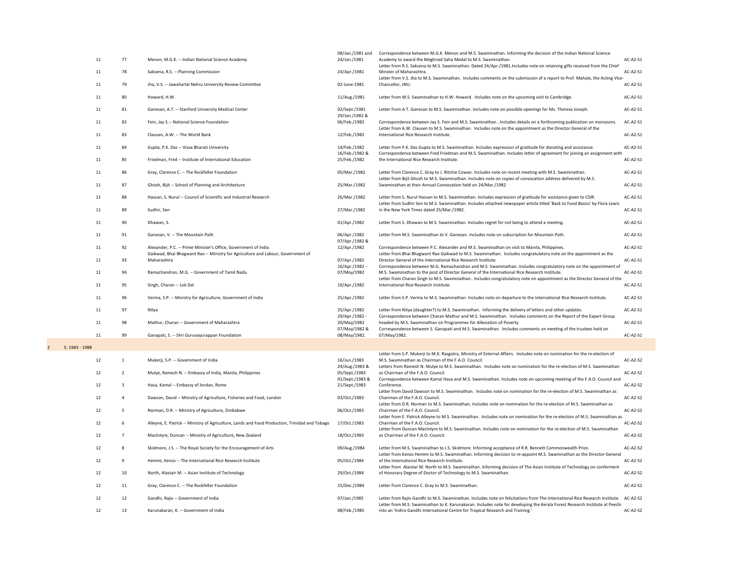|                                  | 11 | 77 | Menon, M.G.K. -- Indian National Science Academy                                                                                                    | 08/Jan./1981 and<br>24/Jan./1981 | Correspondence between M.G.K. Menon and M.S. Swaminathan. Informing the decision of the Indian National Science<br>Academy to award the Meghnad Saha Medal to M.S. Swaminathan.                                                                                      | AC-A2-S1        |
|----------------------------------|----|----|-----------------------------------------------------------------------------------------------------------------------------------------------------|----------------------------------|----------------------------------------------------------------------------------------------------------------------------------------------------------------------------------------------------------------------------------------------------------------------|-----------------|
|                                  | 11 | 78 | Saksena, R.S. -- Planning Commission                                                                                                                | 24/Apr./1981                     | Letter from R.S. Saksena to M.S. Swaminathan. Dated 24/Apr./1981.Includes note on retaining gifts received from the Chief<br>Minster of Maharashtra.                                                                                                                 | AC-A2-S1        |
|                                  | 11 | 79 | Jha, V.S. -- Jawaharlal Nehru University Review Committee                                                                                           | 02-June-1981                     | Letter from V.S. Jha to M.S. Swaminathan. Includes comments on the submission of a report to Prof. Mahale, the Acting Vice-<br>Chancellor, JNU.                                                                                                                      | AC-A2-S1        |
|                                  | 11 | 80 | Howard, H.W.                                                                                                                                        | 11/Aug./1981                     | Letter from M.S. Swaminathan to H.W. Howard. Includes note on the upcoming visit to Cambridge.                                                                                                                                                                       | AC-A2-S1        |
|                                  | 11 | 81 | Ganesan, A.T. -- Stanford University Medical Center                                                                                                 | 02/Sept./1981<br>29/Jan./1982 &  | Letter from A.T. Ganesan to M.S. Swaminathan. Includes note on possible openings for Ms. Theresa Joseph.                                                                                                                                                             | AC-A2-S1        |
|                                  | 11 | 82 | Fein, Jay S.-- National Science Foundation                                                                                                          | 06/Feb./1982                     | Correspondence between Jay S. Fein and M.S. Swaminathan Includes details on a forthcoming publication on monsoons.<br>Letter from A.W. Clausen to M.S. Swaminathan. Includes note on the appointment as the Director General of the                                  | AC-A2-S1        |
|                                  | 11 | 83 | Clausen, A.W. -- The World Bank                                                                                                                     | 12/Feb./1982                     | International Rice Research Institute.                                                                                                                                                                                                                               | $AC-A2-S1$      |
|                                  | 11 | 84 | Gupta, P.K. Das -- Visva Bharati University                                                                                                         | 14/Feb./1982<br>16/Feb./1982 &   | Letter from P.K. Das Gupta to M.S. Swaminathan. Includes expression of gratitude for donating and assistance.<br>Correspondence between Fred Friedman and M.S. Swaminathan. Includes letter of agreement for joining an assignment with                              | AC-A2-S1        |
|                                  | 11 | 85 | Friedman, Fred -- Institute of International Education                                                                                              | 25/Feb./1982                     | the International Rice Research Institute.                                                                                                                                                                                                                           | AC-A2-S1        |
|                                  | 11 | 86 | Gray, Clarence C. -- The Rockfeller Foundation                                                                                                      | 05/Mar./1982                     | Letter from Clarence C. Gray to J. Ritchie Cowan. Includes note on recent meeting with M.S. Swaminathan.<br>Letter from Bijit Ghosh to M.S. Swaminathan. Includes note on copies of convocation address delivered by M.S.                                            | AC-A2-S1        |
|                                  | 11 | 87 | Ghosh, Bijit -- School of Planning and Architecture                                                                                                 | 25/Mar./1982                     | Swaminathan at their Annual Convocation held on 24/Mar./1982                                                                                                                                                                                                         | $AC-A2-S1$      |
|                                  | 11 | 88 | Hassan, S. Nurul -- Council of Scientific and Industrial Research                                                                                   | 26/Mar./1982                     | Letter from S. Nurul Hassan to M.S. Swaminathan. Includes expression of gratitude for assistance given to CSIR.<br>Letter from Sudhir Sen to M.S. Swaminathan. Includes attached newspaper article titled 'Back to Food Basics' by Flora Lewis                       | AC-A2-S1        |
|                                  | 11 | 89 | Sudhir, Sen                                                                                                                                         | 27/Mar./1982                     | in the New York Times dated 25/Mar./1982.                                                                                                                                                                                                                            | AC-A2-S1        |
|                                  | 11 | 90 | Dhawan, S.                                                                                                                                          | 01/Apr./1982                     | Letter from S. Dhawan to M.S. Swaminathan. Includes regret for not being to attend a meeting.                                                                                                                                                                        | AC-A2-S1        |
|                                  | 11 | 91 | Ganesan, V. -- The Mountain Path                                                                                                                    | 06/Apr./1982<br>07/Apr./1982 &   | Letter from M.S. Swaminathan to V. Ganesan. Includes note on subscription for Mountain Path.                                                                                                                                                                         | AC-A2-S1        |
|                                  | 11 | 92 | Alexander, P.C. -- Prime Minister's Office, Government of India<br>Gaikwad, Bhai Bhagwant Rao -- Ministry for Agriculture and Labour, Government of | 12/Apr./1982                     | Correspondence between P.C. Alexander and M.S. Swaminathan on visit to Manila, Philippines.<br>Letter from Bhai Bhagwant Rao Gaikwad to M.S. Swaminathan. Includes congratulatory note on the appointment as the                                                     | AC-A2-S1        |
|                                  | 11 | 93 | Maharashtra                                                                                                                                         | 07/Apr./1982<br>16/Apr./1982 -   | Director General of the International Rice Research Institute.<br>Correspondence between M.G. Ramachandran and M.S. Swaminathan. Includes congratulatory note on the appointment of                                                                                  | AC-A2-S1        |
|                                  | 11 | 94 | Ramachandran, M.G. -- Government of Tamil Nadu                                                                                                      | 07/May/1982                      | M.S. Swaminathan to the post of Director General of the International Rice Research Institute.<br>Letter from Charan Singh to M.S. Swaminathan Includes congratulatory note on appointment as the Director General of the                                            | AC-A2-S1        |
|                                  | 11 | 95 | Singh, Charan -- Lok Dal                                                                                                                            | 10/Apr./1982                     | International Rice Research Institute.                                                                                                                                                                                                                               | AC-A2-S1        |
|                                  | 11 | 96 | Verma, S.P. -- Ministry for Agriculture, Government of India                                                                                        | 25/Apr./1982                     | Letter from S.P. Verma to M.S. Swaminathan. Includes note on departure to the International Rice Research Institute.                                                                                                                                                 | AC-A2-S1        |
|                                  | 11 | 97 | Nitya                                                                                                                                               | 25/Apr./1982<br>29/Apr./1982 -   | Letter from Nitya (daughter?) to M.S. Swaminathan. Informing the delivery of letters and other updates.<br>Correspondence between Charan Mathur and M.S. Swaminathan. Includes comments on the Report of the Expert Group                                            | AC-A2-S1        |
|                                  | 11 | 98 | Mathur, Charan -- Government of Maharashtra                                                                                                         | 20/May/1982<br>07/May/1982 &     | headed by M.S. Swaminathan on Programmes for Alleviation of Poverty.<br>Correspondence between S. Ganapati and M.S. Swaminathan. Includes comments on meeting of the trustees held on                                                                                | AC-A2-S1        |
|                                  | 11 | 99 | Ganapati, S. -- Shri Guruvayurappan Foundation                                                                                                      | 08/May/1982.                     | 07/May/1982.                                                                                                                                                                                                                                                         | $AC-A2-S1$      |
| 5: 1983 - 1988<br>$\overline{2}$ |    |    |                                                                                                                                                     |                                  | Letter from S.P. Mukerji to M.K. Rasgotra, Ministry of External Affairs. Includes note on nomination for the re-election of                                                                                                                                          |                 |
|                                  | 12 |    | Mukerji, S.P. -- Government of India                                                                                                                | 16/Jun./1983<br>24/Aug./1983 &   | M.S. Swaminathan as Chairman of the F.A.O. Council.<br>Letters from Ramesh N. Mulye to M.S. Swaminathan. Includes note on nomination for the re-election of M.S. Swaminathan                                                                                         | AC-A2-S2        |
|                                  | 12 | 2  | Mulye, Ramesh N. -- Embassy of India, Manila, Philippines                                                                                           | 05/Sept./1983<br>01/Sept./1983 & | as Chairman of the F.A.O. Council.<br>Correspondence between Kamal Hasa and M.S. Swaminathan. Includes note on upcoming meeting of the F.A.O. Council and                                                                                                            | AC-A2-S2        |
|                                  | 12 | 3  | Hasa, Kamal -- Embassy of Jordan, Rome                                                                                                              | 21/Sept./1983                    | Conference.<br>Letter from David Dawson to M.S. Swaminathan. Includes note on nomination for the re-election of M.S. Swaminathan as                                                                                                                                  | AC-A2-S2        |
|                                  | 12 |    | Dawson, David -- Ministry of Agriculture, Fisheries and Food, London                                                                                | 03/Oct./1983                     | Chairman of the F.A.O. Council.<br>Letter from D.R. Norman to M.S. Swaminathan. Includes note on nomination for the re-election of M.S. Swaminathan as                                                                                                               | <b>AC-A2-S2</b> |
|                                  | 12 | 5  | Norman, D.R. -- Ministry of Agriculture, Zimbabwe                                                                                                   | 06/Oct./1983                     | Chairman of the F.A.O. Council.<br>Letter from E. Patrick Alleyne to M.S. Swaminathan. Includes note on nomination for the re-election of M.S. Swaminathan as                                                                                                        | AC-A2-S2        |
|                                  | 12 | 6  | Alleyne, E. Patrick -- Ministry of Agriculture, Lands and Food Production, Trinidad and Tobago                                                      | 17/Oct./1983                     | Chairman of the F.A.O. Council.<br>Letter from Duncan MacIntyre to M.S. Swaminathan. Includes note on nomination for the re-election of M.S. Swaminathan                                                                                                             | $AC-A2-S2$      |
|                                  | 12 |    | MacIntyre, Duncan -- Ministry of Agriculture, New Zealand                                                                                           | 18/Oct./1983                     | as Chairman of the F.A.O. Council.                                                                                                                                                                                                                                   | $AC-A2-S2$      |
|                                  | 12 | 8  | Skidmore, J.S. -- The Royal Society for the Encouragement of Arts                                                                                   | 09/Aug./1984                     | Letter from M.S. Swaminathan to J.S. Skidmore. Informing acceptance of R.R. Bennett Commonwealth Prize.<br>Letter from Kenzo Hemmi to M.S. Swaminathan. Informing decision to re-appoint M.S. Swaminathan as the Director-General                                    | $AC-A2-S2$      |
|                                  | 12 | 9  | Hemmi, Kenzo -- The International Rice Research Institute                                                                                           | 05/Oct./1984                     | of the International Rice Research Institute.<br>Letter from Alaistar M. North to M.S. Swaminathan. Informing decision of The Asian Institute of Technology on conferment                                                                                            | AC-A2-S2        |
|                                  | 12 | 10 | North, Alastair M. -- Asian Institute of Technology                                                                                                 | 29/Oct./1984                     | of Honorary Degree of Doctor of Technology to M.S. Swaminathan.                                                                                                                                                                                                      | $AC-A2-S2$      |
|                                  | 12 | 11 | Gray, Clarence C. -- The Rockfeller Foundation                                                                                                      | 15/Dec./1984                     | Letter from Clarence C. Gray to M.S. Swaminathan.                                                                                                                                                                                                                    | AC-A2-S2        |
|                                  | 12 | 12 | Gandhi, Rajiv -- Government of India                                                                                                                | 07/Jan./1985                     | Letter from Rajiv Gandhi to M.S. Swaminathan. Includes note on felicitations from The International Rice Research Institute. AC-A2-S2<br>Letter from M.S. Swaminathan to K. Karunakaran. Includes note for developing the Kerala Forest Research Institute at Peechi |                 |
|                                  | 12 | 13 | Karunakaran, K. -- Government of India                                                                                                              | 08/Feb./1985                     | into an 'Indira Gandhi International Centre for Tropical Research and Training.'                                                                                                                                                                                     | $AC-A2-S2$      |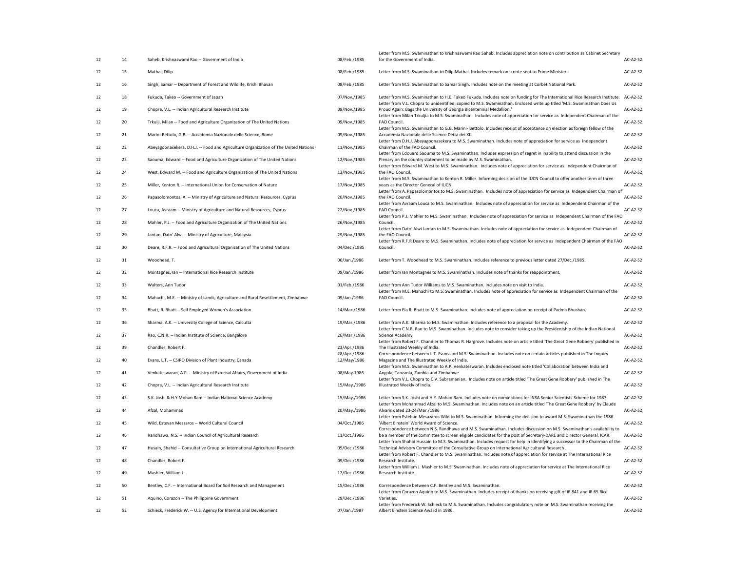|    |    |                                                                                     |                                | Letter from M.S. Swaminathan to Krishnaswami Rao Saheb. Includes appreciation note on contribution as Cabinet Secretary                                                                                                                               |                 |
|----|----|-------------------------------------------------------------------------------------|--------------------------------|-------------------------------------------------------------------------------------------------------------------------------------------------------------------------------------------------------------------------------------------------------|-----------------|
| 12 | 14 | Saheb, Krishnaswami Rao -- Government of India                                      | 08/Feb./1985                   | for the Government of India.                                                                                                                                                                                                                          | <b>AC-A2-S2</b> |
| 12 | 15 | Mathai, Dilip                                                                       | 08/Feb./1985                   | Letter from M.S. Swaminathan to Dilip Mathai. Includes remark on a note sent to Prime Minister.                                                                                                                                                       | <b>AC-A2-S2</b> |
| 12 | 16 | Singh, Samar -- Department of Forest and Wildlife, Krishi Bhavan                    | 08/Feb./1985                   | Letter from M.S. Swaminathan to Samar Singh. Includes note on the meeting at Corbet National Park.                                                                                                                                                    | <b>AC-A2-S2</b> |
| 12 | 18 | Fukuda, Takeo -- Government of Japan                                                | 07/Nov./1985                   | Letter from M.S. Swaminathan to H.E. Takeo Fukuda. Includes note on funding for The International Rice Research Institute.<br>Letter from V.L. Chopra to unidentified, copied to M.S. Swaminathan. Enclosed write up titled 'M.S. Swaminathan Does Us | AC-A2-S2        |
| 12 | 19 | Chopra, V.L. -- Indian Agricultural Research Institute                              | 08/Nov./1985                   | Proud Again: Bags the University of Georgia Bicentennial Medallion.'                                                                                                                                                                                  | <b>AC-A2-S2</b> |
| 12 | 20 | Trkulji, Milan -- Food and Agriculture Organization of The United Nations           | 09/Nov./1985                   | Letter from Milan Trkuljia to M.S. Swaminathan. Includes note of appreciation for service as Independent Chairman of the<br>FAO Council.                                                                                                              | <b>AC-A2-S2</b> |
| 12 | 21 | Marini-Bettolo, G.B. -- Accademia Nazionale delle Science, Rome                     | 09/Nov./1985                   | Letter from M.S. Swaminathan to G.B. Marini-Bettolo. Includes receipt of acceptance on election as foreign fellow of the<br>Accademia Nazionale delle Science Detta dei XL.                                                                           | <b>AC-A2-S2</b> |
| 12 | 22 | Abeyagoonasekera, D.H.J. -- Food and Agriculture Organization of The United Nations | 11/Nov./1985                   | Letter from D.H.J. Abeyagoonasekera to M.S. Swaminathan. Includes note of appreciation for service as Independent<br>Chairman of the FAO Council.                                                                                                     | <b>AC-A2-S2</b> |
| 12 | 23 | Saouma, Edward -- Food and Agriculture Organization of The United Nations           | 12/Nov./1985                   | Letter from Edouard Saouma to M.S. Swaminathan. Includes expression of regret in inability to attend discussion in the<br>Plenary on the country statement to be made by M.S. Swaminathan.                                                            | <b>AC-A2-S2</b> |
| 12 | 24 | West, Edward M. -- Food and Agriculture Organization of The United Nations          | 13/Nov./1985                   | Letter from Edward M. West to M.S. Swaminathan. Includes note of appreciation for service as Independent Chairman of<br>the FAO Council.                                                                                                              | <b>AC-A2-S2</b> |
| 12 | 25 | Miller, Kenton R. -- International Union for Conservation of Nature                 | 17/Nov./1985                   | Letter from M.S. Swaminathan to Kenton R. Miller. Informing decision of the IUCN Council to offer another term of three<br>years as the Director General of IUCN.                                                                                     | <b>AC-A2-S2</b> |
| 12 | 26 | Papasolomontos, A. -- Ministry of Agriculture and Natural Resources, Cyprus         | 20/Nov./1985                   | Letter from A. Papasolomontos to M.S. Swaminathan. Includes note of appreciation for service as Independent Chairman of<br>the FAO Council.                                                                                                           | <b>AC-A2-S2</b> |
| 12 | 27 | Louca, Avraam -- Ministry of Agriculture and Natural Resources, Cyprus              | 22/Nov./1985                   | Letter from Avraam Louca to M.S. Swaminathan. Includes note of appreciation for service as Independent Chairman of the<br>FAO Council.                                                                                                                | <b>AC-A2-S2</b> |
| 12 | 28 | Mahler, P.J. -- Food and Agriculture Organization of The United Nations             | 26/Nov./1985                   | Letter from P.J. Mahler to M.S. Swaminathan. Includes note of appreciation for service as Independent Chairman of the FAO<br>Council.                                                                                                                 | <b>AC-A2-S2</b> |
| 12 | 29 | Jantan, Dato' Alwi -- Ministry of Agriculture, Malaysia                             | 29/Nov./1985                   | Letter from Dato' Alwi Jantan to M.S. Swaminathan. Includes note of appreciation for service as Independent Chairman of<br>the FAO Council.                                                                                                           | <b>AC-A2-S2</b> |
| 12 | 30 | Deare, R.F.R. -- Food and Agricultural Organization of The United Nations           | 04/Dec./1985                   | Letter from R.F.R Deare to M.S. Swaminathan. Includes note of appreciation for service as Independent Chairman of the FAO<br>Council.                                                                                                                 | AC-A2-S2        |
| 12 | 31 | Woodhead, T.                                                                        | 06/Jan./1986                   | Letter from T. Woodhead to M.S. Swaminathan. Includes reference to previous letter dated 27/Dec./1985.                                                                                                                                                | <b>AC-A2-S2</b> |
| 12 | 32 | Montagnes, Ian -- International Rice Research Institute                             | 09/Jan./1986                   | Letter from Ian Montagnes to M.S. Swaminathan. Includes note of thanks for reappointment.                                                                                                                                                             | <b>AC-A2-S2</b> |
| 12 | 33 | Walters, Ann Tudor                                                                  | 01/Feb./1986                   | Letter from Ann Tudor Williams to M.S. Swaminathan. Includes note on visit to India.                                                                                                                                                                  | <b>AC-A2-S2</b> |
| 12 | 34 | Mahachi, M.E. -- Ministry of Lands, Agriculture and Rural Resettlement, Zimbabwe    | 09/Jan./1986                   | Letter from M.E. Mahachi to M.S. Swaminathan. Includes note of appreciation for service as Independent Chairman of the<br>FAO Council.                                                                                                                | <b>AC-A2-S2</b> |
|    |    |                                                                                     |                                |                                                                                                                                                                                                                                                       | <b>AC-A2-S2</b> |
| 12 | 35 | Bhatt, R. Bhatt -- Self Employed Women's Association                                | 14/Mar./1986                   | Letter from Ela R. Bhatt to M.S. Swaminathan. Includes note of appreciation on receipt of Padma Bhushan.                                                                                                                                              |                 |
| 12 | 36 | Sharma, A.K. -- University College of Science, Calcutta                             | 19/Mar./1986                   | Letter from A.K. Sharma to M.S. Swaminathan. Includes reference to a proposal for the Academy.<br>Letter from C.N.R. Rao to M.S. Swaminathan. Includes note to consider taking up the Presidentship of the Indian National                            | <b>AC-A2-S2</b> |
| 12 | 37 | Rao, C.N.R. -- Indian Institute of Science, Bangalore                               | 26/Mar./1986                   | Science Academy.<br>Letter from Robert F. Chandler to Thomas R. Hargrove. Includes note on article titled 'The Great Gene Robbery' published in                                                                                                       | <b>AC-A2-S2</b> |
| 12 | 39 | Chandler, Robert F.                                                                 | 23/Apr./1986<br>28/Apr./1986 - | The Illustrated Weekly of India.<br>Correspondence between L.T. Evans and M.S. Swaminathan. Includes note on certain articles published in The Inquiry                                                                                                | <b>AC-A2-S2</b> |
| 12 | 40 | Evans, L.T. -- CSIRO Division of Plant Industry, Canada                             | 12/May/1986                    | Magazine and The Illustrated Weekly of India.<br>Letter from M.S. Swaminathan to A.P. Venkateswaran. Includes enclosed note titled 'Collaboration between India and                                                                                   | <b>AC-A2-S2</b> |
| 12 | 41 | Venkateswaran, A.P. -- Ministry of External Affairs, Government of India            | 08/May.1986                    | Angola, Tanzania, Zambia and Zimbabwe.<br>Letter from V.L. Chopra to C.V. Subramanian. Includes note on article titled 'The Great Gene Robbery' published in The                                                                                      | <b>AC-A2-S2</b> |
| 12 | 42 | Chopra, V.L. -- Indian Agricultural Research Institute                              | 15/May./1986                   | Illustrated Weekly of India.                                                                                                                                                                                                                          | <b>AC-A2-S2</b> |
| 12 | 43 | S.K. Joshi & H.Y Mohan Ram -- Indian National Science Academy                       | 15/May./1986                   | Letter from S.K. Joshi and H.Y. Mohan Ram. Includes note on nominations for INSA Senior Scientists Scheme for 1987.                                                                                                                                   | <b>AC-A2-S2</b> |
| 12 | 44 | Afzal, Mohammad                                                                     | 20/May./1986                   | Letter from Mohammad Afzal to M.S. Swaminathan. Includes note on an article titled 'The Great Gene Robbery' by Claude<br>Alvaris dated 23-24/Mar./1986                                                                                                | <b>AC-A2-S2</b> |
| 12 | 45 | Wild, Estevan Meszaros -- World Cultural Council                                    | 04/Oct./1986                   | Letter from Esteban Mesazaros Wild to M.S. Swaminathan. Informing the decision to award M.S. Swaminathan the 1986<br>'Albert Einstein' World Award of Science.                                                                                        | <b>AC-A2-S2</b> |
| 12 | 46 | Randhawa, N.S. -- Indian Council of Agricultural Research                           | 11/Oct./1986                   | Correspondence between N.S. Randhawa and M.S. Swaminathan. Includes discussion on M.S. Swaminathan's availability to<br>be a member of the committee to screen eligible candidates for the post of Secretary-DARE and Director General, ICAR.         | AC-A2-S2        |
| 12 | 47 | Husain, Shahid -- Consultative Group on International Agricultural Research         | 05/Dec./1986                   | Letter from Shahid Hussain to M.S. Swaminathan. Includes request for help in identifying a successor to the Chairman of the<br>Technical Advisory Committee of the Consultative Group on International Agricultural Research.                         | AC-A2-S2        |
| 12 | 48 | Chandler, Robert F.                                                                 | 09/Dec./1986                   | Letter from Robert F. Chandler to M.S. Swaminathan. Includes note of appreciation for service at The International Rice<br>Research Institute.                                                                                                        | <b>AC-A2-S2</b> |
| 12 | 49 | Mashler, William J.                                                                 | 12/Dec./1986                   | Letter from William J. Mashler to M.S. Swaminathan. Includes note of appreciation for service at The International Rice<br>Research Institute.                                                                                                        | AC-A2-S2        |
| 12 | 50 | Bentley, C.F. -- International Board for Soil Research and Management               | 15/Dec./1986                   | Correspondence between C.F. Bentley and M.S. Swaminathan.                                                                                                                                                                                             | <b>AC-A2-S2</b> |
| 12 | 51 | Aquino, Corazon -- The Philippine Government                                        | 29/Dec./1986                   | Letter from Corazon Aquino to M.S. Swaminathan. Includes receipt of thanks on receiving gift of IR 841 and IR 65 Rice<br>Varieties.                                                                                                                   | <b>AC-A2-S2</b> |
| 12 | 52 | Schieck, Frederick W. -- U.S. Agency for International Development                  | 07/Jan./1987                   | Letter from Frederick W. Schieck to M.S. Swaminathan. Includes congratulatory note on M.S. Swaminathan receiving the<br>Albert Einstein Science Award in 1986.                                                                                        | AC-A2-S2        |
|    |    |                                                                                     |                                |                                                                                                                                                                                                                                                       |                 |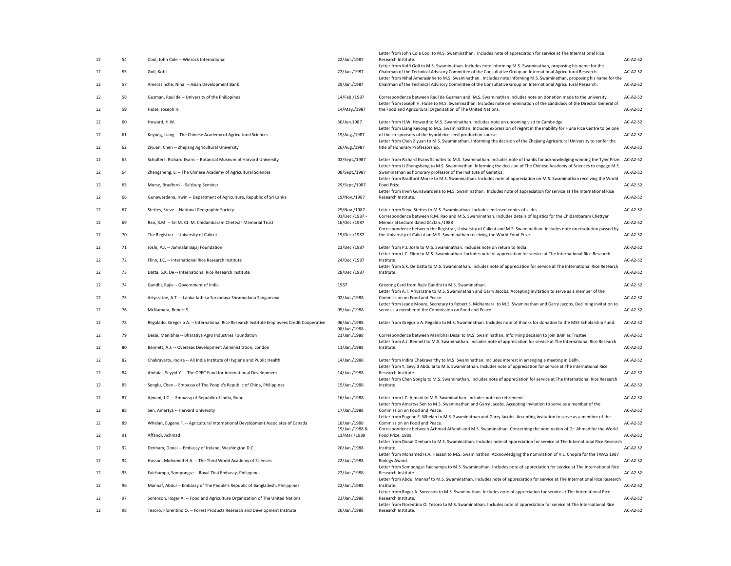| 12 | 54 | Cool, John Cole -- Winrock International                                                    | 22/Jan./1987                   | Letter from John Cole Cool to M.S. Swaminathan. Includes note of appreciation for service at The International Rice<br>Research Institute.                                                                                               | AC-A2-S2        |
|----|----|---------------------------------------------------------------------------------------------|--------------------------------|------------------------------------------------------------------------------------------------------------------------------------------------------------------------------------------------------------------------------------------|-----------------|
|    |    |                                                                                             |                                | Letter from Koffi Goli to M.S. Swaminathan. Includes note informing M.S. Swaminathan, proposing his name for the                                                                                                                         |                 |
| 12 | 55 | Goli, Koffi                                                                                 | 22/Jan./1987                   | Chairman of the Technical Advisory Committee of the Consultative Group on International Agricultural Research.<br>Letter from Nihal Amerasinhe to M.S. Swaminathan. Includes note informing M.S. Swaminathan, proposing his name for the | <b>AC-A2-S2</b> |
| 12 | 57 | Amerasinche, Nihal -- Asian Development Bank                                                | 29/Jan./1987                   | Chairman of the Technical Advisory Committee of the Consultative Group on International Agricultural Research.                                                                                                                           | AC-A2-S2        |
| 12 | 58 | Guzman, Raul de -- University of the Philippines                                            | 14/Feb./1987                   | Correspondence between Raul de Guzman and M.S. Swaminathan Includes note on donation made to the university.<br>Letter from Joseph H. Hulse to M.S. Swaminathan. Includes note on nomination of the candidacy of the Director General of | AC-A2-S2        |
| 12 | 59 | Hulse, Joseph H.                                                                            | 14/May./1987                   | the Food and Agricultural Organization of The United Nations.                                                                                                                                                                            | AC-A2-S2        |
| 12 | 60 | Howard, H.W.                                                                                | 30/Jun.1987                    | Letter from H.W. Howard to M.S. Swaminathan. Includes note on upcoming visit to Cambridge.                                                                                                                                               | <b>AC-A2-S2</b> |
| 12 | 61 | Keyong, Liang -- The Chinese Academy of Agricultural Sciences                               | 19/Aug./1987                   | Letter from Liang Keyong to M.S. Swaminathan. Includes expression of regret in the inability for Huna Rice Centre to be one<br>of the co-sponsors of the hybrid rice seed production course.                                             | AC-A2-S2        |
| 12 | 62 | Ziyuan, Chen -- Zhejiang Agricultural University                                            | 26/Aug./1987                   | Letter from Chen Ziyuan to M.S. Swaminathan. Informing the decision of the Zhejiang Agricultural University to confer the<br>title of Honorary Professorship.                                                                            | AC-A2-S2        |
| 12 | 63 | Schulters, Richard Evans -- Botanical Museum of Harvard University                          | 02/Sept./1987                  | Letter from Richard Evans Schultes to M.S. Swaminathan. Includes note of thanks for acknowledging winning the Tyler Prize. AC-A2-S2                                                                                                      |                 |
| 12 | 64 | Zhengsheng, Li -- The Chinese Academy of Agricultural Sciences                              | 08/Sept./1987                  | Letter from Li Zhengsheng to M.S. Swaminathan. Informing the decision of The Chinese Academy of Sciences to engage M.S.<br>Swaminathan as honorary professor of the Institute of Genetics.                                               | <b>AC-A2-S2</b> |
| 12 | 65 | Morse, Bradford -- Salzburg Seminar                                                         | 29/Sept./1987                  | Letter from Bradford Morse to M.S. Swaminathan. Includes note of appreciation on M.S. Swaminathan receiving the World<br>Food Prize.                                                                                                     | <b>AC-A2-S2</b> |
| 12 | 66 | Gunawardena, Irwin -- Department of Agriculture, Republic of Sri Lanka                      | 19/Nov./1987                   | Letter from Irwin Gunawardena to M.S. Swaminathan. Includes note of appreciation for service at The International Rice<br>Research Institute.                                                                                            | AC-A2-S2        |
| 12 | 67 | Stettes, Steve -- National Geographic Society                                               | 25/Nov./1987                   | Letter from Steve Stettes to M.S. Swaminathan. Includes enclosed copies of slides.                                                                                                                                                       | AC-A2-S2        |
| 12 | 69 | Rao, R.M. -- Sri M. Ct. M. Chidambaram Chettyar Memorial Trust                              | 01/Dec./1987 -<br>16/Dec./1987 | Correspondence between R.M. Rao and M.S. Swaminathan. Includes details of logistics for the Chidambaram Chettyar<br>Memorial Lecture dated 04/Jan./1988                                                                                  | AC-A2-S2        |
| 12 | 70 | The Registrar -- University of Calicut                                                      | 19/Dec./1987                   | Correspondence between the Registrar, University of Calicut and M.S. Swaminathan. Includes note on resolution passed by<br>the University of Calicut on M.S. Swaminathan receiving the World Food Prize.                                 | AC-A2-S2        |
| 12 | 71 | Joshi, P.J. -- Jamnalal Bajaj Foundation                                                    | 23/Dec./1987                   | Letter from P.J. Joshi to M.S. Swaminathan. Includes note on return to India.                                                                                                                                                            | <b>AC-A2-S2</b> |
| 12 | 72 | Flinn, J.C. -- International Rice Research Institute                                        | 24/Dec./1987                   | Letter from J.C. Flinn to M.S. Swaminathan. Includes note of appreciation for service at The International Rice Research<br>Institute.                                                                                                   | <b>AC-A2-S2</b> |
| 12 | 73 | Datta, S.K. De -- International Rice Research Institute                                     | 28/Dec./1987                   | Letter from S.K. De Datta to M.S. Swaminathan. Includes note of appreciation for service at The International Rice Research<br>Institute.                                                                                                | AC-A2-S2        |
| 12 | 74 | Gandhi, Rajiv -- Government of India                                                        | 1987                           | Greeting Card from Rajiv Gandhi to M.S. Swaminathan.                                                                                                                                                                                     | AC-A2-S2        |
| 12 | 75 | Ariyaratne, A.T. -- Lanka Jathika Sarvodaya Shramadana Sangamaya                            | 02/Jan./1988                   | Letter from A.T. Ariyaratne to M.S. Swaminathan and Garry Jacobs. Accepting invitation to serve as a member of the<br>Commission on Food and Peace.                                                                                      | <b>AC-A2-S2</b> |
| 12 | 76 | McNamara, Robert S.                                                                         | 05/Jan./1988                   | Letter from Jeane Moore, Secretary to Robert S. McNamara to M.S. Swaminathan and Garry Jacobs. Declining invitation to<br>serve as a member of the Commission on Food and Peace.                                                         | AC-A2-S2        |
| 12 | 78 | Regalado, Gregorio A. -- International Rice Research Institute Employees Credit Cooperative | 06/Jan./1988                   | Letter from Gregorio A. Regaldo to M.S. Swaminathan. Includes note of thanks for donation to the MSS Scholarship Fund.                                                                                                                   | AC-A2-S2        |
| 12 | 79 | Desai, Manibhai -- Bharatiya Agro Industries Foundation                                     | 08/Jan./1988 -<br>21/Jan./1988 | Correspondence between Manibhai Desai to M.S. Swaminathan. Informing decision to join BAIF as Trustee.                                                                                                                                   | <b>AC-A2-S2</b> |
| 12 | 80 | Bennett, A.J. -- Overseas Development Administration, London                                | 11/Jan./1988                   | Letter from A.J. Bennett to M.S. Swaminathan. Includes note of appreciation for service at The International Rice Research<br>Institute.                                                                                                 | <b>AC-A2-S2</b> |
| 12 | 82 | Chakravarty, Indira -- All India Institute of Hygiene and Public Health                     | 14/Jan./1988                   | Letter from Indira Chakravarthy to M.S. Swaminathan. Includes interest in arranging a meeting in Delhi.<br>Letter from Y. Seyyid Abdulai to M.S. Swaminathan. Includes note of appreciation for service at The International Rice        | <b>AC-A2-S2</b> |
| 12 | 84 | Abdulai, Seyyid Y. -- The OPEC Fund for International Development                           | 14/Jan./1988                   | Research Institute.                                                                                                                                                                                                                      | <b>AC-A2-S2</b> |
| 12 | 85 | Songlu, Chen -- Embassy of The People's Republic of China, Philippines                      | 15/Jan./1988                   | Letter from Chen Songlu to M.S. Swaminathan. Includes note of appreciation for service at The International Rice Research<br>Institute.                                                                                                  | <b>AC-A2-S2</b> |
| 12 | 87 | Ajmani, J.C. -- Embassy of Republic of India, Bonn                                          | 16/Jan./1988                   | Letter from J.C. Ajmani to M.S. Swaminathan. Includes note on retirement.                                                                                                                                                                | <b>AC-A2-S2</b> |
| 12 | 88 | Sen, Amartya -- Harvard University                                                          | 17/Jan./1988                   | Letter from Amartya Sen to M.S. Swaminathan and Garry Jacobs. Accepting invitation to serve as a member of the<br>Commission on Food and Peace.                                                                                          | <b>AC-A2-S2</b> |
| 12 | 89 | Whelan, Eugene F. -- Agricultural International Development Associates of Canada            | 18/Jan./1988                   | Letter from Eugene F. Whelan to M.S. Swaminathan and Garry Jacobs. Accepting invitation to serve as a member of the<br>Commission on Food and Peace.                                                                                     | <b>AC-A2-S2</b> |
| 12 | 91 | Affandi, Achmad                                                                             | 19/Jan./1988 &<br>11/Mar./1989 | Correspondence between Achmad Affandi and M.S. Swaminathan. Concerning the nomination of Dr. Ahmad for the World<br>Food Prize, 1989.                                                                                                    | <b>AC-A2-S2</b> |
| 12 | 92 | Denham, Donal -- Embassy of Ireland, Washington D.C.                                        | 20/Jan./1988                   | Letter from Donal Denham to M.S. Swaminathan. Includes note of appreciation for service at The International Rice Research<br>Institute.                                                                                                 | <b>AC-A2-S2</b> |
| 12 | 94 | Hassan, Mohamed H.A. -- The Third World Academy of Sciences                                 | 22/Jan./1988                   | Letter from Mohamed H.A. Hassan to M.S. Swaminathan. Acknowledging the nomination of V.L. Chopra for the TWAS 1987<br>Biology Award.                                                                                                     | <b>AC-A2-S2</b> |
| 12 | 95 | Faichampa, Sompongse -- Royal Thai Embassy, Philippines                                     | 22/Jan./1988                   | Letter from Sompongse Faichampa to M.S. Swaminathan. Includes note of appreciation for service at The International Rice<br>Research Institute.                                                                                          | <b>AC-A2-S2</b> |
| 12 | 96 | Mannaf, Abdul -- Embassy of The People's Republic of Bangladesh, Philippines                | 22/Jan./1988                   | Letter from Abdul Mannaf to M.S. Swaminathan. Includes note of appreciation for service at The International Rice Research<br>Institute.                                                                                                 | <b>AC-A2-S2</b> |
| 12 | 97 | Sorenson, Roger A. -- Food and Agriculture Organization of The United Nations               | 23/Jan./1988                   | Letter from Roger A. Sorenson to M.S. Swaminathan. Includes note of appreciation for service at The International Rice<br>Research Institute.                                                                                            | AC-A2-S2        |
| 12 | 98 | Tesoro, Florentino O. -- Forest Products Research and Development Institute                 | 26/Jan./1988                   | Letter from Florentino O. Tesoro to M.S. Swaminathan. Includes note of appreciation for service at The International Rice<br>Research Institute.                                                                                         | AC-A2-S2        |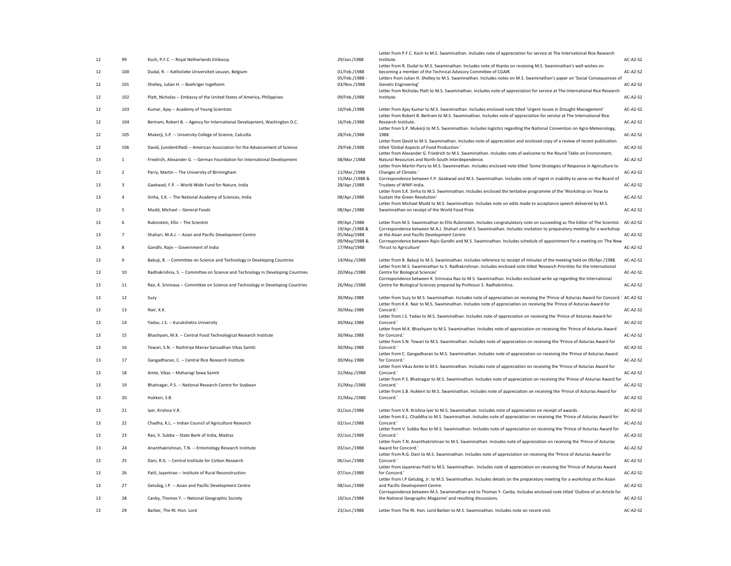| 12 | 99             | Koch, P.F.C. -- Royal Netherlands Embassy                                        | 29/Jan./1988                   | Letter from P.F.C. Koch to M.S. Swaminathan. Includes note of appreciation for service at The International Rice Research<br>Institute.                                                                                                                        | <b>AC-A2-S2</b> |
|----|----------------|----------------------------------------------------------------------------------|--------------------------------|----------------------------------------------------------------------------------------------------------------------------------------------------------------------------------------------------------------------------------------------------------------|-----------------|
|    |                |                                                                                  |                                | Letter from R. Dudal to M.S. Swaminathan. Includes note of thanks on receiving M.S. Swaminathan's well wishes on                                                                                                                                               |                 |
| 12 | 100            | Dudal, R. -- Katholieke Universiteit Leuvan, Belgium                             | 01/Feb./1988<br>05/Feb./1988 - | becoming a member of the Technical Advisory Committee of CGAIR.<br>Letters from Julian H. Shelley to M.S. Swaminathan. Includes notes on M.S. Swaminathan's paper on 'Social Consequences of                                                                   | <b>AC-A2-S2</b> |
| 12 | 101            | Shelley, Julian H. -- Boehriger Ingelheim                                        | 03/Nov./1988                   | Genetic Engineering'<br>Letter from Nicholas Platt to M.S. Swaminathan. Includes note of appreciation for service at The International Rice Research                                                                                                           | <b>AC-A2-S2</b> |
| 12 | 102            | Platt, Nicholas -- Embassy of the United States of America, Philippines          | 09/Feb./1988                   | Institute.                                                                                                                                                                                                                                                     | AC-A2-S2        |
| 12 | 103            | Kumar, Ajay -- Academy of Young Scientists                                       | 10/Feb./1988                   | Letter from Ajay Kumar to M.S. Swaminathan. Includes enclosed note titled 'Urgent Issues in Drought Management'<br>Letter from Robert B. Bertram to M.S. Swaminathan. Includes note of appreciation for service at The International Rice                      | <b>AC-A2-S2</b> |
| 12 | 104            | Bertram, Robert B. -- Agency for International Development, Washington D.C.      | 16/Feb./1988                   | Research Institute.<br>Letter from S.P. Mukerji to M.S. Swaminathan. Includes logistics regarding the National Convention on Agro-Meteorology,                                                                                                                 | <b>AC-A2-S2</b> |
| 12 | 105            | Mukerji, S.P. -- University College of Science, Calcutta                         | 28/Feb./1988                   | 1988.                                                                                                                                                                                                                                                          | <b>AC-A2-S2</b> |
| 12 | 106            | David, (unidentified) -- American Association for the Advancement of Science     | 29/Feb./1988                   | Letter from David to M.S. Swaminathan. Includes note of appreciation and enclosed copy of a review of recent publication<br>titled 'Global Aspects of Food Production.'                                                                                        | <b>AC-A2-S2</b> |
| 13 |                | Friedrich, Alexander G. -- German Foundation for International Development       | 08/Mar./1988                   | Letter from Alexander G. Friedrich to M.S. Swaminathan. Includes note of welcome to the Round Table on Environment,<br>Natural Resources and North-South Interdependence.                                                                                      | <b>AC-A2-S2</b> |
| 13 | $\overline{2}$ | Parry, Martin -- The University of Birmingham                                    | 11/Mar./1988                   | Letter from Martin Parry to M.S. Swaminathan. Includes enclosed note titled 'Some Strategies of Response in Agriculture to<br>Changes of Climate.'                                                                                                             | <b>AC-A2-S2</b> |
| 13 |                | Gaekwad, F.P. -- World Wide Fund for Nature, India                               | 15/Mar./1988 &<br>28/Apr./1988 | Correspondence between F.P. Geakwad and M.S. Swaminathan. Includes note of regret in inability to serve on the Board of<br>Trustees of WWF-India.                                                                                                              | <b>AC-A2-S2</b> |
| 13 |                | Sinha, S.K. -- The National Academy of Sciences, India                           | 08/Apr./1988                   | Letter from S.K. Sinha to M.S. Swaminathan. Includes enclosed the tentative programme of the 'Workshop on 'How to<br>Sustain the Green Revolution'                                                                                                             | <b>AC-A2-S2</b> |
| 13 |                | Mudd, Michael -- General Foods                                                   | 08/Apr./1988                   | Letter from Michael Mudd to M.S. Swaminathan. Includes note on edits made to acceptance speech delivered by M.S.<br>Swaminathan on receipt of the World Food Prize.                                                                                            | <b>AC-A2-S2</b> |
|    |                |                                                                                  |                                |                                                                                                                                                                                                                                                                |                 |
| 13 | 6              | Rubinstein, Ellis -- The Scientist                                               | 09/Apr./1988<br>19/Apr./1988 & | Letter from M.S. Swaminathan to Ellis Rubinstein. Includes congratulatory note on succeeding as The Editor of The Scientist. AC-A2-S2<br>Correspondence between M.A.J. Shahari and M.S. Swaminathan. Includes invitation to preparatory meeting for a workshop |                 |
| 13 |                | Shahari, M.A.J. -- Asian and Pacific Development Centre                          | 05/May/1988<br>09/May/1988 &   | at the Asian and Pacific Development Centre.<br>Correspondence between Rajiv Gandhi and M.S. Swaminathan. Includes schedule of appointment for a meeting on 'The New                                                                                           | <b>AC-A2-S2</b> |
| 13 | 8              | Gandhi, Rajiv -- Government of India                                             | 17/May/1988                    | Thrust to Agriculture'                                                                                                                                                                                                                                         | AC-A2-S2        |
| 13 | 9              | Babuji, B. -- Committee on Science and Technology in Developing Countries        | 14/May./1988                   | Letter from B. Babuji to M.S. Swaminathan. Includes reference to receipt of minutes of the meeting held on 09/Apr./1988.<br>Letter from M.S. Swaminathan to S. Radhakrishnan. Includes enclosed note titled 'Research Priorities for the International         | <b>AC-A2-S2</b> |
| 13 | 10             | Radhakrishna, S. -- Committee on Science and Technology in Developing Countries  | 20/May./1988                   | Centre for Biological Sciences'                                                                                                                                                                                                                                | <b>AC-A2-S2</b> |
| 13 | 11             | Rao, K. Srinivasa -- Committee on Science and Technology in Developing Countries | 26/May./1988                   | Correspondence between K. Srinivasa Rao to M.S. Swaminathan. Includes enclosed write up regarding the International<br>Centre for Biological Sciences prepared by Professor S. Radhakrishna.                                                                   | AC-A2-S2        |
| 13 | 12             | Suzy                                                                             | 30/May.1988                    | Letter from Suzy to M.S. Swaminathan. Includes note of appreciation on receiving the 'Prince of Asturias Award for Concord.' AC-A2-S2                                                                                                                          |                 |
| 13 | 13             | Nair, K.K.                                                                       | 30/May.1988                    | Letter from K.K. Nair to M.S. Swaminathan. Includes note of appreciation on receiving the 'Prince of Asturias Award for<br>Concord.                                                                                                                            | <b>AC-A2-S2</b> |
| 13 | 14             | Yadav, J.S. -- Kurukshetra University                                            | 30/May.1988                    | Letter from J.S. Yadav to M.S. Swaminathan. Includes note of appreciation on receiving the 'Prince of Asturias Award for<br>Concord.'                                                                                                                          | <b>AC-A2-S2</b> |
| 13 | 15             | Bhashyam, M.K. -- Central Food Technological Research Institute                  | 30/May.1988                    | Letter from M.K. Bhashyam to M.S. Swaminathan. Includes note of appreciation on receiving the 'Prince of Asturias Award<br>for Concord.'                                                                                                                       | <b>AC-A2-S2</b> |
| 13 | 16             | Tewari, S.N. -- Rashtriya Manav Sansadhan Vikas Samiti                           | 30/May.1988                    | Letter from S.N. Tewari to M.S. Swaminathan. Includes note of appreciation on receiving the 'Prince of Asturias Award for<br>Concord.'                                                                                                                         | <b>AC-A2-S2</b> |
|    |                |                                                                                  |                                | Letter from C. Gangadharan to M.S. Swaminathan. Includes note of appreciation on receiving the 'Prince of Asturias Award                                                                                                                                       |                 |
| 13 | 17             | Gangadharan, C. -- Central Rice Research Institute                               | 30/May.1988                    | for Concord.'<br>Letter from Vikas Amte to M.S. Swaminathan. Includes note of appreciation on receiving the 'Prince of Asturias Award for                                                                                                                      | AC-A2-S2        |
| 13 | 18             | Amte, Vikas -- Maharogi Sewa Samiti                                              | 31/May./1988                   | Concord.<br>Letter from P.S. Bhatnagar to M.S. Swaminathan. Includes note of appreciation on receiving the 'Prince of Asturias Award for                                                                                                                       | <b>AC-A2-S2</b> |
| 13 | 19             | Bhatnagar, P.S. -- National Research Centre for Soybean                          | 31/May./1988                   | Concord.<br>Letter from S.B. Hukkeri to M.S. Swaminathan. Includes note of appreciation on receiving the 'Prince of Asturias Award for                                                                                                                         | AC-A2-S2        |
| 13 | 20             | Hukkeri, S.B.                                                                    | 31/May./1988                   | Concord.                                                                                                                                                                                                                                                       | AC-A2-S2        |
| 13 | 21             | Iyer, Krishna V.R.                                                               | 01/Jun./1988                   | Letter from V.R. Krishna Iyer to M.S. Swaminathan. Includes note of appreciation on receipt of awards.                                                                                                                                                         | <b>AC-A2-S2</b> |
| 13 | 22             | Chadha, K.L. -- Indian Council of Agriculture Research                           | 02/Jun./1988                   | Letter from K.L. Chaddha to M.S. Swaminathan. Includes note of appreciation on receiving the 'Prince of Asturias Award for<br>Concord.                                                                                                                         | <b>AC-A2-S2</b> |
| 13 | 23             | Rao, V. Subba -- State Bank of India, Madras                                     | 02/Jun./1988                   | Letter from V. Subba Rao to M.S. Swaminathan. Includes note of appreciation on receiving the 'Prince of Asturias Award for<br>Concord.'                                                                                                                        | <b>AC-A2-S2</b> |
| 13 | 24             | Ananthakrishnan, T.N. -- Entomology Research Institute                           | 03/Jun./1988                   | Letter from T.N. Ananthakrishnan to M.S. Swaminathan. Includes note of appreciation on receiving the 'Prince of Asturias<br>Award for Concord.'                                                                                                                | <b>AC-A2-S2</b> |
| 13 | 25             | Dani, R.G. -- Central Institute for Cotton Research                              | 06/Jun./1988                   | Letter from R.G. Dani to M.S. Swaminathan. Includes note of appreciation on receiving the 'Prince of Asturias Award for<br>Concord.                                                                                                                            | AC-A2-S2        |
| 13 | 26             | Patil, Jayantrao -- Institute of Rural Reconstruction                            | 07/Jun./1988                   | Letter from Jayantrao Patil to M.S. Swaminathan. Includes note of appreciation on receiving the 'Prince of Asturias Award<br>for Concord."                                                                                                                     | <b>AC-A2-S2</b> |
|    |                |                                                                                  |                                | Letter from I.P Getubig, Jr. to M.S. Swaminathan. Includes details on the preparatory meeting for a workshop at the Asian                                                                                                                                      |                 |
| 13 | 27             | Getubig, I.P. -- Asian and Pacific Development Centre                            | 08/Jun./1988                   | and Pacific Development Centre.<br>Correspondence between M.S. Swaminathan and to Thomas Y. Canby. Includes enclosed note titled 'Outline of an Article for                                                                                                    | <b>AC-A2-S2</b> |
| 13 | 28             | Canby, Thomas Y. -- National Geographic Society                                  | 10/Jun./1988                   | the National Geographic Magazine' and resulting discussions.                                                                                                                                                                                                   | AC-A2-S2        |
| 13 | 29             | Barber, The Rt. Hon. Lord                                                        | 23/Jun./1988                   | Letter from The Rt. Hon. Lord Barber to M.S. Swaminathan. Includes note on recent visit.                                                                                                                                                                       | <b>AC-A2-S2</b> |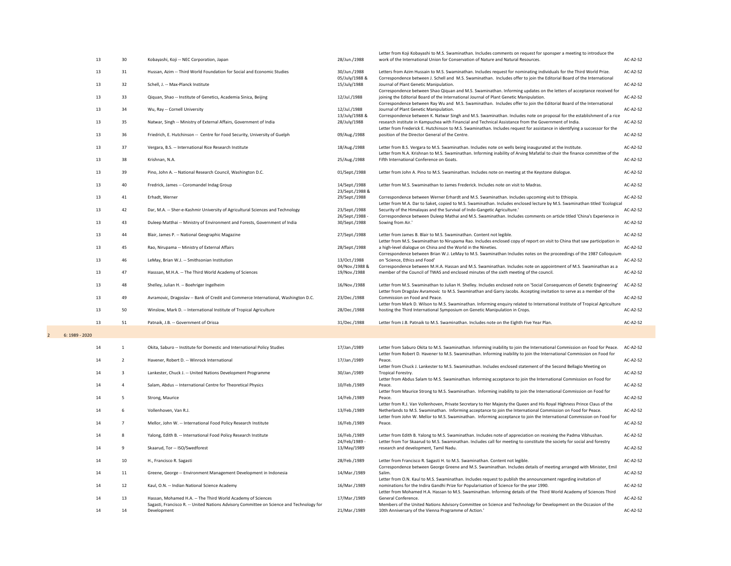|                                  | 13       | 30 <sup>°</sup> | Kobayashi, Koji -- NEC Corporation, Japan                                                                                           | 28/Jun./1988                     | Letter from Koji Kobayashi to M.S. Swaminathan. Includes comments on request for sponsper a meeting to introduce the<br>work of the International Union for Conservation of Nature and Natural Resources.                                                                                                                                                      | $AC-A2-S2$             |
|----------------------------------|----------|-----------------|-------------------------------------------------------------------------------------------------------------------------------------|----------------------------------|----------------------------------------------------------------------------------------------------------------------------------------------------------------------------------------------------------------------------------------------------------------------------------------------------------------------------------------------------------------|------------------------|
|                                  | 13       | 31              | Hussan, Azim -- Third World Foundation for Social and Economic Studies                                                              | 30/Jun./1988                     | Letters from Azim Hussain to M.S. Swaminathan. Includes request for nominating individuals for the Third World Prize.                                                                                                                                                                                                                                          | AC-A2-S2               |
|                                  | 13       | 32              | Schell, J. -- Max-Planck Institute                                                                                                  | 05/July/1988 &<br>15/July/1988   | Correspondence between J. Schell and M.S. Swaminathan. Includes offer to join the Editorial Board of the International<br>Journal of Plant Genetic Manipulation.                                                                                                                                                                                               | <b>AC-A2-S2</b>        |
|                                  | 13       | 33              | Qiquan, Shao -- Institute of Genetics, Academia Sinica, Beijing                                                                     | 12/Jul./1988                     | Correspondence between Shao Qiquan and M.S. Swaminathan. Informing updates on the letters of acceptance received for<br>joining the Editorial Board of the International Journal of Plant Genetic Manipulation.                                                                                                                                                | <b>AC-A2-S2</b>        |
|                                  | 13       | 34              | Wu, Ray -- Cornell University                                                                                                       | 12/Jul./1988                     | Correspondence between Ray Wu and M.S. Swaminathan. Includes offer to join the Editorial Board of the International<br>Journal of Plant Genetic Manipulation.                                                                                                                                                                                                  | <b>AC-A2-S2</b>        |
|                                  | 13       | 35              | Natwar, Singh -- Ministry of External Affairs, Government of India                                                                  | 13/July/1988 &<br>28/July/1988   | Correspondence between K. Natwar Singh and M.S. Swaminathan. Includes note on proposal for the establishment of a rice<br>research institute in Kampuchea with Financial and Technical Assistance from the Government of India.<br>Letter from Frederick E. Hutchinson to M.S. Swaminathan. Includes request for assistance in identifying a successor for the | <b>AC-A2-S2</b>        |
|                                  | 13       | 36              | Friedrich, E. Hutchinson -- Centre for Food Security, University of Guelph                                                          | 09/Aug./1988                     | position of the Director General of the Centre.                                                                                                                                                                                                                                                                                                                | AC-A2-S2               |
|                                  | 13       | 37              | Vergara, B.S. -- International Rice Research Institute                                                                              | 18/Aug./1988                     | Letter from B.S. Vergara to M.S. Swaminathan. Includes note on wells being inaugurated at the Institute.<br>Letter from N.A. Krishnan to M.S. Swaminathan. Informing inability of Arving Mafatlal to chair the finance committee of the                                                                                                                        | <b>AC-A2-S2</b>        |
|                                  | 13       | 38              | Krishnan, N.A.                                                                                                                      | 25/Aug./1988                     | Fifth International Conference on Goats.                                                                                                                                                                                                                                                                                                                       | <b>AC-A2-S2</b>        |
|                                  | 13       | 39              | Pino, John A. -- National Research Council, Washington D.C.                                                                         | 01/Sept./1988                    | Letter from John A. Pino to M.S. Swaminathan. Includes note on meeting at the Keystone dialogue.                                                                                                                                                                                                                                                               | <b>AC-A2-S2</b>        |
|                                  | 13       | 40              | Fredrick, James -- Coromandel Indag Group                                                                                           | 14/Sept./1988<br>23/Sept./1988 & | Letter from M.S. Swaminathan to James Frederick. Includes note on visit to Madras.                                                                                                                                                                                                                                                                             | AC-A2-S2               |
|                                  | 13       | 41              | Erhadt, Werner                                                                                                                      | 29/Sept./1988                    | Correspondence between Werner Erhardt and M.S. Swaminathan. Includes upcoming visit to Ethiopia.<br>Letter from M.A. Dar to Saket, copied to M.S. Swaminathan. Includes enclosed lecture by M.S. Swaminathan titled 'Ecological                                                                                                                                | <b>AC-A2-S2</b>        |
|                                  | 13       | 42              | Dar, M.A. -- Sher-e-Kashmir University of Agricultural Sciences and Technology                                                      | 23/Sept./1988<br>26/Sept./1988 - | Security of the Himalayas and the Survival of Indo-Gangetic Agriculture.'<br>Correspondence between Duleep Mathai and M.S. Swaminathan. Includes comments on article titled 'China's Experience in                                                                                                                                                             | AC-A2-S2               |
|                                  | 13       | 43              | Duleep Matthai -- Ministry of Environment and Forests, Government of India                                                          | 30/Sept./1988                    | Sowing from Air.'                                                                                                                                                                                                                                                                                                                                              | AC-A2-S2               |
|                                  | 13       | 44              | Blair, James P. -- National Geographic Magazine                                                                                     | 27/Sept./1988                    | Letter from James B. Blair to M.S. Swaminathan. Content not legible.<br>Letter from M.S. Swaminathan to Nirupama Rao. Includes enclosed copy of report on visit to China that saw participation in                                                                                                                                                             | <b>AC-A2-S2</b>        |
|                                  | 13       | 45              | Rao, Nirupama -- Ministry of External Affairs                                                                                       | 28/Sept./1988                    | a high-level dialogue on China and the World in the Nineties.<br>Correspondence between Brian W.J. LeMay to M.S. Swaminathan Includes notes on the proceedings of the 1987 Colloquium                                                                                                                                                                          | $AC-A2-S2$             |
|                                  | 13       | 46              | LeMay, Brian W.J. -- Smithsonian Institution                                                                                        | 13/Oct./1988<br>04/Nov./1988 &   | on 'Science, Ethics and Food'<br>Correspondence between M.H.A. Hassan and M.S. Swaminathan. Includes note on appointment of M.S. Swaminathan as a                                                                                                                                                                                                              | <b>AC-A2-S2</b>        |
|                                  | 13       | 47              | Hasssan, M.H.A. -- The Third World Academy of Sciences                                                                              | 19/Nov./1988                     | member of the Council of TWAS and enclosed minutes of the sixth meeting of the council.                                                                                                                                                                                                                                                                        | <b>AC-A2-S2</b>        |
|                                  | 13       | 48              | Shelley, Julian H. -- Boehriger Ingelheim                                                                                           | 16/Nov./1988                     | Letter from M.S. Swaminathan to Julian H. Shelley. Includes enclosed note on 'Social Consequences of Genetic Engineering'<br>Letter from Dragslav Avramovic to M.S. Swaminathan and Garry Jacobs. Accepting invitation to serve as a member of the                                                                                                             | <b>AC-A2-S2</b>        |
|                                  | 13       | 49              | Avramovic, Dragoslav -- Bank of Credit and Commerce International, Washington D.C.                                                  | 23/Dec./1988                     | Commission on Food and Peace.<br>Letter from Mark D. Wilson to M.S. Swaminathan. Informing enquiry related to International Institute of Tropical Agriculture                                                                                                                                                                                                  | <b>AC-A2-S2</b>        |
|                                  | 13       | 50              | Winslow, Mark D. -- International Institute of Tropical Agriculture                                                                 | 28/Dec./1988                     | hosting the Third International Symposium on Genetic Manipulation in Crops.                                                                                                                                                                                                                                                                                    | <b>AC-A2-S2</b>        |
|                                  | 13       | 51              | Patnaik, J.B. -- Government of Orissa                                                                                               | 31/Dec./1988                     | Letter from J.B. Patnaik to M.S. Swaminathan. Includes note on the Eighth Five Year Plan.                                                                                                                                                                                                                                                                      | <b>AC-A2-S2</b>        |
| 6: 1989 - 2020<br>$\overline{2}$ |          |                 |                                                                                                                                     |                                  |                                                                                                                                                                                                                                                                                                                                                                |                        |
|                                  | 14       |                 | Okita, Saburo -- Institute for Domestic and International Policy Studies                                                            | 17/Jan./1989                     | Letter from Saburo Okita to M.S. Swaminathan. Informing inability to join the International Commission on Food for Peace.<br>Letter from Robert D. Havener to M.S. Swaminathan. Informing inability to join the International Commission on Food for                                                                                                           | $AC-A2-S2$             |
|                                  | 14       |                 | Havener, Robert D. -- Winrock International                                                                                         | 17/Jan./1989                     | Peace.<br>Letter from Chuck J. Lankester to M.S. Swaminathan. Includes enclosed statement of the Second Bellagio Meeting on                                                                                                                                                                                                                                    | <b>AC-A2-S2</b>        |
|                                  | 14       |                 | Lankester, Chuck J. -- United Nations Development Programme                                                                         | 30/Jan./1989                     | Tropical Forestry.<br>Letter from Abdus Salam to M.S. Swaminathan. Informing acceptance to join the International Commission on Food for                                                                                                                                                                                                                       | <b>AC-A2-S2</b>        |
|                                  | 14       |                 | Salam, Abdus -- International Centre for Theoretical Physics                                                                        | 10/Feb./1989                     | Peace.<br>Letter from Maurice Strong to M.S. Swaminathan. Informing inability to join the International Commission on Food for                                                                                                                                                                                                                                 | AC-A2-S2               |
|                                  | 14       |                 | Strong, Maurice                                                                                                                     | 14/Feb./1989                     | Peace.<br>Letter from R.J. Van Vollenhoven, Private Secretary to Her Majesty the Queen and His Royal Highness Prince Claus of the                                                                                                                                                                                                                              | <b>AC-A2-S2</b>        |
|                                  | 14       |                 | Vollenhoven, Van R.J.                                                                                                               | 13/Feb./1989                     | Netherlands to M.S. Swaminathan. Informing acceptance to join the International Commission on Food for Peace.<br>Letter from John W. Mellor to M.S. Swaminathan. Informing acceptance to join the International Commission on Food for                                                                                                                         | $AC-A2-S2$             |
|                                  | 14<br>14 |                 | Mellor, John W. -- International Food Policy Research Institute<br>Yalong, Edith B. -- International Food Policy Research Institute | 16/Feb./1989<br>16/Feb./1989     | Peace.<br>Letter from Edith B. Yalong to M.S. Swaminathan. Includes note of appreciation on receiving the Padma Vibhushan.                                                                                                                                                                                                                                     | AC-A2-S2<br>$AC-A2-S2$ |
|                                  | 14       |                 | Skaarud, Tor -- ISO/Swedforest                                                                                                      | 24/Feb/1989 -<br>13/May/1989     | Letter from Tor Skaarud to M.S. Swaminathan. Includes call for meeting to constitute the society for social and forestry<br>research and development, Tamil Nadu.                                                                                                                                                                                              | AC-A2-S2               |
|                                  | 14       | 10              | H., Francisco R. Sagasti                                                                                                            | 28/Feb./1989                     | Letter from Francisco R. Sagasti H. to M.S. Swaminathan. Content not legible.                                                                                                                                                                                                                                                                                  | AC-A2-S2               |
|                                  | 14       | 11              | Greene, George -- Environment Management Development in Indonesia                                                                   | 14/Mar./1989                     | Correspondence between George Greene and M.S. Swaminathan. Includes details of meeting arranged with Minister, Emil<br>Salim.                                                                                                                                                                                                                                  | AC-A2-S2               |
|                                  | 14       | 12              | Kaul, O.N. -- Indian National Science Academy                                                                                       | 16/Mar./1989                     | Letter from O.N. Kaul to M.S. Swaminathan. Includes request to publish the announcement regarding invitation of<br>nominations for the Indira Gandhi Prize for Popularisation of Science for the year 1990.                                                                                                                                                    | $AC-A2-S2$             |
|                                  | 14       | 13              | Hassan, Mohamed H.A. -- The Third World Academy of Sciences                                                                         | 17/Mar./1989                     | Letter from Mohamed H.A. Hassan to M.S. Swaminathan. Informing details of the Third World Academy of Sciences Third<br>General Conference.                                                                                                                                                                                                                     | AC-A2-S2               |
|                                  | 14       | 14              | Sagasti, Francisco R. -- United Nations Advisory Committee on Science and Technology for<br>Development                             | 21/Mar./1989                     | Members of the United Nations Advisory Committee on Science and Technology for Development on the Occasion of the<br>10th Anniversary of the Vienna Programme of Action.'                                                                                                                                                                                      | $AC-A2-S2$             |
|                                  |          |                 |                                                                                                                                     |                                  |                                                                                                                                                                                                                                                                                                                                                                |                        |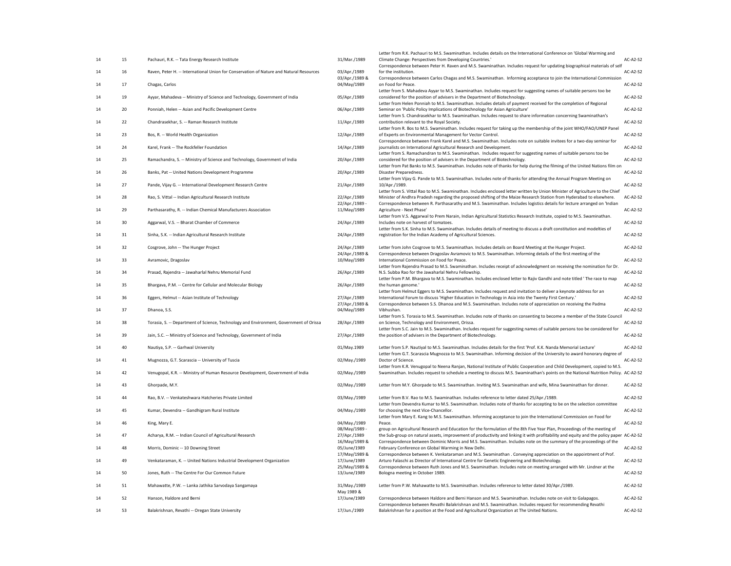| 14 | 15 <sub>1</sub> |                                                                                         |                                | Letter from R.K. Pachauri to M.S. Swaminathan. Includes details on the International Conference on 'Global Warming and<br>Climate Change: Perspectives from Developing Countries.'                                                                                                                                       | <b>AC-A2-S2</b> |
|----|-----------------|-----------------------------------------------------------------------------------------|--------------------------------|--------------------------------------------------------------------------------------------------------------------------------------------------------------------------------------------------------------------------------------------------------------------------------------------------------------------------|-----------------|
|    |                 | Pachauri, R.K. -- Tata Energy Research Institute                                        | 31/Mar./1989                   | Correspondence between Peter H. Raven and M.S. Swaminathan. Includes request for updating biographical materials of self                                                                                                                                                                                                 |                 |
| 14 | 16              | Raven, Peter H. -- International Union for Conservation of Nature and Natural Resources | 03/Apr./1989<br>03/Apr./1989 & | for the institution.<br>Correspondence between Carlos Chagas and M.S. Swaminathan. Informing acceptance to join the International Commission                                                                                                                                                                             | <b>AC-A2-S2</b> |
| 14 | 17              | Chagas, Carlos                                                                          | 04/May/1989                    | on Food for Peace.                                                                                                                                                                                                                                                                                                       | <b>AC-A2-S2</b> |
| 14 | 19              | Ayyar, Mahadeva -- Ministry of Science and Technology, Government of India              | 05/Apr./1989                   | Letter from S. Mahadeva Ayyar to M.S. Swaminathan. Includes request for suggesting names of suitable persons too be<br>considered for the position of advisers in the Department of Biotechnology.<br>Letter from Helen Ponniah to M.S. Swaminathan. Includes details of payment received for the completion of Regional | <b>AC-A2-S2</b> |
| 14 | 20              | Ponniah, Helen -- Asian and Pacific Development Centre                                  | 06/Apr./1989                   | Seminar on 'Public Policy Implications of Biotechnology for Asian Agriculture'                                                                                                                                                                                                                                           | <b>AC-A2-S2</b> |
| 14 | 22              | Chandrasekhar, S. -- Raman Research Institute                                           | 11/Apr./1989                   | Letter from S. Chandrasekhar to M.S. Swaminathan. Includes request to share information concerning Swaminathan's<br>contribution relevant to the Royal Society.                                                                                                                                                          | <b>AC-A2-S2</b> |
| 14 | 23              | Bos, R. -- World Health Organization                                                    | 12/Apr./1989                   | Letter from R. Bos to M.S. Swaminathan. Includes request for taking up the membership of the joint WHO/FAO/UNEP Panel<br>of Experts on Environmental Management for Vector Control.                                                                                                                                      | <b>AC-A2-S2</b> |
| 14 | 24              | Karel, Frank -- The Rockfeller Foundation                                               | 14/Apr./1989                   | Correspondence between Frank Karel and M.S. Swaminathan. Includes note on suitable invitees for a two-day seminar for<br>journalists on International Agricultural Research and Development.                                                                                                                             | <b>AC-A2-S2</b> |
| 14 | 25              | Ramachandra, S. -- Ministry of Science and Technology, Government of India              | 20/Apr./1989                   | Letter from S. Ramachandran to M.S. Swaminathan. Includes request for suggesting names of suitable persons too be<br>considered for the position of advisers in the Department of Biotechnology.                                                                                                                         | <b>AC-A2-S2</b> |
| 14 | 26              | Banks, Pat -- United Nations Development Programme                                      | 20/Apr./1989                   | Letter from Pat Banks to M.S. Swaminathan. Includes note of thanks for help during the filming of the United Nations film on<br>Disaster Preparedness.                                                                                                                                                                   | <b>AC-A2-S2</b> |
| 14 | 27              | Pande, Vijay G. -- International Development Research Centre                            | 21/Apr./1989                   | Letter from Vijay G. Pande to M.S. Swaminathan. Includes note of thanks for attending the Annual Program Meeting on<br>10/Apr./1989.                                                                                                                                                                                     | <b>AC-A2-S2</b> |
| 14 | 28              | Rao, S. Vittal -- Indian Agricultural Research Institute                                | 22/Apr./1989                   | Letter from S. Vittal Rao to M.S. Swaminathan. Includes enclosed letter written by Union Minister of Agriculture to the Chief<br>Minister of Andhra Pradesh regarding the proposed shifting of the Maize Research Station from Hyderabad to elsewhere.                                                                   | <b>AC-A2-S2</b> |
| 14 | 29              | Parthasarathy, R. -- Indian Chemical Manufacturers Association                          | 22/Apr./1989 -<br>11/May/1989  | Correspondence between R. Parthasarathy and M.S. Swaminathan. Includes logistics details for lecture arranged on 'Indian<br>Agriculture - Next Phase'                                                                                                                                                                    | <b>AC-A2-S2</b> |
| 14 | 30              | Aggarwal, V.S. -- Bharat Chamber of Commerce                                            | 24/Apr./1989                   | Letter from V.S. Aggarwal to Prem Narain, Indian Agricultural Statistics Research Institute, copied to M.S. Swaminathan.<br>Includes note on harvest of tomatoes.                                                                                                                                                        | AC-A2-S2        |
| 14 | 31              | Sinha, S.K. -- Indian Agricultural Research Institute                                   | 24/Apr./1989                   | Letter from S.K. Sinha to M.S. Swaminathan. Includes details of meeting to discuss a draft constitution and modelties of<br>registration for the Indian Academy of Agricultural Sciences.                                                                                                                                | <b>AC-A2-S2</b> |
| 14 | 32              | Cosgrove, John -- The Hunger Project                                                    | 24/Apr./1989                   | Letter from John Cosgrove to M.S. Swaminathan. Includes details on Board Meeting at the Hunger Project.                                                                                                                                                                                                                  | <b>AC-A2-S2</b> |
| 14 | 33              | Avramovic, Dragoslav                                                                    | 24/Apr./1989 &<br>10/May/1989  | Correspondence between Dragoslav Avramovic to M.S. Swaminathan. Informing details of the first meeting of the<br>International Commission on Food for Peace.                                                                                                                                                             | <b>AC-A2-S2</b> |
| 14 | 34              | Prasad, Rajendra -- Jawaharlal Nehru Memorial Fund                                      | 26/Apr./1989                   | Letter from Rajendra Prasad to M.S. Swaminathan. Includes receipt of acknowledgment on receiving the nomination for Dr.<br>N.S. Subba Rao for the Jawaharlal Nehru Fellowship.                                                                                                                                           | <b>AC-A2-S2</b> |
| 14 | 35              | Bhargava, P.M. -- Centre for Cellular and Molecular Biology                             | 26/Apr./1989                   | Letter from P.M. Bhargava to M.S. Swaminathan. Includes enclosed letter to Rajiv Gandhi and note titled 'The race to map<br>the human genome.'                                                                                                                                                                           | <b>AC-A2-S2</b> |
| 14 | 36              | Eggers, Helmut -- Asian Institute of Technology                                         | 27/Apr./1989                   | Letter from Helmut Eggers to M.S. Swaminathan. Includes request and invitation to deliver a keynote address for an<br>International Forum to discuss 'Higher Education in Technology in Asia into the Twenty First Century.'                                                                                             | <b>AC-A2-S2</b> |
| 14 | 37              | Dhanoa, S.S.                                                                            | 27/Apr./1989 &<br>04/May/1989  | Correspondence between S.S. Dhanoa and M.S. Swaminathan. Includes note of appreciation on receiving the Padma<br>Vibhushan.                                                                                                                                                                                              | <b>AC-A2-S2</b> |
| 14 | 38              | Torasia, S. -- Department of Science, Technology and Environment, Government of Orissa  | 28/Apr./1989                   | Letter from S. Torasia to M.S. Swaminathan. Includes note of thanks on consenting to become a member of the State Council<br>on Science, Technology and Environment, Orissa.                                                                                                                                             | AC-A2-S2        |
| 14 | 39              | Jain, S.C. -- Ministry of Science and Technology, Government of India                   | 27/Apr./1989                   | Letter from S.C. Jain to M.S. Swaminathan. Includes request for suggesting names of suitable persons too be considered for<br>the position of advisers in the Department of Biotechnology.                                                                                                                               | <b>AC-A2-S2</b> |
| 14 | 40              | Nautiya, S.P. -- Garhwal University                                                     | 01/May.1989                    | Letter from S.P. Nautiyal to M.S. Swaminathan. Includes details for the first 'Prof. K.K. Nanda Memorial Lecture'                                                                                                                                                                                                        | <b>AC-A2-S2</b> |
| 14 | 41              | Mugnozza, G.T. Scarascia -- University of Tuscia                                        | 02/May./1989                   | Letter from G.T. Scarascia Mugnozza to M.S. Swaminathan. Informing decision of the University to award honorary degree of<br>Doctor of Science.                                                                                                                                                                          | <b>AC-A2-S2</b> |
| 14 | 42              | Venugopal, K.R. -- Ministry of Human Resource Development, Government of India          | 02/May./1989                   | Letter from K.R. Venugopal to Neena Ranjan, National Institute of Public Cooperation and Child Development, copied to M.S.<br>Swaminathan. Includes request to schedule a meeting to discuss M.S. Swaminathan's points on the National Nutrition Policy. AC-A2-S2                                                        |                 |
| 14 | 43              | Ghorpade, M.Y.                                                                          | 02/May./1989                   | Letter from M.Y. Ghorpade to M.S. Swaminathan. Inviting M.S. Swaminathan and wife, Mina Swaminathan for dinner.                                                                                                                                                                                                          | <b>AC-A2-S2</b> |
| 14 | 44              | Rao, B.V. -- Venkateshwara Hatcheries Private Limited                                   | 03/May./1989                   | Letter from B.V. Rao to M.S. Swaminathan. Includes reference to letter dated 25/Apr./1989.                                                                                                                                                                                                                               | AC-A2-S2        |
| 14 | 45              | Kumar, Devendra -- Gandhigram Rural Institute                                           | 04/May./1989                   | Letter from Devendra Kumar to M.S. Swaminathan. Includes note of thanks for accepting to be on the selection committee<br>for choosing the next Vice-Chancellor.                                                                                                                                                         | <b>AC-A2-S2</b> |
| 14 | 46              | King, Mary E.                                                                           | 04/May./1989                   | Letter from Mary E. Kang to M.S. Swaminathan. Informing acceptance to join the International Commission on Food for<br>Peace.                                                                                                                                                                                            | AC-A2-S2        |
| 14 | 47              | Acharya, R.M. -- Indian Council of Agricultural Research                                | 08/May/1989 -<br>27/Apr./1989  | group on Agricultural Research and Education for the formulation of the 8th Five Year Plan, Proceedings of the meeting of<br>the Sub-group on natural assets, improvement of productivity and linking it with profitability and equity and the policy paper AC-A2-S2                                                     |                 |
| 14 | 48              | Morris, Dominic -- 10 Downing Street                                                    | 16/May/1989 &<br>05/June/1989  | Correspondence between Dominic Morris and M.S. Swaminathan. Includes note on the summary of the proceedings of the<br>February Conference on Global Warming in New Delhi.                                                                                                                                                | <b>AC-A2-S2</b> |
| 14 | 49              | Venkataraman, K. -- United Nations Industrial Development Organization                  | 17/May/1989 &<br>17/June/1989  | Correspondence between K. Venkataraman and M.S. Swaminathan . Conveying appreciation on the appointment of Prof.<br>Arturo Falaschi as Director of International Centre for Genetic Engineering and Biotechnology.                                                                                                       | <b>AC-A2-S2</b> |
| 14 | 50              | Jones, Ruth -- The Centre For Our Common Future                                         | 25/May/1989 &<br>13/June/1989  | Correspondence between Ruth Jones and M.S. Swaminathan. Includes note on meeting arranged with Mr. Lindner at the<br>Bologna meeting in October 1989.                                                                                                                                                                    | <b>AC-A2-S2</b> |
| 14 | 51              | Mahawatte, P.W. -- Lanka Jathika Sarvodaya Sangamaya                                    | 31/May./1989                   | Letter from P.W. Mahawatte to M.S. Swaminathan. Includes reference to letter dated 30/Apr./1989.                                                                                                                                                                                                                         | <b>AC-A2-S2</b> |
| 14 | 52              | Hanson, Haldore and Berni                                                               | May 1989 &<br>17/June/1989     | Correspondence between Haldore and Berni Hanson and M.S. Swaminathan. Includes note on visit to Galapagos.                                                                                                                                                                                                               | <b>AC-A2-S2</b> |
| 14 | 53              | Balakrishnan, Revathi -- Oregan State University                                        | 17/Jun./1989                   | Correspondence between Revathi Balakrishnan and M.S. Swaminathan. Includes request for recommending Revathi<br>Balakrishnan for a position at the Food and Agricultural Organization at The United Nations.                                                                                                              | <b>AC-A2-S2</b> |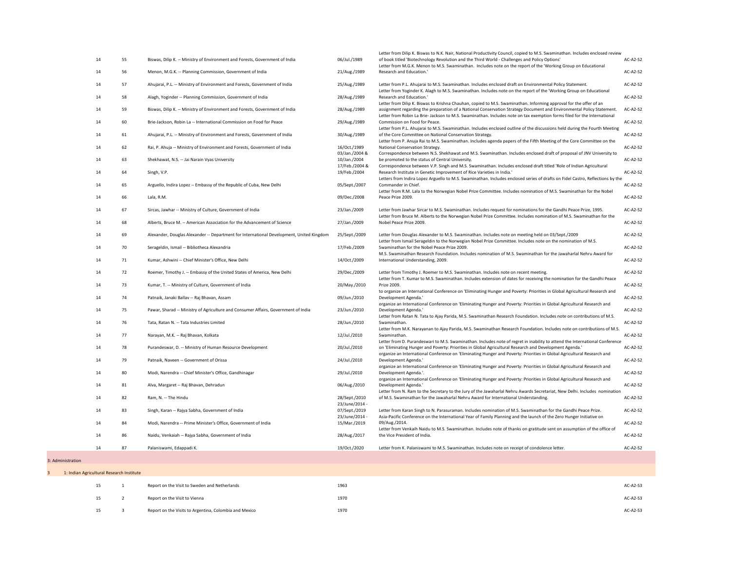| 14<br>14 | 55 | Biswas, Dilip K. -- Ministry of Environment and Forests, Government of India             | 06/Jul./1989                    | of book titled 'Biotechnology Revolution and the Third World - Challenges and Policy Options'                                                                                                                                                                                                                                                                          | $AC-A2-S2$      |
|----------|----|------------------------------------------------------------------------------------------|---------------------------------|------------------------------------------------------------------------------------------------------------------------------------------------------------------------------------------------------------------------------------------------------------------------------------------------------------------------------------------------------------------------|-----------------|
|          |    |                                                                                          |                                 |                                                                                                                                                                                                                                                                                                                                                                        |                 |
|          | 56 | Menon, M.G.K. -- Planning Commission, Government of India                                | 21/Aug./1989                    | Letter from M.G.K. Menon to M.S. Swaminathan. Includes note on the report of the 'Working Group on Educational<br>Research and Education.'                                                                                                                                                                                                                             | AC-A2-S2        |
| 14       | 57 | Ahujarai, P.L. -- Ministry of Environment and Forests, Government of India               | 25/Aug./1989                    | Letter from P.L. Ahujarai to M.S. Swaminathan. Includes enclosed draft on Environmental Policy Statement.<br>Letter from Yoginder K. Alagh to M.S. Swaminathan. Includes note on the report of the 'Working Group on Educational                                                                                                                                       | AC-A2-S2        |
| 14       | 58 | Alagh, Yoginder -- Planning Commission, Government of India                              | 28/Aug./1989                    | Research and Education.'                                                                                                                                                                                                                                                                                                                                               | $AC-A2-S2$      |
| 14       | 59 | Biswas, Dilip K. -- Ministry of Environment and Forests, Government of India             | 28/Aug./1989                    | Letter from Dilip K. Biswas to Krishna Chauhan, copied to M.S. Swaminathan. Informing approval for the offer of an<br>assignment regarding the preparation of a National Conservation Strategy Document and Environmental Policy Statement.<br>Letter from Robin La Brie-Jackson to M.S. Swaminathan. Includes note on tax exemption forms filed for the International | $AC-A2-S2$      |
| 14       | 60 | Brie-Jackson, Robin La -- International Commission on Food for Peace                     | 29/Aug./1989                    | Commission on Food for Peace.<br>Letter from P.L. Ahujarai to M.S. Swaminathan. Includes enclosed outline of the discussions held during the Fourth Meeting                                                                                                                                                                                                            | $AC-A2-S2$      |
| 14       | 61 | Ahujarai, P.L. -- Ministry of Environment and Forests, Government of India               | 30/Aug./1989                    | of the Core Committee on National Conservation Strategy.<br>Letter from P. Anuja Rai to M.S. Swaminathan. Includes agenda papers of the Fifth Meeting of the Core Committee on the                                                                                                                                                                                     | $AC-A2-S2$      |
| 14       | 62 | Rai, P. Ahuja -- Ministry of Environment and Forests, Government of India                | 16/Oct./1989<br>03/Jan./2004 &  | <b>National Conservation Strategy.</b><br>Correspondence between N.S. Shekhawat and M.S. Swaminathan. Includes enclosed draft of proposal of JNV University to                                                                                                                                                                                                         | <b>AC-A2-S2</b> |
| 14       | 63 | Shekhawat, N.S. -- Jai Narain Vyas University                                            | 10/Jan./2004                    | be promoted to the status of Central University.                                                                                                                                                                                                                                                                                                                       | $AC-A2-S2$      |
| 14       | 64 | Singh, V.P.                                                                              | 17/Feb./2004 &<br>19/Feb./2004  | Correspondence between V.P. Singh and M.S. Swaminathan. Includes enclosed draft titled 'Role of Indian Agricultural<br>Research Institute in Genetic Improvement of Rice Varieties in India.'                                                                                                                                                                          | <b>AC-A2-S2</b> |
| 14       | 65 | Arguello, Indira Lopez -- Embassy of the Republic of Cuba, New Delhi                     | 05/Sept./2007                   | Letters from Indira Lopez Arguello to M.S. Swaminathan. Includes enclosed series of drafts on Fidel Castro, Reflections by the<br>Commander in Chief.                                                                                                                                                                                                                  | AC-A2-S2        |
| 14       | 66 | Lala, R.M.                                                                               | 09/Dec./2008                    | Letter from R.M. Lala to the Norwegian Nobel Prize Committee. Includes nomination of M.S. Swaminathan for the Nobel<br>Peace Prize 2009.                                                                                                                                                                                                                               | <b>AC-A2-S2</b> |
| 14       | 67 | Sircas, Jawhar -- Ministry of Culture, Government of India                               | 23/Jan./2009                    | Letter from Jawhar Sircar to M.S. Swaminathan. Includes request for nominations for the Gandhi Peace Prize, 1995.<br>Letter from Bruce M. Alberts to the Norwegian Nobel Prize Committee. Includes nomination of M.S. Swaminathan for the                                                                                                                              | $AC-A2-S2$      |
| 14       | 68 | Alberts, Bruce M. -- American Association for the Advancement of Science                 | 27/Jan./2009                    | Nobel Peace Prize 2009.                                                                                                                                                                                                                                                                                                                                                | AC-A2-S2        |
| 14       | 69 | Alexander, Douglas Alexander -- Department for International Development, United Kingdom | 25/Sept./2009                   | Letter from Douglas Alexander to M.S. Swaminathan. Includes note on meeting held on 03/Sept./2009<br>Letter from Ismail Serageldin to the Norwegian Nobel Prize Committee. Includes note on the nomination of M.S.                                                                                                                                                     | AC-A2-S2        |
| 14       | 70 | Serageldin, Ismail -- Bibliotheca Alexandria                                             | 17/Feb./2009                    | Swaminathan for the Nobel Peace Prize 2009.<br>M.S. Swaminathan Research Foundation. Includes nomination of M.S. Swaminathan for the Jawaharlal Nehru Award for                                                                                                                                                                                                        | <b>AC-A2-S2</b> |
| 14       | 71 | Kumar, Ashwini -- Chief Minister's Office, New Delhi                                     | 14/Oct./2009                    | International Understanding, 2009.                                                                                                                                                                                                                                                                                                                                     | AC-A2-S2        |
| 14       | 72 | Roemer, Timothy J. -- Embassy of the United States of America, New Delhi                 | 29/Dec./2009                    | Letter from Timothy J. Roemer to M.S. Swaminathan. Includes note on recent meeting.<br>Letter from T. Kumar to M.S. Swaminathan. Includes extension of dates for receiving the nomination for the Gandhi Peace                                                                                                                                                         | $AC-A2-S2$      |
| 14       | 73 | Kumar, T. -- Ministry of Culture, Government of India                                    | 20/May./2010                    | Prize 2009.<br>to organize an International Conference on 'Eliminating Hunger and Poverty: Priorities in Global Agricultural Research and                                                                                                                                                                                                                              | $AC-A2-S2$      |
| 14       | 74 | Patnaik, Janaki Ballav -- Raj Bhavan, Assam                                              | 09/Jun./2010                    | Development Agenda.<br>organize an International Conference on 'Eliminating Hunger and Poverty: Priorities in Global Agricultural Research and                                                                                                                                                                                                                         | AC-A2-S2        |
| 14       | 75 | Pawar, Sharad -- Ministry of Agriculture and Consumer Affairs, Government of India       | 23/Jun./2010                    | Development Agenda.'<br>Letter from Ratan N. Tata to Ajay Parida, M.S. Swaminathan Research Foundation. Includes note on contributions of M.S.                                                                                                                                                                                                                         | $AC-A2-S2$      |
| 14       | 76 | Tata, Ratan N. -- Tata Industries Limited                                                | 28/Jun./2010                    | Swaminathan.<br>Letter from M.K. Narayanan to Ajay Parida, M.S. Swaminathan Research Foundation. Includes note on contributions of M.S.                                                                                                                                                                                                                                | <b>AC-A2-S2</b> |
| 14       | 77 | Narayan, M.K. -- Raj Bhavan, Kolkata                                                     | 12/Jul./2010                    | Swaminathan.<br>Letter from D. Purandeswari to M.S. Swaminathan. Includes note of regret in inability to attend the International Conference                                                                                                                                                                                                                           | <b>AC-A2-S2</b> |
| 14       | 78 | Purandeswar, D. -- Ministry of Human Resource Development                                | 20/Jul./2010                    | on 'Eliminating Hunger and Poverty: Priorities in Global Agricultural Research and Development Agenda.'<br>organize an International Conference on 'Eliminating Hunger and Poverty: Priorities in Global Agricultural Research and                                                                                                                                     | $AC-A2-S2$      |
| 14       | 79 | Patnaik, Naveen -- Government of Orissa                                                  | 24/Jul./2010                    | Development Agenda.'<br>organize an International Conference on 'Eliminating Hunger and Poverty: Priorities in Global Agricultural Research and                                                                                                                                                                                                                        | $AC-A2-S2$      |
| 14       | 80 | Modi, Narendra -- Chief Minister's Office, Gandhinagar                                   | 29/Jul./2010                    | Development Agenda.'.<br>organize an International Conference on 'Eliminating Hunger and Poverty: Priorities in Global Agricultural Research and                                                                                                                                                                                                                       | <b>AC-A2-S2</b> |
| 14       | 81 | Alva, Margaret -- Raj Bhavan, Dehradun                                                   | 06/Aug./2010                    | Development Agenda.'<br>Letter from N. Ram to the Secretary to the Jury of the Jawaharlal Nehru Awards Secretariat, New Delhi. Includes nomination                                                                                                                                                                                                                     | <b>AC-A2-S2</b> |
| 14       | 82 | Ram, N. -- The Hindu                                                                     | 28/Sept./2010<br>23/June/2014 - | of M.S. Swaminathan for the Jawaharlal Nehru Award for International Understanding.                                                                                                                                                                                                                                                                                    | <b>AC-A2-S2</b> |
| 14       | 83 | Singh, Karan -- Rajya Sabha, Government of India                                         | 07/Sept./2019                   | Letter from Karan Singh to N. Parasuraman. Includes nomination of M.S. Swaminathan for the Gandhi Peace Prize.<br>Asia-Pacific Conference on the International Year of Family Planning and the launch of the Zero Hunger Initiative on                                                                                                                                 | $AC-A2-S2$      |
| 14       | 84 | Modi, Narendra -- Prime Minister's Office, Government of India                           | 23/June/2014 -<br>15/Mar./2019  | 09/Aug./2014.<br>Letter from Venkaih Naidu to M.S. Swaminathan. Includes note of thanks on gratitude sent on assumption of the office of                                                                                                                                                                                                                               | $AC-A2-S2$      |
| 14       | 86 | Naidu, Venkaiah -- Rajya Sabha, Government of India                                      | 28/Aug./2017                    | the Vice President of India.                                                                                                                                                                                                                                                                                                                                           | AC-A2-S2        |
| 14       | 87 | Palaniswami, Edappadi K.                                                                 | 19/Oct./2020                    | Letter from K. Palaniswami to M.S. Swaminathan. Includes note on receipt of condolence letter.                                                                                                                                                                                                                                                                         | $AC-A2-S2$      |

|  |  |  |  |  |  |  | 3: Administration |
|--|--|--|--|--|--|--|-------------------|
|--|--|--|--|--|--|--|-------------------|

| 1: Indian Agricultural Research Institute |                                                        |      |            |
|-------------------------------------------|--------------------------------------------------------|------|------------|
| 15                                        | Report on the Visit to Sweden and Netherlands          | 1963 | $AC-A2-S3$ |
| 15                                        | Report on the Visit to Vienna                          | 1970 | $AC-A2-S3$ |
| 15                                        | Report on the Visits to Argentina, Colombia and Mexico | 1970 | $AC-A2-S3$ |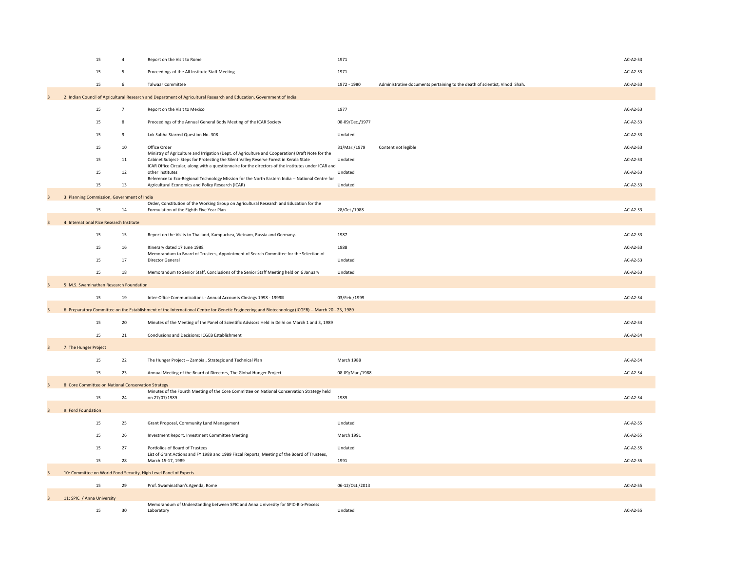|                         | 15                                                                | $\overline{4}$ | Report on the Visit to Rome                                                                                                                                                               | 1971                                                                                      | $AC-A2-S3$      |
|-------------------------|-------------------------------------------------------------------|----------------|-------------------------------------------------------------------------------------------------------------------------------------------------------------------------------------------|-------------------------------------------------------------------------------------------|-----------------|
|                         | 15                                                                | 5              | Proceedings of the All Institute Staff Meeting                                                                                                                                            | 1971                                                                                      | $AC-A2-S3$      |
|                         | 15                                                                | 6              | <b>Talwaar Committee</b>                                                                                                                                                                  | 1972 - 1980<br>Administrative documents pertaining to the death of scientist, Vinod Shah. | AC-A2-S3        |
| $\overline{3}$          |                                                                   |                | 2: Indian Council of Agricultural Research and Department of Agricultural Research and Education, Government of India                                                                     |                                                                                           |                 |
|                         | 15                                                                |                | Report on the Visit to Mexico                                                                                                                                                             | 1977                                                                                      | AC-A2-S3        |
|                         | 15                                                                | 8              | Proceedings of the Annual General Body Meeting of the ICAR Society                                                                                                                        | 08-09/Dec./1977                                                                           | $AC-A2-S3$      |
|                         | 15                                                                | 9              | Lok Sabha Starred Question No. 308                                                                                                                                                        | Undated                                                                                   | $AC-A2-S3$      |
|                         | 15                                                                | 10             | Office Order                                                                                                                                                                              | 31/Mar./1979<br>Content not legible                                                       | AC-A2-S3        |
|                         | 15                                                                | 11             | Ministry of Agriculture and Irrigation (Dept. of Agriculture and Cooperation) Draft Note for the<br>Cabinet Subject-Steps for Protecting the Silent Valley Reserve Forest in Kerala State | Undated                                                                                   | $AC-A2-S3$      |
|                         | 15                                                                | 12             | ICAR Office Circular, along with a questionnaire for the directors of the institutes under ICAR and<br>other institutes                                                                   | Undated                                                                                   | $AC-A2-S3$      |
|                         | 15                                                                | 13             | Reference to Eco-Regional Technology Mission for the North Eastern India -- National Centre for<br>Agricultural Economics and Policy Research (ICAR)                                      | Undated                                                                                   | $AC-A2-S3$      |
| $\overline{3}$          | 3: Planning Commission, Government of India                       |                |                                                                                                                                                                                           |                                                                                           |                 |
|                         | 15                                                                | 14             | Order, Constitution of the Working Group on Agricultural Research and Education for the<br>Formulation of the Eighth Five Year Plan                                                       | 28/Oct./1988                                                                              | $AC-A2-S3$      |
|                         |                                                                   |                |                                                                                                                                                                                           |                                                                                           |                 |
| 3                       | 4: International Rice Research Institute                          |                |                                                                                                                                                                                           |                                                                                           |                 |
|                         | 15                                                                | 15             | Report on the Visits to Thailand, Kampuchea, Vietnam, Russia and Germany.                                                                                                                 | 1987                                                                                      | $AC-A2-S3$      |
|                         | 15                                                                | 16             | Itinerary dated 17 June 1988<br>Memorandum to Board of Trustees, Appointment of Search Committee for the Selection of                                                                     | 1988                                                                                      | $AC-A2-S3$      |
|                         | 15                                                                | 17             | <b>Director General</b>                                                                                                                                                                   | Undated                                                                                   | $AC-A2-S3$      |
|                         | 15                                                                | 18             | Memorandum to Senior Staff, Conclusions of the Senior Staff Meeting held on 6 January                                                                                                     | Undated                                                                                   | $AC-A2-S3$      |
| 3                       | 5: M.S. Swaminathan Research Foundation                           |                |                                                                                                                                                                                           |                                                                                           |                 |
|                         | 15                                                                | 19             | Inter-Office Communications - Annual Accounts Closings 1998 - 1999 <sup>®</sup>                                                                                                           | 03/Feb./1999                                                                              | AC-A2-S4        |
| $\overline{3}$          |                                                                   |                | 6: Preparatory Committee on the Establishment of the International Centre for Genetic Engineering and Biotechnology (ICGEB) -- March 20 - 23, 1989                                        |                                                                                           |                 |
|                         | 15                                                                | 20             | Minutes of the Meeting of the Panel of Scientific Advisors Held in Delhi on March 1 and 3, 1989                                                                                           |                                                                                           | AC-A2-S4        |
|                         | 15                                                                | 21             | <b>Conclusions and Decisions: ICGEB Establishment</b>                                                                                                                                     |                                                                                           | AC-A2-S4        |
| $\overline{3}$          | 7: The Hunger Project                                             |                |                                                                                                                                                                                           |                                                                                           |                 |
|                         | 15                                                                | 22             | The Hunger Project -- Zambia, Strategic and Technical Plan                                                                                                                                | <b>March 1988</b>                                                                         | AC-A2-S4        |
|                         | 15                                                                | 23             | Annual Meeting of the Board of Directors, The Global Hunger Project                                                                                                                       | 08-09/Mar./1988                                                                           | AC-A2-S4        |
|                         |                                                                   |                |                                                                                                                                                                                           |                                                                                           |                 |
| 3                       | 8: Core Committee on National Conservation Strategy               |                | Minutes of the Fourth Meeting of the Core Committee on National Conservation Strategy held                                                                                                |                                                                                           |                 |
|                         | 15                                                                | 24             | on 27/07/1989                                                                                                                                                                             | 1989                                                                                      | AC-A2-S4        |
| 3                       | 9: Ford Foundation                                                |                |                                                                                                                                                                                           |                                                                                           |                 |
|                         | 15                                                                | 25             | Grant Proposal, Community Land Management                                                                                                                                                 | Undated                                                                                   | $AC-A2-S5$      |
|                         | 15                                                                | 26             | Investment Report, Investment Committee Meeting                                                                                                                                           | <b>March 1991</b>                                                                         | $AC-A2-S5$      |
|                         | 15                                                                | 27             | Portfolios of Board of Trustees                                                                                                                                                           | Undated                                                                                   | AC-A2-S5        |
|                         | 15                                                                | 28             | List of Grant Actions and FY 1988 and 1989 Fiscal Reports, Meeting of the Board of Trustees,<br>March 15-17, 1989                                                                         | 1991                                                                                      | AC-A2-S5        |
| 3                       | 10: Committee on World Food Security, High Level Panel of Experts |                |                                                                                                                                                                                           |                                                                                           |                 |
|                         | 15                                                                | 29             | Prof. Swaminathan's Agenda, Rome                                                                                                                                                          | 06-12/Oct./2013                                                                           | <b>AC-A2-S5</b> |
| $\overline{\mathbf{3}}$ | 11: SPIC / Anna University                                        |                |                                                                                                                                                                                           |                                                                                           |                 |
|                         |                                                                   |                | Memorandum of Understanding between SPIC and Anna University for SPIC-Bio-Process                                                                                                         |                                                                                           |                 |
|                         | 15                                                                | 30             | Laboratory                                                                                                                                                                                | Undated                                                                                   | AC-A2-S5        |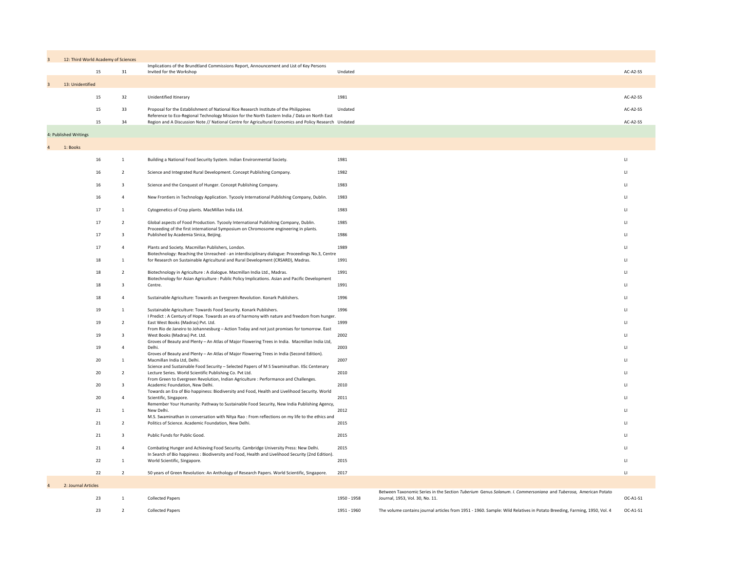| $\overline{3}$ |                       | 12: Third World Academy of Sciences |                                                                                                                                                                                          |             |                                                                                                                                                   |              |
|----------------|-----------------------|-------------------------------------|------------------------------------------------------------------------------------------------------------------------------------------------------------------------------------------|-------------|---------------------------------------------------------------------------------------------------------------------------------------------------|--------------|
|                |                       | 15<br>31                            | Implications of the Brundtland Commissions Report, Announcement and List of Key Persons<br>Invited for the Workshop                                                                      | Undated     |                                                                                                                                                   |              |
| 3              | 13: Unidentified      |                                     |                                                                                                                                                                                          |             |                                                                                                                                                   |              |
|                |                       | 15<br>32                            | Unidentified Itinerary                                                                                                                                                                   | 1981        |                                                                                                                                                   | A            |
|                |                       |                                     | Proposal for the Establishment of National Rice Research Institute of the Philippines                                                                                                    | Undated     |                                                                                                                                                   |              |
|                |                       | 15<br>33                            | Reference to Eco-Regional Technology Mission for the North Eastern India / Data on North East                                                                                            |             |                                                                                                                                                   | $\mathsf{A}$ |
|                |                       | 15<br>34                            | Region and A Discussion Note // National Centre for Agricultural Economics and Policy Research Undated                                                                                   |             |                                                                                                                                                   | A            |
|                | 4: Published Writings |                                     |                                                                                                                                                                                          |             |                                                                                                                                                   |              |
| $\Delta$       | 1: Books              |                                     |                                                                                                                                                                                          |             |                                                                                                                                                   |              |
|                |                       | 16                                  | Building a National Food Security System. Indian Environmental Society.                                                                                                                  | 1981        |                                                                                                                                                   |              |
|                |                       | 16<br>2                             | Science and Integrated Rural Development. Concept Publishing Company.                                                                                                                    | 1982        |                                                                                                                                                   |              |
|                |                       | 16<br>3                             | Science and the Conquest of Hunger. Concept Publishing Company.                                                                                                                          | 1983        |                                                                                                                                                   |              |
|                |                       | 16                                  | New Frontiers in Technology Application. Tycooly International Publishing Company, Dublin.                                                                                               | 1983        |                                                                                                                                                   |              |
|                |                       | 17                                  | Cytogenetics of Crop plants. MacMillan India Ltd.                                                                                                                                        | 1983        |                                                                                                                                                   |              |
|                |                       | 17                                  | Global aspects of Food Production. Tycooly International Publishing Company, Dublin.                                                                                                     | 1985        |                                                                                                                                                   |              |
|                |                       | 17                                  | Proceeding of the first international Symposium on Chromosome engineering in plants.<br>Published by Academia Sinica, Beijing.                                                           | 1986        |                                                                                                                                                   |              |
|                |                       | 17                                  | Plants and Society. Macmillan Publishers, London.                                                                                                                                        | 1989        |                                                                                                                                                   |              |
|                |                       |                                     | Biotechnology: Reaching the Unreached - an interdisciplinary dialogue: Proceedings No.3, Centre                                                                                          |             |                                                                                                                                                   |              |
|                |                       | 18                                  | for Research on Sustainable Agricultural and Rural Development (CRSARD), Madras.                                                                                                         | 1991        |                                                                                                                                                   |              |
|                |                       | 18                                  | Biotechnology in Agriculture : A dialogue. Macmillan India Ltd., Madras.<br>Biotechnology for Asian Agriculture: Public Policy Implications. Asian and Pacific Development               | 1991        |                                                                                                                                                   |              |
|                |                       | 18                                  | Centre.                                                                                                                                                                                  | 1991        |                                                                                                                                                   |              |
|                |                       | 18                                  | Sustainable Agriculture: Towards an Evergreen Revolution. Konark Publishers.                                                                                                             | 1996        |                                                                                                                                                   |              |
|                |                       | 19                                  | Sustainable Agriculture: Towards Food Security. Konark Publishers.<br>I Predict : A Century of Hope. Towards an era of harmony with nature and freedom from hunger.                      | 1996        |                                                                                                                                                   |              |
|                |                       | 19                                  | East West Books (Madras) Pvt. Ltd.<br>From Rio de Janeiro to Johannesburg - Action Today and not just promises for tomorrow. East                                                        | 1999        |                                                                                                                                                   |              |
|                |                       | 19                                  | West Books (Madras) Pvt. Ltd.                                                                                                                                                            | 2002        |                                                                                                                                                   |              |
|                |                       | 19                                  | Groves of Beauty and Plenty - An Atlas of Major Flowering Trees in India. Macmillan India Ltd,<br>Delhi.                                                                                 | 2003        |                                                                                                                                                   |              |
|                |                       | $20\,$                              | Groves of Beauty and Plenty - An Atlas of Major Flowering Trees in India (Second Edition).<br>Macmillan India Ltd, Delhi.                                                                | 2007        |                                                                                                                                                   |              |
|                |                       | 20                                  | Science and Sustainable Food Security - Selected Papers of M S Swaminathan. IISc Centenary<br>Lecture Series. World Scientific Publishing Co. Pvt Ltd.                                   | 2010        |                                                                                                                                                   |              |
|                |                       | $20\,$                              | From Green to Evergreen Revolution, Indian Agriculture : Performance and Challenges.<br>Academic Foundation, New Delhi.                                                                  | 2010        |                                                                                                                                                   |              |
|                |                       | 20                                  | Towards an Era of Bio happiness: Biodiversity and Food, Health and Livelihood Security. World<br>Scientific, Singapore.                                                                  | 2011        |                                                                                                                                                   |              |
|                |                       | 21                                  | Remember Your Humanity: Pathway to Sustainable Food Security, New India Publishing Agency,<br>New Delhi.                                                                                 | 2012        |                                                                                                                                                   |              |
|                |                       |                                     | M.S. Swaminathan in conversation with Nitya Rao: From reflections on my life to the ethics and                                                                                           |             |                                                                                                                                                   |              |
|                |                       | 21                                  | Politics of Science. Academic Foundation, New Delhi.                                                                                                                                     | 2015        |                                                                                                                                                   |              |
|                |                       | 21<br>$\overline{3}$                | Public Funds for Public Good.                                                                                                                                                            | 2015        |                                                                                                                                                   |              |
|                |                       | 21                                  | Combating Hunger and Achieving Food Security. Cambridge University Press: New Delhi.<br>In Search of Bio happiness: Biodiversity and Food, Health and Livelihood Security (2nd Edition). | 2015        |                                                                                                                                                   |              |
|                |                       | 22                                  | World Scientific, Singapore.                                                                                                                                                             | 2015        |                                                                                                                                                   |              |
|                |                       | 22                                  | 50 years of Green Revolution: An Anthology of Research Papers. World Scientific, Singapore.                                                                                              | 2017        |                                                                                                                                                   |              |
|                | 2: Journal Articles   |                                     |                                                                                                                                                                                          |             |                                                                                                                                                   |              |
|                |                       | 23                                  | <b>Collected Papers</b>                                                                                                                                                                  | 1950 - 1958 | Between Taxonomic Series in the Section Tuberium Genus Solanum. I. Commersoniana and Tuberosa, American Potato<br>Journal, 1953, Vol. 30, No. 11. |              |
|                |                       | 23<br>$\overline{2}$                | <b>Collected Papers</b>                                                                                                                                                                  | 1951 - 1960 | The volume contains journal articles from 1951 - 1960. Sample: Wild Relatives in Potato Breeding, Farming, 1950, Vol. 4                           |              |

|    | <b>Academy of Sciences</b> |                                                                                                                                                                                        |         |                        |
|----|----------------------------|----------------------------------------------------------------------------------------------------------------------------------------------------------------------------------------|---------|------------------------|
| 15 | 31                         | Implications of the Brundtland Commissions Report, Announcement and List of Key Persons<br>Invited for the Workshop                                                                    | Undated | AC-A2-S5               |
|    |                            |                                                                                                                                                                                        |         |                        |
| 15 | 32                         | Unidentified Itinerary                                                                                                                                                                 | 1981    | AC-A2-S5               |
| 15 | 33                         | Proposal for the Establishment of National Rice Research Institute of the Philippines<br>Reference to Eco-Regional Technology Mission for the North Eastern India / Data on North East | Undated | $AC-A2-S5$             |
| 15 | 34                         | Region and A Discussion Note // National Centre for Agricultural Economics and Policy Research Undated                                                                                 |         | AC-A2-S5               |
|    |                            |                                                                                                                                                                                        |         |                        |
|    |                            |                                                                                                                                                                                        |         |                        |
| 16 |                            | Building a National Food Security System. Indian Environmental Society.                                                                                                                | 1981    | $\mathsf{L}$           |
| 16 |                            | Science and Integrated Rural Development. Concept Publishing Company.                                                                                                                  | 1982    | $\mathsf{L}\mathsf{I}$ |

- 
- 
- 
- 
- 
- 
- 
- 
- -
	-
	-
	-
	-
	-
- 
- - - -
			-
		-
		- -
			-

|  | <b>Collected Papers</b> | 1950 - 1958 | Between Taxonomic Series in the Section Tuberium Genus Solanum. I. Commersoniana and Tuberosa, American Potato<br>Journal, 1953, Vol. 30, No. 11. | OC-A1-S1 |
|--|-------------------------|-------------|---------------------------------------------------------------------------------------------------------------------------------------------------|----------|
|  | <b>Collected Papers</b> | 1951 - 1960 | The volume contains journal articles from 1951 - 1960. Sample: Wild Relatives in Potato Breeding, Farming, 1950, Vol. 4                           | OC-A1-S1 |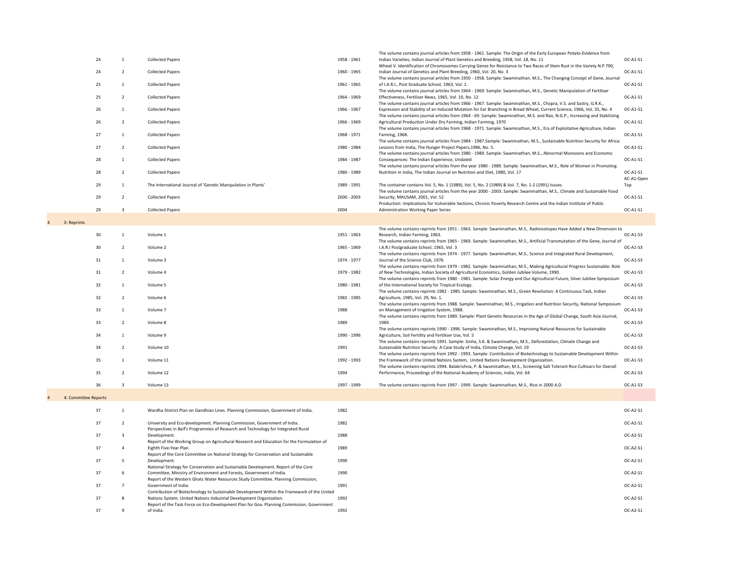|                      |                |                                                                                                                                                                    |             | The volume contains journal articles from 1958 - 1961. Sample: The Origin of the Early European Potato-Evidence from                                                                                                                                                                                                                                                        |                        |
|----------------------|----------------|--------------------------------------------------------------------------------------------------------------------------------------------------------------------|-------------|-----------------------------------------------------------------------------------------------------------------------------------------------------------------------------------------------------------------------------------------------------------------------------------------------------------------------------------------------------------------------------|------------------------|
| 24                   |                | <b>Collected Papers</b>                                                                                                                                            | 1958 - 1961 | Indian Varieties, Indian Journal of Plant Genetics and Breeding, 1958, Vol. 18, No. 11                                                                                                                                                                                                                                                                                      | OC-A1-S1               |
| 24                   |                | <b>Collected Papers</b>                                                                                                                                            | 1960 - 1965 | Wheat V. Identification of Chromosomes Carrying Genes for Resistance to Two Races of Stem Rust in the Variety N.P 790,<br>Indian Journal of Genetics and Plant Breeding, 1960, Vol. 20, No. 3                                                                                                                                                                               | OC-A1-S1               |
| 25                   |                | <b>Collected Papers</b>                                                                                                                                            | 1961 - 1965 | The volume contains journal articles from 1950 - 1958. Sample: Swaminathan, M.S., The Changing Concept of Gene, Journal<br>of I.A.R.I., Post Graduate School, 1963, Vol. 1.                                                                                                                                                                                                 | OC-A1-S1               |
| 25                   |                | <b>Collected Papers</b>                                                                                                                                            | 1964 - 1969 | The volume contains journal articles from 1964 - 1969. Sample: Swaminathan, M.S., Genetic Manipulation of Fertiliser<br>Effectiveness, Fertiliser News, 1965, Vol. 10, No. 12                                                                                                                                                                                               | OC-A1-S1               |
| 26                   |                | <b>Collected Papers</b>                                                                                                                                            | 1966 - 1967 | The volume contains journal articles from 1966 - 1967. Sample: Swaminathan, M.S., Chopra, V.S. and Sastry, G.R.K.,<br>Expression and Stability of an Induced Mutation for Ear Branching in Bread Wheat, Current Science, 1966, Vol. 35, No. 4<br>The volume contains journal articles from 1964 - 69. Sample: Swaminathan, M.S. and Rao, N.G.P., Increasing and Stabilizing | OC-A1-S1               |
| 26                   |                | <b>Collected Papers</b>                                                                                                                                            | 1966 - 1969 | Agricultural Production Under Dry Farming, Indian Farming, 1970<br>The volume contains journal articles from 1968 - 1971. Sample: Swaminathan, M.S., Era of Exploitative Agriculture, Indian                                                                                                                                                                                | OC-A1-S1               |
| 27                   |                | <b>Collected Papers</b>                                                                                                                                            | 1968 - 1971 | Farming, 1968.<br>The volume contains journal articles from 1984 - 1987.Sample: Swaminathan, M.S., Sustainable Nutrition Security for Africa:                                                                                                                                                                                                                               | OC-A1-S1               |
| 27                   |                | <b>Collected Papers</b>                                                                                                                                            | 1980 - 1984 | Lessons from India, The Hunger Project Papers, 1986, No. 5.<br>The volume contains journal articles from 1980 - 1989. Sample: Swaminathan, M.S., Abnormal Monsoons and Economic                                                                                                                                                                                             | OC-A1-S1               |
| 28                   |                | <b>Collected Papers</b>                                                                                                                                            | 1984 - 1987 | Consequences: The Indian Experience, Undated<br>The volume contains journal articles from the year 1980 - 1989. Sample: Swaminathan, M.S., Role of Women in Promoting                                                                                                                                                                                                       | OC-A1-S1               |
| 28                   |                | <b>Collected Papers</b>                                                                                                                                            | 1980 - 1989 | Nutrition in India, The Indian Journal on Nutrition and Diet, 1980, Vol. 17                                                                                                                                                                                                                                                                                                 | OC-A1-S1<br>AC-A1-Open |
| 29                   |                | The International Journal of 'Genetic Manipulation in Plants'                                                                                                      | 1989 - 1991 | The container contains Vol. 5, No. 1 (1989), Vol. 5, No. 2 (1989) & Vol. 7, No. 1-2 (1991) Issues.<br>The volume contains journal articles from the year 2000 - 2003. Sample: Swaminathan, M.S., Climate and Sustainable Food                                                                                                                                               | Top                    |
| 29                   |                | <b>Collected Papers</b>                                                                                                                                            | 2000 - 2003 | Security, MAUSAM, 2001, Vol. 52<br>Production: Implications for Vulnerable Sections, Chronic Poverty Research Centre and the Indian Institute of Public                                                                                                                                                                                                                     | OC-A1-S1               |
| 29                   |                | <b>Collected Papers</b>                                                                                                                                            | 2004        | <b>Administration Working Paper Series</b>                                                                                                                                                                                                                                                                                                                                  | OC-A1-S1               |
| 3: Reprints          |                |                                                                                                                                                                    |             |                                                                                                                                                                                                                                                                                                                                                                             |                        |
|                      |                |                                                                                                                                                                    |             | The volume contains reprints from 1951 - 1963. Sample: Swaminathan, M.S., Radioisotopes Have Added a New Dimension to                                                                                                                                                                                                                                                       |                        |
| 30 <sup>°</sup>      |                | Volume 1                                                                                                                                                           | 1951 - 1963 | Research, Indian Farming, 1963.<br>The volume contains reprints from 1965 - 1969. Sample: Swaminathan, M.S., Artificial Transmutation of the Gene, Journal of                                                                                                                                                                                                               | OC-A1-S3               |
| 30 <sup>°</sup>      |                | Volume 2                                                                                                                                                           | 1965 - 1969 | I.A.R.I Postgraduate School, 1965, Vol. 3<br>The volume contains reprints from 1974 - 1977. Sample: Swaminathan, M.S., Science and Integrated Rural Development,                                                                                                                                                                                                            | OC-A1-S3               |
| 31                   |                | Volume 3                                                                                                                                                           | 1974 - 1977 | Journal of the Science Club, 1976<br>The volume contains reprints from 1979 - 1982. Sample: Swaminathan, M.S., Making Agricultural Progress Sustainable: Role                                                                                                                                                                                                               | OC-A1-S3               |
| 31                   |                | Volume 4                                                                                                                                                           | 1979 - 1982 | of New Technologies, Indian Society of Agricultural Economics, Golden Jubilee Volume, 1990.<br>The volume contains reprints from 1980 - 1981. Sample: Solar Energy and Our Agricultural Future, Silver Jubilee Symposium                                                                                                                                                    | OC-A1-S3               |
| 32                   |                | Volume 5                                                                                                                                                           | 1980 - 1981 | of the International Society for Tropical Ecology.<br>The volume contains reprints 1982 - 1985. Sample: Swaminathan, M.S., Green Revolution: A Continuous Task, Indian                                                                                                                                                                                                      | OC-A1-S3               |
| 32                   |                | Volume 6                                                                                                                                                           | 1982 - 1985 | Agriculture, 1985, Vol. 29, No. 1.<br>The volume contains reprints from 1988. Sample: Swaminathan, M.S., Irrigation and Nutrition Security, National Symposium                                                                                                                                                                                                              | OC-A1-S3               |
| 33                   |                | Volume 7                                                                                                                                                           | 1988        | on Management of Irrigation System, 1988.<br>The volume contains reprints from 1989. Sample: Plant Genetic Resources in the Age of Global Change, South Asia Journal,                                                                                                                                                                                                       | OC-A1-S3               |
| 33                   |                | Volume 8                                                                                                                                                           | 1989        | 1989.<br>The volume contains reprints 1990 - 1996. Sample: Swaminathan, M.S., Improving Natural Resources for Sustainable                                                                                                                                                                                                                                                   | OC-A1-S3               |
| 34                   |                | Volume 9                                                                                                                                                           | 1990 - 1996 | Agriculture, Soil Fertility and Fertiliser Use, Vol. 5<br>The volume contains reprints 1991. Sample: Sinha, S.K. & Swaminathan, M.S., Deforestation, Climate Change and                                                                                                                                                                                                     | OC-A1-S3               |
| 34                   |                | Volume 10                                                                                                                                                          | 1991        | Sustainable Nutrition Security: A Case Study of India, Climate Change, Vol. 19<br>The volume contains reprints from 1992 - 1993. Sample: Contribution of Biotechnology to Sustainable Development Within                                                                                                                                                                    | OC-A1-S3               |
| 35                   |                | Volume 11                                                                                                                                                          | 1992 - 1993 | the Framework of the United Nations System, United Nations Development Organization.<br>The volume contains reprints 1994. Balakrishna, P. & Swaminathan, M.S., Screening Salt Tolerant Rice Cultivars for Overall                                                                                                                                                          | OC-A1-S3               |
| 35                   |                | Volume 12                                                                                                                                                          | 1994        | Performance, Proceedings of the National Academy of Sciences, India, Vol. 64                                                                                                                                                                                                                                                                                                | OC-A1-S3               |
| 36                   |                | Volume 13                                                                                                                                                          | 1997 - 1999 | The volume contains reprints from 1997 - 1999. Sample: Swaminathan, M.S., Rice in 2000 A.D.                                                                                                                                                                                                                                                                                 | OC-A1-S3               |
| 4: Committee Reports |                |                                                                                                                                                                    |             |                                                                                                                                                                                                                                                                                                                                                                             |                        |
| 37                   |                | Wardha District Plan on Gandhian Lines. Planning Commission, Government of India.                                                                                  | 1982        |                                                                                                                                                                                                                                                                                                                                                                             | OC-A2-S1               |
| 37                   | $\overline{2}$ | University and Eco-development. Planning Commission, Government of India.                                                                                          | 1982        |                                                                                                                                                                                                                                                                                                                                                                             | OC-A2-S1               |
| 37                   |                | Perspectives in Baif's Programmes of Research and Technology for Integrated Rural<br>Development.                                                                  | 1988        |                                                                                                                                                                                                                                                                                                                                                                             | OC-A2-S1               |
|                      |                | Report of the Working Group on Agricultural Research and Education for the Formulation of                                                                          |             |                                                                                                                                                                                                                                                                                                                                                                             |                        |
| 37                   |                | Eighth Five-Year Plan.<br>Report of the Core Committee on National Strategy for Conservation and Sustainable                                                       | 1989        |                                                                                                                                                                                                                                                                                                                                                                             | OC-A2-S1               |
| 37                   |                | Development.<br>National Strategy for Conservation and Sustainable Development. Report of the Core                                                                 | 1990        |                                                                                                                                                                                                                                                                                                                                                                             | OC-A2-S1               |
| 37                   | 6              | Committee, Ministry of Environment and Forests, Government of India.<br>Report of the Western Ghats Water Resources Study Committee. Planning Commission,          | 1990        |                                                                                                                                                                                                                                                                                                                                                                             | OC-A2-S1               |
| 37                   |                | Government of India.                                                                                                                                               | 1991        |                                                                                                                                                                                                                                                                                                                                                                             | OC-A2-S1               |
| 37                   | 8              | Contribution of Biotechnology to Sustainable Development Within the Framework of the United<br>Nations System. United Nations Industrial Development Organization. | 1992        |                                                                                                                                                                                                                                                                                                                                                                             | OC-A2-S1               |
|                      |                | Report of the Task Force on Eco-Development Plan for Goa. Planning Commission, Government                                                                          |             |                                                                                                                                                                                                                                                                                                                                                                             |                        |
| 37                   | q              | of India.                                                                                                                                                          | 1992        |                                                                                                                                                                                                                                                                                                                                                                             | OC-A2-S1               |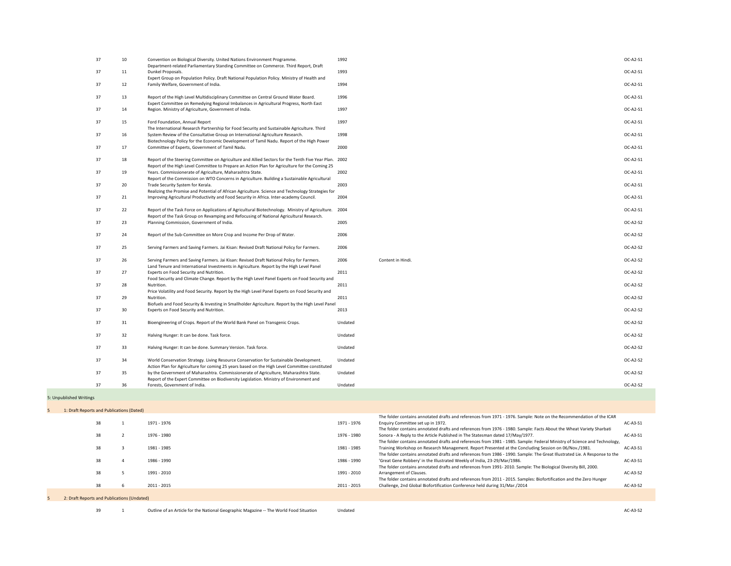| 37 | 10              | Convention on Biological Diversity. United Nations Environment Programme.<br>Department-related Parliamentary Standing Committee on Commerce. Third Report, Draft                            | 1992    |                   | OC-A2-S1        |
|----|-----------------|----------------------------------------------------------------------------------------------------------------------------------------------------------------------------------------------|---------|-------------------|-----------------|
| 37 | 11              | Dunkel Proposals.<br>Expert Group on Population Policy. Draft National Population Policy. Ministry of Health and                                                                             | 1993    |                   | OC-A2-S1        |
| 37 | 12              | Family Welfare, Government of India.                                                                                                                                                         | 1994    |                   | OC-A2-S1        |
| 37 | 13              | Report of the High Level Multidisciplinary Committee on Central Ground Water Board.                                                                                                          | 1996    |                   | OC-A2-S1        |
| 37 | 14              | Expert Committee on Remedying Regional Imbalances in Agricultural Progress, North East<br>Region. Ministry of Agriculture, Government of India.                                              | 1997    |                   | OC-A2-S1        |
| 37 | 15              | Ford Foundation, Annual Report                                                                                                                                                               | 1997    |                   | OC-A2-S1        |
|    |                 | The International Research Partnership for Food Security and Sustainable Agriculture. Third                                                                                                  |         |                   |                 |
| 37 | 16              | System Review of the Consultative Group on International Agriculture Research.<br>Biotechnology Policy for the Economic Development of Tamil Nadu. Report of the High Power                  | 1998    |                   | OC-A2-S1        |
| 37 | 17              | Committee of Experts, Government of Tamil Nadu.                                                                                                                                              | 2000    |                   | OC-A2-S1        |
| 37 | 18              | Report of the Steering Committee on Agriculture and Allied Sectors for the Tenth Five Year Plan. 2002                                                                                        |         |                   | OC-A2-S1        |
| 37 | 19              | Report of the High Level Committee to Prepare an Action Plan for Agriculture for the Coming 25<br>Years. Commissionerate of Agriculture, Maharashtra State.                                  | 2002    |                   | OC-A2-S1        |
|    |                 | Report of the Commission on WTO Concerns in Agriculture. Building a Sustainable Agricultural                                                                                                 |         |                   |                 |
| 37 | 20 <sub>2</sub> | Trade Security System for Kerala.                                                                                                                                                            | 2003    |                   | OC-A2-S1        |
| 37 | 21              | Realizing the Promise and Potential of African Agriculture. Science and Technology Strategies for<br>Improving Agricultural Productivity and Food Security in Africa. Inter-academy Council. | 2004    |                   | OC-A2-S1        |
|    |                 |                                                                                                                                                                                              |         |                   |                 |
| 37 | 22              | Report of the Task Force on Applications of Agricultural Biotechnology. Ministry of Agriculture.                                                                                             | 2004    |                   | OC-A2-S1        |
|    |                 | Report of the Task Group on Revamping and Refocusing of National Agricultural Research.                                                                                                      |         |                   |                 |
| 37 | 23              | Planning Commission, Government of India.                                                                                                                                                    | 2005    |                   | <b>OC-A2-S2</b> |
| 37 | 24              | Report of the Sub-Committee on More Crop and Income Per Drop of Water.                                                                                                                       | 2006    |                   | OC-A2-S2        |
| 37 | 25              | Serving Farmers and Saving Farmers. Jai Kisan: Revised Draft National Policy for Farmers.                                                                                                    | 2006    |                   | <b>OC-A2-S2</b> |
| 37 | 26              | Serving Farmers and Saving Farmers. Jai Kisan: Revised Draft National Policy for Farmers.<br>Land Tenure and International Investments in Agriculture. Report by the High Level Panel        | 2006    | Content in Hindi. | <b>OC-A2-S2</b> |
| 37 | 27              | Experts on Food Security and Nutrition.                                                                                                                                                      | 2011    |                   | <b>OC-A2-S2</b> |
|    |                 | Food Security and Climate Change. Report by the High Level Panel Experts on Food Security and                                                                                                |         |                   |                 |
| 37 | 28              | Nutrition.<br>Price Volatility and Food Security. Report by the High Level Panel Experts on Food Security and                                                                                | 2011    |                   | <b>OC-A2-S2</b> |
| 37 | 29              | Nutrition.                                                                                                                                                                                   | 2011    |                   | <b>OC-A2-S2</b> |
|    |                 | Biofuels and Food Security & Investing in Smallholder Agriculture. Report by the High Level Panel                                                                                            |         |                   |                 |
| 37 | 30              | Experts on Food Security and Nutrition.                                                                                                                                                      | 2013    |                   | <b>OC-A2-S2</b> |
| 37 | 31              | Bioengineering of Crops. Report of the World Bank Panel on Transgenic Crops.                                                                                                                 | Undated |                   | <b>OC-A2-S2</b> |
| 37 | 32              | Halving Hunger: It can be done. Task force.                                                                                                                                                  | Undated |                   | <b>OC-A2-S2</b> |
| 37 | 33              | Halving Hunger: It can be done. Summary Version. Task force.                                                                                                                                 | Undated |                   | <b>OC-A2-S2</b> |
| 37 | 34              | World Conservation Strategy. Living Resource Conservation for Sustainable Development.                                                                                                       | Undated |                   | <b>OC-A2-S2</b> |
|    |                 | Action Plan for Agriculture for coming 25 years based on the High Level Committee constituted                                                                                                |         |                   |                 |
| 37 | 35              | by the Government of Maharashtra. Commissionerate of Agriculture, Maharashtra State.<br>Report of the Expert Committee on Biodiversity Legislation. Ministry of Environment and              | Undated |                   | <b>OC-A2-S2</b> |
| 37 | 36              | Forests, Government of India.                                                                                                                                                                | Undated |                   | <b>OC-A2-S2</b> |
|    |                 |                                                                                                                                                                                              |         |                   |                 |

# 5: Unpublished Writings

| 1: Draft Reports and Publications (Dated)   |             |                                                                                                                                                                                                                                                                                                  |            |
|---------------------------------------------|-------------|--------------------------------------------------------------------------------------------------------------------------------------------------------------------------------------------------------------------------------------------------------------------------------------------------|------------|
| 38                                          | 1971 - 1976 | The folder contains annotated drafts and references from 1971 - 1976. Sample: Note on the Recommendation of the ICAR<br>Enquiry Committee set up in 1972.<br>1971 - 1976<br>The folder contains annotated drafts and references from 1976 - 1980. Sample: Facts About the Wheat Variety Sharbati | $AC-A3-S1$ |
| 38                                          | 1976 - 1980 | Sonora - A Reply to the Article Published in The Statesman dated 17/May/1977.<br>1976 - 1980<br>The folder contains annotated drafts and references from 1981 - 1985. Sample: Federal Ministry of Science and Technology,                                                                        | $AC-A3-S1$ |
| 38                                          | 1981 - 1985 | Training Workshop on Research Management. Report Presented at the Concluding Session on 06/Nov./1981.<br>1981 - 1985<br>The folder contains annotated drafts and references from 1986 - 1990. Sample: The Great Illustrated Lie. A Response to the                                               | $AC-A3-S1$ |
| 38                                          | 1986 - 1990 | 'Great Gene Robbery' in the Illustrated Weekly of India, 23-29/Mar/1986.<br>1986 - 1990<br>The folder contains annotated drafts and references from 1991-2010. Sample: The Biological Diversity Bill, 2000.                                                                                      | $AC-A3-S1$ |
| 38                                          | 1991 - 2010 | Arrangement of Clauses.<br>1991 - 2010<br>The folder contains annotated drafts and references from 2011 - 2015. Samples: Biofortification and the Zero Hunger                                                                                                                                    | $AC-43-S2$ |
| 38                                          | 2011 - 2015 | Challenge, 2nd Global Biofortification Conference held during 31/Mar./2014<br>2011 - 2015                                                                                                                                                                                                        | $AC-AS-S2$ |
| 2: Draft Reports and Publications (Undated) |             |                                                                                                                                                                                                                                                                                                  |            |

39 1 Outline of an Article for the National Geographic Magazine -- The World Food Situation Undated AC-A3-S2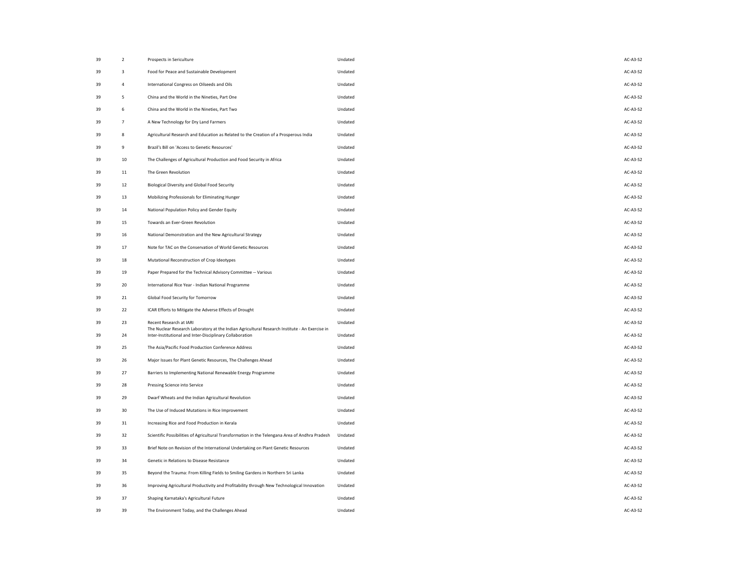| 39 | $\overline{2}$ | Prospects in Sericulture                                                                                                  | Undated | AC-A3-S2        |
|----|----------------|---------------------------------------------------------------------------------------------------------------------------|---------|-----------------|
| 39 | 3              | Food for Peace and Sustainable Development                                                                                | Undated | AC-A3-S2        |
| 39 | 4              | International Congress on Oilseeds and Oils                                                                               | Undated | AC-A3-S2        |
| 39 | 5              | China and the World in the Nineties, Part One                                                                             | Undated | AC-A3-S2        |
| 39 | 6              | China and the World in the Nineties, Part Two                                                                             | Undated | AC-A3-S2        |
| 39 | $\overline{7}$ | A New Technology for Dry Land Farmers                                                                                     | Undated | AC-A3-S2        |
| 39 | 8              | Agricultural Research and Education as Related to the Creation of a Prosperous India                                      | Undated | AC-A3-S2        |
| 39 | 9              | Brazil's Bill on 'Access to Genetic Resources'                                                                            | Undated | AC-A3-S2        |
| 39 | 10             | The Challenges of Agricultural Production and Food Security in Africa                                                     | Undated | AC-A3-S2        |
| 39 | 11             | The Green Revolution                                                                                                      | Undated | AC-A3-S2        |
| 39 | 12             | <b>Biological Diversity and Global Food Security</b>                                                                      | Undated | AC-A3-S2        |
| 39 | 13             | Mobilizing Professionals for Eliminating Hunger                                                                           | Undated | AC-A3-S2        |
| 39 | 14             | National Population Policy and Gender Equity                                                                              | Undated | AC-A3-S2        |
| 39 | 15             | Towards an Ever-Green Revolution                                                                                          | Undated | AC-A3-S2        |
| 39 | 16             | National Demonstration and the New Agricultural Strategy                                                                  | Undated | AC-A3-S2        |
| 39 | 17             | Note for TAC on the Conservation of World Genetic Resources                                                               | Undated | AC-A3-S2        |
| 39 | 18             | Mutational Reconstruction of Crop Ideotypes                                                                               | Undated | AC-A3-S2        |
| 39 | 19             | Paper Prepared for the Technical Advisory Committee -- Various                                                            | Undated | AC-A3-S2        |
| 39 | 20             | International Rice Year - Indian National Programme                                                                       | Undated | AC-A3-S2        |
| 39 | 21             | <b>Global Food Security for Tomorrow</b>                                                                                  | Undated | AC-A3-S2        |
| 39 | 22             | ICAR Efforts to Mitigate the Adverse Effects of Drought                                                                   | Undated | <b>AC-A3-S2</b> |
| 39 | 23             | Recent Research at IARI<br>The Nuclear Research Laboratory at the Indian Agricultural Research Institute - An Exercise in | Undated | AC-A3-S2        |
| 39 | 24             | Inter-Institutional and Inter-Disciplinary Collaboration                                                                  | Undated | AC-A3-S2        |
| 39 | 25             | The Asia/Pacific Food Production Conference Address                                                                       | Undated | AC-A3-S2        |
| 39 | 26             | Major Issues for Plant Genetic Resources, The Challenges Ahead                                                            | Undated | AC-A3-S2        |
| 39 | 27             | Barriers to Implementing National Renewable Energy Programme                                                              | Undated | AC-A3-S2        |
| 39 | 28             | Pressing Science into Service                                                                                             | Undated | AC-A3-S2        |
| 39 | 29             | Dwarf Wheats and the Indian Agricultural Revolution                                                                       | Undated | AC-A3-S2        |
| 39 | 30             | The Use of Induced Mutations in Rice Improvement                                                                          | Undated | AC-A3-S2        |
| 39 | 31             | Increasing Rice and Food Production in Kerala                                                                             | Undated | AC-A3-S2        |
| 39 | 32             | Scientific Possibilities of Agricultural Transformation in the Telengana Area of Andhra Pradesh                           | Undated | AC-A3-S2        |
| 39 | 33             | Brief Note on Revision of the International Undertaking on Plant Genetic Resources                                        | Undated | AC-A3-S2        |
| 39 | 34             | Genetic in Relations to Disease Resistance                                                                                | Undated | AC-A3-S2        |
| 39 | 35             | Beyond the Trauma: From Killing Fields to Smiling Gardens in Northern Sri Lanka                                           | Undated | AC-A3-S2        |
| 39 | 36             | Improving Agricultural Productivity and Profitability through New Technological Innovation                                | Undated | AC-A3-S2        |
| 39 | 37             | Shaping Karnataka's Agricultural Future                                                                                   | Undated | AC-A3-S2        |
| 39 | 39             | The Environment Today, and the Challenges Ahead                                                                           | Undated | AC-A3-S2        |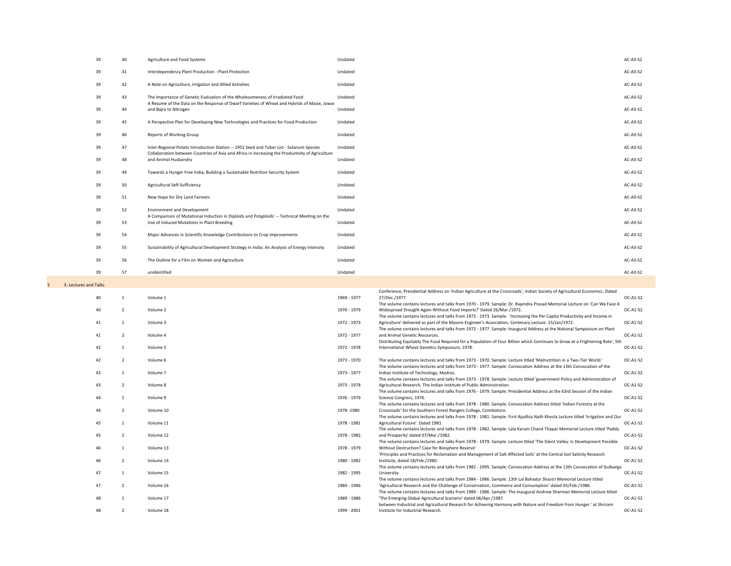| 39                    | 40 | Agriculture and Food Systems                                                                                                               | Undated      |                                                                                                                                                                                                                                | <b>AC-A3-S2</b> |
|-----------------------|----|--------------------------------------------------------------------------------------------------------------------------------------------|--------------|--------------------------------------------------------------------------------------------------------------------------------------------------------------------------------------------------------------------------------|-----------------|
| 39                    | 41 | Interdependency Plant Production - Plant Protection                                                                                        | Undated      |                                                                                                                                                                                                                                | <b>AC-A3-S2</b> |
| 39                    | 42 | A Note on Agriculture, Irrigation and Allied Activities                                                                                    | Undated      |                                                                                                                                                                                                                                | <b>AC-A3-S2</b> |
| 39                    | 43 | The Importance of Genetic Evaluation of the Wholesomeness of Irradiated Food                                                               | Undated      |                                                                                                                                                                                                                                | <b>AC-A3-S2</b> |
| 39                    | 44 | A Resume of the Data on the Response of Dwarf Varieties of Wheat and Hybrids of Maize, Jowar<br>and Bajra to Nitrogen                      | Undated      |                                                                                                                                                                                                                                | <b>AC-A3-S2</b> |
| 39                    | 45 | A Perspective Plan for Developing New Technologies and Practices for Food Production                                                       | Undated      |                                                                                                                                                                                                                                | AC-A3-S2        |
| 39                    | 46 | <b>Reports of Working Group</b>                                                                                                            | Undated      |                                                                                                                                                                                                                                | AC-A3-S2        |
| 39                    | 47 | Inter-Regional Potato Introduction Station -- 1952 Seed and Tuber List - Solanum Species                                                   | Undated      |                                                                                                                                                                                                                                | AC-A3-S2        |
| 39                    | 48 | Collaboration between Countries of Asia and Africa in Increasing the Productivity of Agriculture<br>and Animal Husbandry                   | Undated      |                                                                                                                                                                                                                                | <b>AC-A3-S2</b> |
| 39                    | 49 | Towards a Hunger Free India, Building a Sustainable Nutrition Security System                                                              | Undated      |                                                                                                                                                                                                                                | AC-A3-S2        |
| 39                    | 50 | <b>Agricultural Self-Sufficiency</b>                                                                                                       | Undated      |                                                                                                                                                                                                                                | AC-A3-S2        |
| 39                    | 51 | New Hope for Dry Land Farmers                                                                                                              | Undated      |                                                                                                                                                                                                                                | AC-A3-S2        |
| 39                    | 52 | <b>Environment and Development</b>                                                                                                         | Undated      |                                                                                                                                                                                                                                | AC-A3-S2        |
| 39                    | 53 | A Comparison of Mutational Induction in Diploids and Polyploids' -- Technical Meeting on the<br>Use of Induced Mutations in Plant Breeding | Undated      |                                                                                                                                                                                                                                | AC-A3-S2        |
| 39                    | 54 | Major Advances in Scientific Knowledge Contributions to Crop Improvements                                                                  | Undated      |                                                                                                                                                                                                                                | AC-A3-S2        |
| 39                    | 55 | Sustainability of Agricultural Development Strategy in India: An Analysis of Energy Intensity                                              | Undated      |                                                                                                                                                                                                                                | AC-A3-S2        |
| 39                    | 56 | The Outline for a Film on Women and Agriculture                                                                                            | Undated      |                                                                                                                                                                                                                                | AC-A3-S2        |
| 39                    | 57 | unidentified                                                                                                                               | Undated      |                                                                                                                                                                                                                                | <b>AC-A3-S2</b> |
| 3: Lectures and Talks |    |                                                                                                                                            |              |                                                                                                                                                                                                                                |                 |
| 40                    |    | Volume 1                                                                                                                                   | 1969 - 1977  | Conference, Presidential Address on 'Indian Agriculture at the Crossroads', Indian Society of Agricultural Economics. Dated<br>27/Dec./1977.                                                                                   | OC-A1-S2        |
| 40                    |    | Volume 2                                                                                                                                   | 1970 - 1979  | The volume contains lectures and talks from 1970 - 1979. Sample: Dr. Rajendra Prasad Memorial Lecture on 'Can We Face A<br>Widespread Drought Again Without Food Imports?' Dated 26/Mar./1972.                                 | OC-A1-S2        |
| 41                    |    | Volume 3                                                                                                                                   | 1972 - 1973  | The volume contains lectures and talks from 1972 - 1973. Sample: 'Increasing the Per Capita Productivity and Income in<br>Agriculture' delivered as part of the Mysore Engineer's Association, Centenary Lecture. 15/Jan/1972. | OC-A1-S2        |
| 41                    |    | Volume 4                                                                                                                                   | 1972 - 1977  | The volume contains lectures and talks from 1972 - 1977. Sample: Inaugural Address at the National Symposium on Plant<br>and Animal Genetic Resources.                                                                         | OC-A1-S2        |
| 42                    |    | Volume 5                                                                                                                                   | 1972 - 1978  | Distributing Equitably The Food Required for a Population of Four Billion which Continues to Grow at a Frightening Rate', 5th<br>International Wheat Genetics Symposium, 1978.                                                 | OC-A1-S2        |
| 42                    |    | Volume 6                                                                                                                                   | 1973 - 1970  | The volume contains lectures and talks from 1973 - 1970. Sample: Lecture titled 'Malnutrition in a Two-Tier World.'                                                                                                            | OC-A1-S2        |
| 43                    |    | Volume 7                                                                                                                                   | 1973 - 1977  | The volume contains lectures and talks from 1973 - 1977. Sample: Convocation Address at the 13th Convocation of the<br>Indian Institute of Technology, Madras.                                                                 | OC-A1-S2        |
| 43                    |    | Volume 8                                                                                                                                   | 1973 - 1978  | The volume contains lectures and talks from 1973 - 1978. Sample: Lecture titled 'government Policy and Administration of<br>Agricultural Research, The Indian Institute of Public Administration.                              | OC-A1-S2        |
| 44                    |    | Volume 9                                                                                                                                   | 1976 - 1979  | The volume contains lectures and talks from 1976 - 1979. Sample: Presidential Address at the 63rd Session of the Indian<br>Science Congress, 1976.                                                                             | OC-A1-S2        |
| 44                    |    | Volume 10                                                                                                                                  | 1978 - 1980  | The volume contains lectures and talks from 1978 - 1980. Sample: Convocation Address titled 'Indian Forestry at the<br>Crossroads' for the Southern Forest Rangers College, Coimbatore.                                        | OC-A1-S2        |
| 45                    |    | Volume 11                                                                                                                                  | 1978 - 1981  | The volume contains lectures and talks from 1978 - 1981. Sample: First Ajudhia Nath Khosla Lecture titled 'Irrigation and Our<br>Agricultural Future'. Dated 1981.                                                             | OC-A1-S2        |
| 45                    |    | Volume 12                                                                                                                                  | 1978 - 1982. | The volume contains lectures and talks from 1978 - 1982. Sample: Lala Karam Chand Thapar Memorial Lecture titled 'Paddy<br>and Prosperity' dated 07/Mar./1982.                                                                 | OC-A1-S2        |
| 46                    |    | Volume 13                                                                                                                                  | 1978 - 1979  | The volume contains lectures and talks from 1978 - 1979. Sample: Lecture titled 'The Silent Valley: Is Development Possible<br>Without Destruction? Case for Biosphere Reserve'                                                | OC-A1-S2        |
| 46                    |    | Volume 14                                                                                                                                  | 1980 - 1982  | 'Principles and Practices for Reclamation and Management of Salt Affected Soils' at the Central Soil Salinity Research<br>Institute, dated 18/Feb./1980.                                                                       | OC-A1-S2        |
| 47                    |    | Volume 15                                                                                                                                  | 1982 - 1995  | The volume contains lectures and talks from 1982 - 1995. Sample: Convocation Address at the 13th Convocation of Gulbarga<br>University.                                                                                        | OC-A1-S2        |
| 47                    |    | Volume 16                                                                                                                                  | 1984 - 1986  | The volume contains lectures and talks from 1984 - 1986. Sample: 13th Lal Bahadur Shastri Memorial Lecture titled<br>'Agricultural Research and the Challenge of Conservation, Commerce and Consumption' dated 05/Feb./1986.   | OC-A1-S2        |
| 48                    |    | Volume 17                                                                                                                                  | 1989 - 1986  | The volume contains lectures and talks from 1989 - 1986. Sample: The Inaugural Andrew Sharman Memorial Lecture titled<br>'The Emerging Global Agricultural Scenario' dated 06/Apr./1987.                                       | OC-A1-S2        |
|                       |    |                                                                                                                                            |              |                                                                                                                                                                                                                                |                 |
| 48                    |    | Volume 18                                                                                                                                  | 1999 - 2001  | between Industrial and Agricultural Research for Achieving Harmony with Nature and Freedom from Hunger.' at Shriram<br>Institute for Industrial Research.                                                                      | OC-A1-S2        |

| $AC-A3-S2$ |
|------------|
| $AC-AS-S2$ |
| $AC-AS-S2$ |
| $AC-A3-S2$ |
| $AC-AS-S2$ |
| $AC-AS-S2$ |
| $AC-AS-S2$ |
| $AC-A3-S2$ |
| $AC-AS-S2$ |
| $AC-AS-S2$ |
| $AC-AS-S2$ |
| $AC-AS-S2$ |
| $AC-AS-S2$ |
| $AC-AS-S2$ |
| $AC-AS-S2$ |
| $AC-AS-S2$ |
| $AC-AS-S2$ |
| $AC-AS-S2$ |

|    |                |           |              | Conference, Presidential Address on 'Indian Agriculture at the Crossroads', Indian Society of Agricultural Economics. Dated   |                 |
|----|----------------|-----------|--------------|-------------------------------------------------------------------------------------------------------------------------------|-----------------|
| 40 |                | Volume 1  | 1969 - 1977  | 27/Dec./1977.                                                                                                                 | OC-A1-S2        |
|    |                |           |              | The volume contains lectures and talks from 1970 - 1979. Sample: Dr. Rajendra Prasad Memorial Lecture on 'Can We Face A       |                 |
| 40 | $\overline{2}$ | Volume 2  | 1970 - 1979  | Widespread Drought Again Without Food Imports?' Dated 26/Mar./1972.                                                           | OC-A1-S2        |
|    |                |           |              | The volume contains lectures and talks from 1972 - 1973. Sample: 'Increasing the Per Capita Productivity and Income in        |                 |
| 41 |                | Volume 3  | 1972 - 1973  | Agriculture' delivered as part of the Mysore Engineer's Association, Centenary Lecture. 15/Jan/1972.                          | <b>OC-A1-S2</b> |
|    |                |           |              | The volume contains lectures and talks from 1972 - 1977. Sample: Inaugural Address at the National Symposium on Plant         |                 |
| 41 | $\overline{2}$ | Volume 4  | 1972 - 1977  | and Animal Genetic Resources.                                                                                                 | OC-A1-S2        |
|    |                |           |              | Distributing Equitably The Food Required for a Population of Four Billion which Continues to Grow at a Frightening Rate', 5th |                 |
| 42 |                | Volume 5  | 1972 - 1978  | International Wheat Genetics Symposium, 1978.                                                                                 | OC-A1-S2        |
| 42 | $\overline{2}$ | Volume 6  | 1973 - 1970  | The volume contains lectures and talks from 1973 - 1970. Sample: Lecture titled 'Malnutrition in a Two-Tier World.            | OC-A1-S2        |
|    |                |           |              | The volume contains lectures and talks from 1973 - 1977. Sample: Convocation Address at the 13th Convocation of the           |                 |
| 43 |                | Volume 7  | 1973 - 1977  | Indian Institute of Technology, Madras.                                                                                       | OC-A1-S2        |
|    |                |           |              | The volume contains lectures and talks from 1973 - 1978. Sample: Lecture titled 'government Policy and Administration of      |                 |
| 43 | $\overline{2}$ | Volume 8  | 1973 - 1978  | Agricultural Research, The Indian Institute of Public Administration.                                                         | OC-A1-S2        |
|    |                |           |              | The volume contains lectures and talks from 1976 - 1979. Sample: Presidential Address at the 63rd Session of the Indian       |                 |
| 44 |                | Volume 9  | 1976 - 1979  | Science Congress, 1976.                                                                                                       | <b>OC-A1-S2</b> |
|    |                |           |              | The volume contains lectures and talks from 1978 - 1980. Sample: Convocation Address titled 'Indian Forestry at the           |                 |
| 44 | 2              | Volume 10 | 1978 - 1980  | Crossroads' for the Southern Forest Rangers College, Coimbatore.                                                              | OC-A1-S2        |
|    |                |           |              | The volume contains lectures and talks from 1978 - 1981. Sample: First Ajudhia Nath Khosla Lecture titled 'Irrigation and Our |                 |
| 45 |                | Volume 11 | 1978 - 1981  | Agricultural Future'. Dated 1981.                                                                                             | OC-A1-S2        |
|    |                |           |              | The volume contains lectures and talks from 1978 - 1982. Sample: Lala Karam Chand Thapar Memorial Lecture titled 'Paddy       |                 |
| 45 | $\overline{2}$ | Volume 12 | 1978 - 1982. | and Prosperity' dated 07/Mar./1982.                                                                                           | $OC-A1-S2$      |
|    |                |           |              | The volume contains lectures and talks from 1978 - 1979. Sample: Lecture titled 'The Silent Valley: Is Development Possible   |                 |
| 46 |                | Volume 13 | 1978 - 1979  | Without Destruction? Case for Biosphere Reserve'                                                                              | OC-A1-S2        |
|    |                |           |              | 'Principles and Practices for Reclamation and Management of Salt Affected Soils' at the Central Soil Salinity Research        |                 |
| 46 | 2              | Volume 14 | 1980 - 1982  | Institute, dated 18/Feb./1980.                                                                                                | <b>OC-A1-S2</b> |
|    |                |           |              | The volume contains lectures and talks from 1982 - 1995. Sample: Convocation Address at the 13th Convocation of Gulbarga      |                 |
| 47 |                | Volume 15 | 1982 - 1995  | University.                                                                                                                   | OC-A1-S2        |
|    |                |           |              | The volume contains lectures and talks from 1984 - 1986. Sample: 13th Lal Bahadur Shastri Memorial Lecture titled             |                 |
| 47 | $\overline{2}$ | Volume 16 | 1984 - 1986  | 'Agricultural Research and the Challenge of Conservation, Commerce and Consumption' dated 05/Feb./1986.                       | OC-A1-S2        |
|    |                |           |              | The volume contains lectures and talks from 1989 - 1986. Sample: The Inaugural Andrew Sharman Memorial Lecture titled         |                 |
| 48 | -1             | Volume 17 | 1989 - 1986  | 'The Emerging Global Agricultural Scenario' dated 06/Apr./1987.                                                               | OC-A1-S2        |
|    |                |           |              | between Industrial and Agricultural Research for Achieving Harmony with Nature and Freedom from Hunger.' at Shriram           |                 |
| 48 | $\overline{2}$ | Volume 18 | 1999 - 2001  | Institute for Industrial Research.                                                                                            | OC-A1-S2        |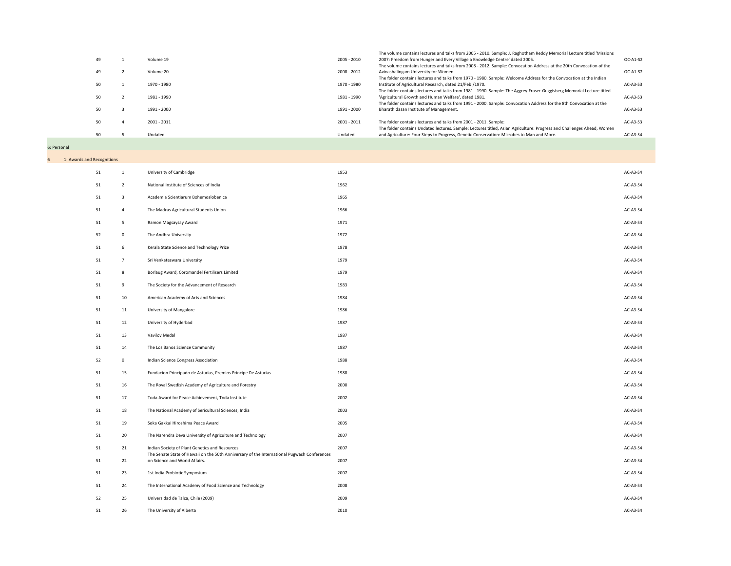|    |             |             | The volume contains lectures and talks from 2005 - 2010. Sample: J. Raghotham Reddy Memorial Lecture titled 'Missions  |            |
|----|-------------|-------------|------------------------------------------------------------------------------------------------------------------------|------------|
| 49 | Volume 19   | 2005 - 2010 | 2007: Freedom from Hunger and Every Village a Knowledge Centre' dated 2005.                                            | $OC-A1-S2$ |
|    |             |             | The volume contains lectures and talks from 2008 - 2012. Sample: Convocation Address at the 20th Convocation of the    |            |
| 49 | Volume 20   | 2008 - 2012 | Avinashalingam University for Women.                                                                                   | $OC-A1-S2$ |
|    |             |             | The folder contains lectures and talks from 1970 - 1980. Sample: Welcome Address for the Convocation at the Indian     |            |
| 50 | 1970 - 1980 | 1970 - 1980 | Institute of Agricultural Research, dated 21/Feb./1970.                                                                | $AC-43-S3$ |
|    |             |             | The folder contains lectures and talks from 1981 - 1990. Sample: The Aggrey-Fraser-Guggisberg Memorial Lecture titled  |            |
| 50 | 1981 - 1990 | 1981 - 1990 | 'Agricultural Growth and Human Welfare', dated 1981.                                                                   | $AC-A3-S3$ |
|    |             |             | The folder contains lectures and talks from 1991 - 2000. Sample: Convocation Address for the 8th Convocation at the    |            |
| 50 | 1991 - 2000 | 1991 - 2000 | Bharathidasan Institute of Management.                                                                                 | $AC-43-S3$ |
|    |             |             |                                                                                                                        |            |
| 50 | 2001 - 2011 | 2001 - 2011 | The folder contains lectures and talks from 2001 - 2011. Sample:                                                       | $AC-A3-S3$ |
|    |             |             | The folder contains Undated lectures. Sample: Lectures titled, Asian Agriculture: Progress and Challenges Ahead, Women |            |
| 50 | Undated     | Undated     | and Agriculture: Four Steps to Progress, Genetic Conservation: Microbes to Man and More.                               | AC-A3-S4   |
|    |             |             |                                                                                                                        |            |

| 49 | $\mathbf{1}$   | Volume 19     | 2005 - 2010 |
|----|----------------|---------------|-------------|
| 49 | $\overline{2}$ | Volume 20     | 2008 - 2012 |
| 50 | $\mathbf{1}$   | 1970 - 1980   | 1970 - 1980 |
| 50 | $\overline{2}$ | 1981 - 1990   | 1981 - 1990 |
| 50 | $\mathbf{3}$   | 1991 - 2000   | 1991 - 2000 |
| 50 | $\overline{4}$ | $2001 - 2011$ | 2001 - 2011 |
| 50 | 5              | Undated       | Undated     |
|    |                |               |             |

6: Personal

| 6 <sup>1</sup> | 1: Awards and Recognitions |                         |                                                                                                                                               |      |          |
|----------------|----------------------------|-------------------------|-----------------------------------------------------------------------------------------------------------------------------------------------|------|----------|
|                | 51                         | $\mathbf{1}$            | <b>University of Cambridge</b>                                                                                                                | 1953 | AC-A3-S4 |
|                | 51                         | $\overline{2}$          | National Institute of Sciences of India                                                                                                       | 1962 | AC-A3-S4 |
|                | 51                         | $\overline{\mathbf{3}}$ | Academia Scientiarum Bohemoslobenica                                                                                                          | 1965 | AC-A3-S4 |
|                | 51                         | $\overline{4}$          | The Madras Agricultural Students Union                                                                                                        | 1966 | AC-A3-S4 |
|                | 51                         | $5\overline{)}$         | Ramon Magsaysay Award                                                                                                                         | 1971 | AC-A3-S4 |
|                | 52                         | $\overline{0}$          | The Andhra University                                                                                                                         | 1972 | AC-A3-S4 |
|                | 51                         | 6                       | Kerala State Science and Technology Prize                                                                                                     | 1978 | AC-A3-S4 |
|                | 51                         | $\overline{7}$          | Sri Venkateswara University                                                                                                                   | 1979 | AC-A3-S4 |
|                | 51                         | 8                       | Borlaug Award, Coromandel Fertilisers Limited                                                                                                 | 1979 | AC-A3-S4 |
|                | 51                         | 9                       | The Society for the Advancement of Research                                                                                                   | 1983 | AC-A3-S4 |
|                | 51                         | 10                      | American Academy of Arts and Sciences                                                                                                         | 1984 | AC-A3-S4 |
|                | 51                         | 11                      | <b>University of Mangalore</b>                                                                                                                | 1986 | AC-A3-S4 |
|                | 51                         | 12                      | University of Hyderbad                                                                                                                        | 1987 | AC-A3-S4 |
|                | 51                         | 13                      | Vavilov Medal                                                                                                                                 | 1987 | AC-A3-S4 |
|                | 51                         | 14                      | The Los Banos Science Community                                                                                                               | 1987 | AC-A3-S4 |
|                | 52                         | $\overline{0}$          | Indian Science Congress Association                                                                                                           | 1988 | AC-A3-S4 |
|                | 51                         | 15                      | Fundacion Principado de Asturias, Premios Principe De Asturias                                                                                | 1988 | AC-A3-S4 |
|                | 51                         | 16                      | The Royal Swedish Academy of Agriculture and Forestry                                                                                         | 2000 | AC-A3-S4 |
|                | 51                         | 17                      | Toda Award for Peace Achievement, Toda Institute                                                                                              | 2002 | AC-A3-S4 |
|                | 51                         | 18                      | The National Academy of Sericultural Sciences, India                                                                                          | 2003 | AC-A3-S4 |
|                | 51                         | 19                      | Soka Gakkai Hiroshima Peace Award                                                                                                             | 2005 | AC-A3-S4 |
|                | 51                         | 20                      | The Narendra Deva University of Agriculture and Technology                                                                                    | 2007 | AC-A3-S4 |
|                | 51                         | 21                      | Indian Society of Plant Genetics and Resources<br>The Senate State of Hawaii on the 50th Anniversary of the International Pugwash Conferences | 2007 | AC-A3-S4 |
|                | 51                         | 22                      | on Science and World Affairs.                                                                                                                 | 2007 | AC-A3-S4 |
|                | 51                         | 23                      | 1st India Probiotic Symposium                                                                                                                 | 2007 | AC-A3-S4 |
|                | 51                         | 24                      | The International Academy of Food Science and Technology                                                                                      | 2008 | AC-A3-S4 |
|                | 52                         | 25                      | Universidad de Talca, Chile (2009)                                                                                                            | 2009 | AC-A3-S4 |
|                | 51                         | 26                      | The University of Alberta                                                                                                                     | 2010 | AC-A3-S4 |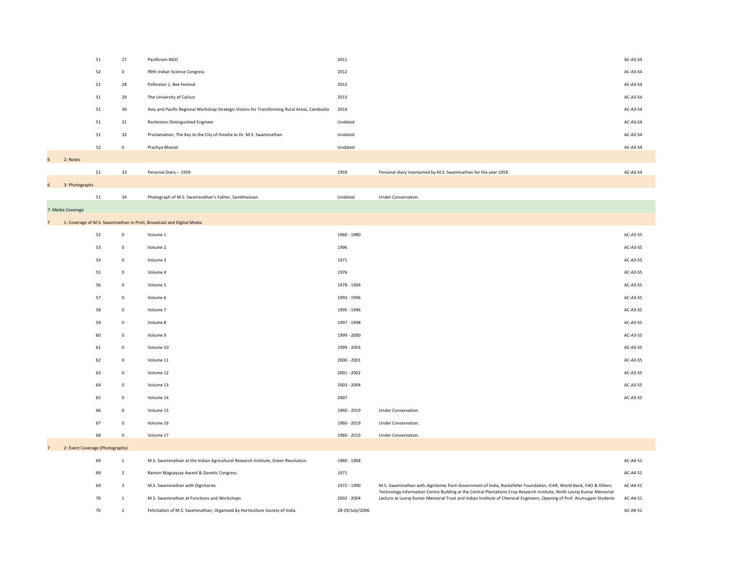|                |                                 | 51 | 27              | Pavithram NGO                                                                               | 2011            |                                                                                                                                                                                                                                                 | AC-A3-S4   |
|----------------|---------------------------------|----|-----------------|---------------------------------------------------------------------------------------------|-----------------|-------------------------------------------------------------------------------------------------------------------------------------------------------------------------------------------------------------------------------------------------|------------|
|                |                                 | 52 | $\overline{0}$  | 99th Indian Science Congress                                                                | 2012            |                                                                                                                                                                                                                                                 | AC-A3-S4   |
|                |                                 | 51 | 28              | Pollinator 1, Bee Festival                                                                  | 2012            |                                                                                                                                                                                                                                                 | AC-A3-S4   |
|                |                                 | 51 | 29              | The University of Calicut                                                                   | 2013            |                                                                                                                                                                                                                                                 | AC-A3-S4   |
|                |                                 | 51 | 30 <sup>°</sup> | Asia and Pacific Regional Workshop Strategic Visions for Transforming Rural Areas, Cambodia | 2014            |                                                                                                                                                                                                                                                 | AC-A3-S4   |
|                |                                 | 51 | 31              | Rocheston Distinguished Engineer                                                            | Undated         |                                                                                                                                                                                                                                                 | AC-A3-S4   |
|                |                                 | 51 | 32              | Proclamation, The Key to the City of Omaha to Dr. M.S. Swaminathan                          | Undated         |                                                                                                                                                                                                                                                 | AC-A3-S4   |
|                |                                 | 52 | $\overline{0}$  | Prachya Bharati                                                                             | Undated         |                                                                                                                                                                                                                                                 | AC-A3-S4   |
| 6 <sup>1</sup> | 2: Notes                        |    |                 |                                                                                             |                 |                                                                                                                                                                                                                                                 |            |
|                |                                 | 51 | 33              | Personal Diary -- 1959                                                                      | 1959            | Personal diary maintained by M.S. Swaminathan for the year 1959.                                                                                                                                                                                | AC-A3-S4   |
| 6              | 3: Photographs                  |    |                 |                                                                                             |                 |                                                                                                                                                                                                                                                 |            |
|                |                                 | 51 | 34              | Photograph of M.S. Swaminathan's Father, Sambhasivan                                        | Undated         | Under Conservation.                                                                                                                                                                                                                             |            |
|                | 7: Media Coverage               |    |                 |                                                                                             |                 |                                                                                                                                                                                                                                                 |            |
| $\overline{7}$ |                                 |    |                 | 1: Coverage of M.S. Swaminathan in Print, Broadcast and Digital Media                       |                 |                                                                                                                                                                                                                                                 |            |
|                |                                 | 52 | $\mathbf 0$     | Volume 1                                                                                    | 1960 - 1980     |                                                                                                                                                                                                                                                 | AC-A3-S5   |
|                |                                 | 53 | $\overline{0}$  | Volume 2                                                                                    | 1996            |                                                                                                                                                                                                                                                 | AC-A3-S5   |
|                |                                 | 54 | $\overline{0}$  | Volume 3                                                                                    | 1971            |                                                                                                                                                                                                                                                 | AC-A3-S5   |
|                |                                 | 55 | $\mathbf 0$     | Volume 4                                                                                    | 1976            |                                                                                                                                                                                                                                                 | AC-A3-S5   |
|                |                                 | 56 | $\mathbf 0$     | Volume 5                                                                                    | 1978 - 1994     |                                                                                                                                                                                                                                                 | AC-A3-S5   |
|                |                                 | 57 | $\mathbf{0}$    | Volume 6                                                                                    | 1993 - 1996     |                                                                                                                                                                                                                                                 | $AC-AS-SS$ |
|                |                                 | 58 | $\overline{0}$  | Volume 7                                                                                    | 1995 - 1996     |                                                                                                                                                                                                                                                 | AC-A3-S5   |
|                |                                 | 59 | $\overline{0}$  | Volume 8                                                                                    | 1997 - 1998     |                                                                                                                                                                                                                                                 | AC-A3-S5   |
|                |                                 | 60 | $\mathbf 0$     | Volume 9                                                                                    | 1999 - 2000     |                                                                                                                                                                                                                                                 | AC-A3-S5   |
|                |                                 | 61 | $\overline{0}$  | Volume 10                                                                                   | 1999 - 2003     |                                                                                                                                                                                                                                                 | AC-A3-S5   |
|                |                                 | 62 | $\overline{0}$  | Volume 11                                                                                   | 2000 - 2001     |                                                                                                                                                                                                                                                 | AC-A3-S5   |
|                |                                 | 63 | $\mathbf{0}$    | Volume 12                                                                                   | 2001 - 2002     |                                                                                                                                                                                                                                                 | AC-A3-S5   |
|                |                                 | 64 | $\mathbf 0$     | Volume 13                                                                                   | 2003 - 2004     |                                                                                                                                                                                                                                                 | AC-A3-S5   |
|                |                                 | 65 | $\mathbf 0$     | Volume 14                                                                                   | 2007            |                                                                                                                                                                                                                                                 | AC-A3-S5   |
|                |                                 | 66 | $\Omega$        | Volume 15                                                                                   | 1960 - 2019     | <b>Under Conservation.</b>                                                                                                                                                                                                                      |            |
|                |                                 | 67 | $\mathbf 0$     | Volume 16                                                                                   | 1960 - 2019     | Under Conservation.                                                                                                                                                                                                                             |            |
|                |                                 | 68 |                 | Volume 17                                                                                   | 1960 - 2019     | Under Conservation.                                                                                                                                                                                                                             |            |
| $\overline{ }$ | 2: Event Coverage (Photographs) |    |                 |                                                                                             |                 |                                                                                                                                                                                                                                                 |            |
|                |                                 | 69 |                 | M.S. Swaminathan at the Indian Agricultural Research Institute, Green Revolution.           | 1960 - 1968     |                                                                                                                                                                                                                                                 | AC-A4-S1   |
|                |                                 | 69 | $\overline{2}$  | Ramon Magsaysay Award & Genetic Congress.                                                   | 1971            |                                                                                                                                                                                                                                                 | AC-A4-S1   |
|                |                                 | 69 | 3               | M.S. Swaminathan with Dignitaries                                                           | 1972 - 1990     | M.S. Swaminathan with dignitaries from Government of India, Rockefeller Foundation, ICAR, World Bank, FAO & Others                                                                                                                              | AC-A4-S1   |
|                |                                 | 70 |                 | M.S. Swaminathan at Functions and Workshops                                                 | 2002 - 2004     | Technology Information Centre Building at the Central Plantations Crop Research Institute, Ninth Lovraj Kumar Memorial<br>Lecture at Lovraj Kumar Memorial Trust and Indian Institute of Chemical Engineers, Opening of Prof. Arumugam Students | AC-A4-S1   |
|                |                                 | 70 | $\overline{2}$  | Felicitation of M.S. Swaminathan, Organised by Horticulture Society of India.               | 28-29/July/2006 |                                                                                                                                                                                                                                                 | AC-A4-S1   |
|                |                                 |    |                 |                                                                                             |                 |                                                                                                                                                                                                                                                 |            |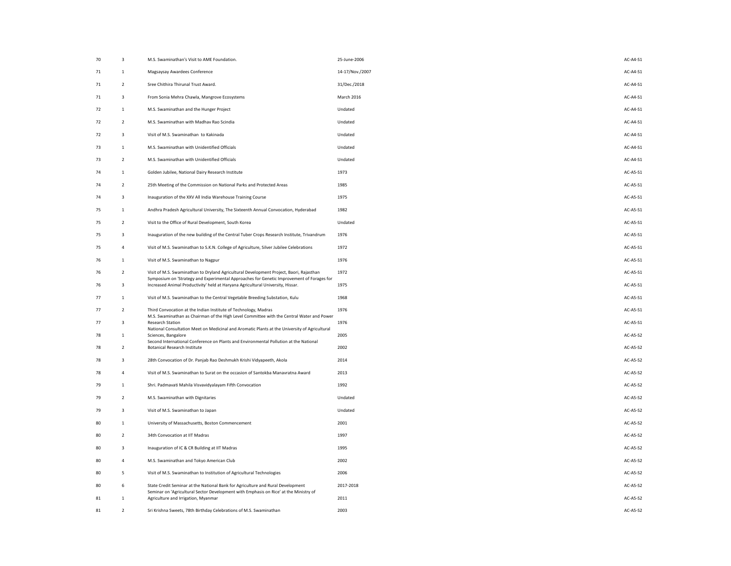| 70 | 3              | M.S. Swaminathan's Visit to AME Foundation.                                                                                                                                          | 25-June-2006      | AC-A4-S1        |
|----|----------------|--------------------------------------------------------------------------------------------------------------------------------------------------------------------------------------|-------------------|-----------------|
| 71 |                | Magsaysay Awardees Conference                                                                                                                                                        | 14-17/Nov./2007   | AC-A4-S1        |
| 71 | $\overline{2}$ | Sree Chithira Thirunal Trust Award.                                                                                                                                                  | 31/Dec./2018      | AC-A4-S1        |
| 71 | 3              | From Sonia Mehra Chawla, Mangrove Ecosystems                                                                                                                                         | <b>March 2016</b> | AC-A4-S1        |
| 72 |                | M.S. Swaminathan and the Hunger Project                                                                                                                                              | Undated           | AC-A4-S1        |
| 72 | $\overline{2}$ | M.S. Swaminathan with Madhav Rao Scindia                                                                                                                                             | Undated           | AC-A4-S1        |
| 72 | $\mathbf{3}$   | Visit of M.S. Swaminathan to Kakinada                                                                                                                                                | Undated           | AC-A4-S1        |
| 73 |                | M.S. Swaminathan with Unidentified Officials                                                                                                                                         | Undated           | AC-A4-S1        |
| 73 | $\overline{2}$ | M.S. Swaminathan with Unidentified Officials                                                                                                                                         | Undated           | AC-A4-S1        |
| 74 |                | Golden Jubilee, National Dairy Research Institute                                                                                                                                    | 1973              | AC-A5-S1        |
| 74 | $\overline{2}$ | 25th Meeting of the Commission on National Parks and Protected Areas                                                                                                                 | 1985              | AC-A5-S1        |
| 74 | 3              | Inauguration of the XXV All India Warehouse Training Course                                                                                                                          | 1975              | AC-A5-S1        |
| 75 |                | Andhra Pradesh Agricultural University, The Sixteenth Annual Convocation, Hyderabad                                                                                                  | 1982              | AC-A5-S1        |
| 75 | $\overline{2}$ | Visit to the Office of Rural Development, South Korea                                                                                                                                | Undated           | AC-A5-S1        |
| 75 | $\mathbf{3}$   | Inauguration of the new building of the Central Tuber Crops Research Institute, Trivandrum                                                                                           | 1976              | AC-A5-S1        |
| 75 | 4              | Visit of M.S. Swaminathan to S.K.N. College of Agriculture, Silver Jubilee Celebrations                                                                                              | 1972              | AC-A5-S1        |
| 76 |                | Visit of M.S. Swaminathan to Nagpur                                                                                                                                                  | 1976              | AC-A5-S1        |
| 76 | $\overline{2}$ | Visit of M.S. Swaminathan to Dryland Agricultural Development Project, Baori, Rajasthan<br>Symposium on 'Strategy and Experimental Approaches for Genetic Improvement of Forages for | 1972              | AC-A5-S1        |
| 76 | 3              | Increased Animal Productivity' held at Haryana Agricultural University, Hissar.                                                                                                      | 1975              | AC-A5-S1        |
| 77 |                | Visit of M.S. Swaminathan to the Central Vegetable Breeding Substation, Kulu                                                                                                         | 1968              | AC-A5-S1        |
| 77 | $\overline{2}$ | Third Convocation at the Indian Institute of Technology, Madras<br>M.S. Swaminathan as Chairman of the High Level Committee with the Central Water and Power                         | 1976              | AC-A5-S1        |
| 77 | 3              | <b>Research Station</b><br>National Consultation Meet on Medicinal and Aromatic Plants at the University of Agricultural                                                             | 1976              | AC-A5-S1        |
| 78 |                | Sciences, Bangalore<br>Second International Conference on Plants and Environmental Pollution at the National                                                                         | 2005              | <b>AC-A5-S2</b> |
| 78 |                | <b>Botanical Research Institute</b>                                                                                                                                                  | 2002              | <b>AC-A5-S2</b> |
| 78 | 3              | 28th Convocation of Dr. Panjab Rao Deshmukh Krishi Vidyapeeth, Akola                                                                                                                 | 2014              | <b>AC-A5-S2</b> |
| 78 | 4              | Visit of M.S. Swaminathan to Surat on the occasion of Santokba Manavratna Award                                                                                                      | 2013              | <b>AC-A5-S2</b> |
| 79 |                | Shri. Padmavati Mahila Visvavidyalayam Fifth Convocation                                                                                                                             | 1992              | <b>AC-A5-S2</b> |
| 79 | 2              | M.S. Swaminathan with Dignitaries                                                                                                                                                    | Undated           | AC-A5-S2        |
| 79 | 3              | Visit of M.S. Swaminathan to Japan                                                                                                                                                   | Undated           | <b>AC-A5-S2</b> |
| 80 |                | University of Massachusetts, Boston Commencement                                                                                                                                     | 2001              | <b>AC-A5-S2</b> |
| 80 | $\overline{2}$ | 34th Convocation at IIT Madras                                                                                                                                                       | 1997              | <b>AC-A5-S2</b> |
| 80 | $\mathbf{3}$   | Inauguration of IC & CR Building at IIT Madras                                                                                                                                       | 1995              | <b>AC-A5-S2</b> |
| 80 | 4              | M.S. Swaminathan and Tokyo American Club                                                                                                                                             | 2002              | <b>AC-A5-S2</b> |
| 80 | 5              | Visit of M.S. Swaminathan to Institution of Agricultural Technologies                                                                                                                | 2006              | AC-A5-S2        |
| 80 | 6              | State Credit Seminar at the National Bank for Agriculture and Rural Development<br>Seminar on 'Agricultural Sector Development with Emphasis on Rice' at the Ministry of             | 2017-2018         | <b>AC-A5-S2</b> |
| 81 |                | Agriculture and Irrigation, Myanmar                                                                                                                                                  | 2011              | <b>AC-A5-S2</b> |
| 81 | $\overline{2}$ | Sri Krishna Sweets, 78th Birthday Celebrations of M.S. Swaminathan                                                                                                                   | 2003              | AC-A5-S2        |

| 70 | 3              | M.S. Swaminathan's Visit to AME Foundation.                                                                                                                                  | 25-June-2006    | AC-A4-S1   |
|----|----------------|------------------------------------------------------------------------------------------------------------------------------------------------------------------------------|-----------------|------------|
| 71 | $\mathbf{1}$   | Magsaysay Awardees Conference                                                                                                                                                | 14-17/Nov./2007 | AC-A4-S1   |
| 71 | $\overline{2}$ | Sree Chithira Thirunal Trust Award.                                                                                                                                          | 31/Dec./2018    | AC-A4-S1   |
| 71 | $\mathbf{3}$   | From Sonia Mehra Chawla, Mangrove Ecosystems                                                                                                                                 | March 2016      | AC-A4-S1   |
| 72 | $\mathbf{1}$   | M.S. Swaminathan and the Hunger Project                                                                                                                                      | Undated         | $AC-A4-S1$ |
| 72 | $\overline{2}$ | M.S. Swaminathan with Madhav Rao Scindia                                                                                                                                     | Undated         | AC-A4-S1   |
| 72 | $\mathbf{3}$   | Visit of M.S. Swaminathan to Kakinada                                                                                                                                        | Undated         | AC-A4-S1   |
| 73 | $\mathbf{1}$   | M.S. Swaminathan with Unidentified Officials                                                                                                                                 | Undated         | AC-A4-S1   |
| 73 | $\overline{2}$ | M.S. Swaminathan with Unidentified Officials                                                                                                                                 | Undated         | AC-A4-S1   |
| 74 | $\mathbf{1}$   | Golden Jubilee, National Dairy Research Institute                                                                                                                            | 1973            | AC-A5-S1   |
| 74 | $\overline{2}$ | 25th Meeting of the Commission on National Parks and Protected Areas                                                                                                         | 1985            | AC-A5-S1   |
| 74 | $\mathbf{3}$   | Inauguration of the XXV All India Warehouse Training Course                                                                                                                  | 1975            | AC-A5-S1   |
| 75 | $\mathbf{1}$   | Andhra Pradesh Agricultural University, The Sixteenth Annual Convocation, Hyderabad                                                                                          | 1982            | AC-A5-S1   |
| 75 | $\overline{2}$ | Visit to the Office of Rural Development, South Korea                                                                                                                        | Undated         | AC-A5-S1   |
| 75 | 3              | Inauguration of the new building of the Central Tuber Crops Research Institute, Trivandrum                                                                                   | 1976            | AC-A5-S1   |
| 75 | $\overline{4}$ | Visit of M.S. Swaminathan to S.K.N. College of Agriculture, Silver Jubilee Celebrations                                                                                      | 1972            | AC-A5-S1   |
| 76 | $\mathbf{1}$   | Visit of M.S. Swaminathan to Nagpur                                                                                                                                          | 1976            | AC-A5-S1   |
| 76 | $\overline{2}$ | Visit of M.S. Swaminathan to Dryland Agricultural Development Project, Baori, Rajasthan                                                                                      | 1972            | AC-A5-S1   |
| 76 | $\overline{3}$ | Symposium on 'Strategy and Experimental Approaches for Genetic Improvement of Forages for<br>Increased Animal Productivity' held at Haryana Agricultural University, Hissar. | 1975            | AC-A5-S1   |
| 77 | -1             | Visit of M.S. Swaminathan to the Central Vegetable Breeding Substation, Kulu                                                                                                 | 1968            | AC-A5-S1   |
| 77 | $\overline{2}$ | Third Convocation at the Indian Institute of Technology, Madras                                                                                                              | 1976            | AC-A5-S1   |
| 77 | 3              | M.S. Swaminathan as Chairman of the High Level Committee with the Central Water and Power<br><b>Research Station</b>                                                         | 1976            | AC-A5-S1   |
| 78 |                | National Consultation Meet on Medicinal and Aromatic Plants at the University of Agricultural<br>Sciences, Bangalore                                                         | 2005            | AC-A5-S2   |
| 78 | $\overline{2}$ | Second International Conference on Plants and Environmental Pollution at the National<br><b>Botanical Research Institute</b>                                                 | 2002            | AC-A5-S2   |
| 78 | $\overline{3}$ | 28th Convocation of Dr. Panjab Rao Deshmukh Krishi Vidyapeeth, Akola                                                                                                         | 2014            | AC-A5-S2   |
| 78 | $\overline{4}$ | Visit of M.S. Swaminathan to Surat on the occasion of Santokba Manavratna Award                                                                                              | 2013            | AC-A5-S2   |
| 79 |                | Shri. Padmavati Mahila Visvavidyalayam Fifth Convocation                                                                                                                     | 1992            | AC-A5-S2   |
| 79 | $\overline{2}$ | M.S. Swaminathan with Dignitaries                                                                                                                                            | Undated         | AC-A5-S2   |
| 79 | $\mathbf{3}$   | Visit of M.S. Swaminathan to Japan                                                                                                                                           | Undated         | AC-A5-S2   |
| 80 | $\mathbf{1}$   | University of Massachusetts, Boston Commencement                                                                                                                             | 2001            | AC-A5-S2   |
| 80 | $\overline{2}$ | 34th Convocation at IIT Madras                                                                                                                                               | 1997            | AC-A5-S2   |
| 80 | $\mathbf{3}$   | Inauguration of IC & CR Building at IIT Madras                                                                                                                               | 1995            | AC-A5-S2   |
| 80 | $\overline{4}$ | M.S. Swaminathan and Tokyo American Club                                                                                                                                     | 2002            | AC-A5-S2   |
| 80 | 5 <sub>1</sub> | Visit of M.S. Swaminathan to Institution of Agricultural Technologies                                                                                                        | 2006            | AC-A5-S2   |
| 80 | 6              | State Credit Seminar at the National Bank for Agriculture and Rural Development                                                                                              | 2017-2018       | AC-A5-S2   |
| 81 | $\mathbf 1$    | Seminar on 'Agricultural Sector Development with Emphasis on Rice' at the Ministry of<br>Agriculture and Irrigation, Myanmar                                                 | 2011            | AC-A5-S2   |
|    |                |                                                                                                                                                                              |                 |            |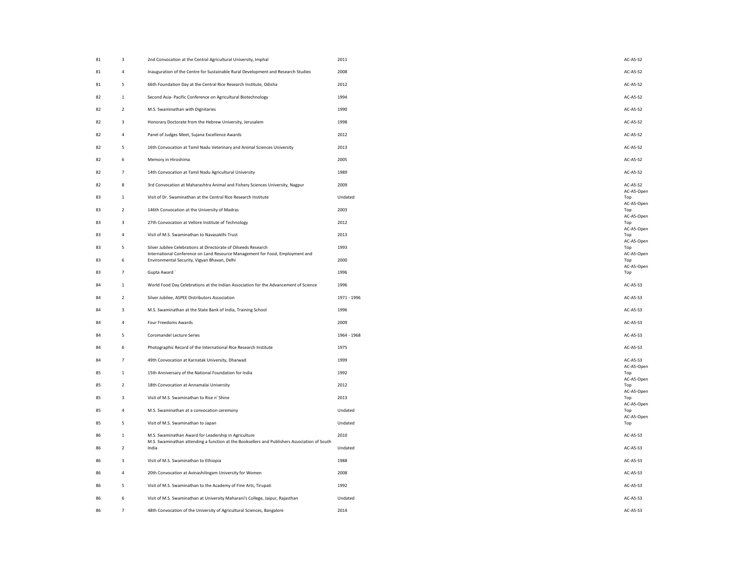| 81 | 3              | 2nd Convocation at the Central Agricultural University, Imphal                                                                                       | 2011        | AC-A5-S2            |
|----|----------------|------------------------------------------------------------------------------------------------------------------------------------------------------|-------------|---------------------|
| 81 | 4              | Inauguration of the Centre for Sustainable Rural Development and Research Studies                                                                    | 2008        | AC-A5-S2            |
| 81 | 5              | 66th Foundation Day at the Central Rice Research Institute, Odisha                                                                                   | 2012        | <b>AC-A5-S2</b>     |
| 82 |                | Second Asia- Pacific Conference on Agricultural Biotechnology                                                                                        | 1994        | AC-A5-S2            |
| 82 | $\overline{2}$ | M.S. Swaminathan with Dignitaries                                                                                                                    | 1990        | AC-A5-S2            |
| 82 | $\mathbf{3}$   | Honorary Doctorate from the Hebrew University, Jerusalem                                                                                             | 1998        | <b>AC-A5-S2</b>     |
| 82 | 4              | Panel of Judges Meet, Sujana Excellence Awards                                                                                                       | 2012        | AC-A5-S2            |
| 82 | 5              | 16th Convocation at Tamil Nadu Veterinary and Animal Sciences University                                                                             | 2013        | AC-A5-S2            |
| 82 | 6              | Memory in Hiroshima                                                                                                                                  | 2005        | <b>AC-A5-S2</b>     |
| 82 | 7              | 14th Convocation at Tamil Nadu Agricultural University                                                                                               | 1989        | AC-A5-S2            |
| 82 | 8              | 3rd Convocation at Maharashtra Animal and Fishery Sciences University, Nagpur                                                                        | 2009        | AC-A5-S2            |
| 83 |                | Visit of Dr. Swaminathan at the Central Rice Research Institute                                                                                      | Undated     | AC-A5-O<br>Top      |
| 83 | $\overline{2}$ | 146th Convocation at the University of Madras                                                                                                        | 2003        | AC-A5-O<br>Top      |
| 83 | 3              | 27th Convocation at Vellore Institute of Technology                                                                                                  | 2012        | AC-A5-O<br>Top      |
| 83 | 4              | Visit of M.S. Swaminathan to Navasakthi Trust                                                                                                        | 2013        | AC-A5-O<br>Top      |
| 83 | 5              | Silver Jubilee Celebrations at Directorate of Oilseeds Research                                                                                      | 1993        | $AC-AS-O$<br>Top    |
| 83 | 6              | International Conference on Land Resource Management for Food, Employment and<br>Environmental Security, Vigyan Bhavan, Delhi                        | 2000        | $AC-AS-O$<br>Top    |
| 83 | 7              | Gupta Award                                                                                                                                          | 1996        | AC-A5-O<br>Top      |
| 84 |                | World Food Day Celebrations at the Indian Association for the Advancement of Science                                                                 | 1996        | AC-A5-S3            |
| 84 | 2              | Silver Jubilee, ASPEE Distributors Association                                                                                                       | 1971 - 1996 | AC-A5-S3            |
| 84 | 3              | M.S. Swaminathan at the State Bank of India, Training School                                                                                         | 1996        | AC-A5-S3            |
| 84 |                | Four Freedoms Awards                                                                                                                                 | 2009        | AC-A5-S3            |
| 84 | 5              | <b>Coromandel Lecture Series</b>                                                                                                                     | 1964 - 1968 | AC-A5-S3            |
| 84 | 6              | Photographic Record of the International Rice Research Institute                                                                                     | 1975        | AC-A5-S3            |
| 84 | $\overline{7}$ | 49th Convocation at Karnatak University, Dharwad                                                                                                     | 1999        | AC-A5-S3<br>AC-A5-O |
| 85 |                | 15th Anniversary of the National Foundation for India                                                                                                | 1992        | Top<br>AC-A5-O      |
| 85 | 2              | 18th Convocation at Annamalai University                                                                                                             | 2012        | Top<br>$AC-AS-O$    |
| 85 | 3              | Visit of M.S. Swaminathan to Rise n' Shine                                                                                                           | 2013        | Top<br>AC-A5-O      |
| 85 |                | M.S. Swaminathan at a convocation ceremony                                                                                                           | Undated     | Top                 |
| 85 | 5              | Visit of M.S. Swaminathan to Japan                                                                                                                   | Undated     | AC-A5-O<br>Top      |
| 86 |                | M.S. Swaminathan Award for Leadership in Agriculture<br>M.S. Swaminathan attending a function at the Booksellers and Publishers Association of South | 2010        | AC-A5-S3            |
| 86 | 2              | India                                                                                                                                                | Undated     | AC-A5-S3            |
| 86 | $\mathbf{3}$   | Visit of M.S. Swaminathan to Ethiopia                                                                                                                | 1988        | AC-A5-S3            |
| 86 | 4              | 20th Convocation at Avinashilingam University for Women                                                                                              | 2008        | AC-A5-S3            |
| 86 | 5 <sub>1</sub> | Visit of M.S. Swaminathan to the Academy of Fine Arts, Tirupati                                                                                      | 1992        | AC-A5-S3            |
| 86 | 6              | Visit of M.S. Swaminathan at University Maharani's College, Jaipur, Rajasthan                                                                        | Undated     | AC-A5-S3            |
| 86 | $\overline{7}$ | 48th Convocation of the University of Agricultural Sciences, Bangalore                                                                               | 2014        | AC-A5-S3            |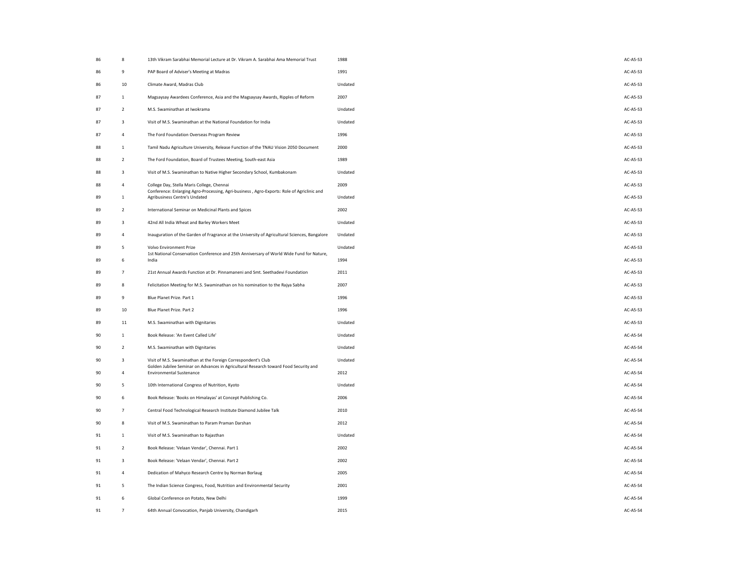| 86 | 8              | 13th Vikram Sarabhai Memorial Lecture at Dr. Vikram A. Sarabhai Ama Memorial Trust                                                                                                       | 1988    | AC-A5-S3        |
|----|----------------|------------------------------------------------------------------------------------------------------------------------------------------------------------------------------------------|---------|-----------------|
| 86 | 9              | PAP Board of Adviser's Meeting at Madras                                                                                                                                                 | 1991    | AC-A5-S3        |
| 86 | 10             | Climate Award, Madras Club                                                                                                                                                               | Undated | AC-A5-S3        |
| 87 |                | Magsaysay Awardees Conference, Asia and the Magsaysay Awards, Ripples of Reform                                                                                                          | 2007    | AC-A5-S3        |
| 87 | 2              | M.S. Swaminathan at Iwokrama                                                                                                                                                             | Undated | AC-A5-S3        |
| 87 | 3              | Visit of M.S. Swaminathan at the National Foundation for India                                                                                                                           | Undated | AC-A5-S3        |
| 87 |                | The Ford Foundation Overseas Program Review                                                                                                                                              | 1996    | AC-A5-S3        |
| 88 |                | Tamil Nadu Agriculture University, Release Function of the TNAU Vision 2050 Document                                                                                                     | 2000    | AC-A5-S3        |
| 88 | 2              | The Ford Foundation, Board of Trustees Meeting, South-east Asia                                                                                                                          | 1989    | AC-A5-S3        |
| 88 | 3              | Visit of M.S. Swaminathan to Native Higher Secondary School, Kumbakonam                                                                                                                  | Undated | AC-A5-S3        |
| 88 |                | College Day, Stella Maris College, Chennai                                                                                                                                               | 2009    | AC-A5-S3        |
| 89 |                | Conference: Enlarging Agro-Processing, Agri-business, Agro-Exports: Role of Agriclinic and<br>Agribusiness Centre's Undated                                                              | Undated | AC-A5-S3        |
| 89 | 2              | International Seminar on Medicinal Plants and Spices                                                                                                                                     | 2002    | AC-A5-S3        |
| 89 | 3              | 42nd All India Wheat and Barley Workers Meet                                                                                                                                             | Undated | AC-A5-S3        |
| 89 |                | Inauguration of the Garden of Fragrance at the University of Agricultural Sciences, Bangalore Undated                                                                                    |         | AC-A5-S3        |
| 89 | 5              | <b>Volvo Environment Prize</b><br>1st National Conservation Conference and 25th Anniversary of World Wide Fund for Nature,                                                               | Undated | AC-A5-S3        |
| 89 | b              | India                                                                                                                                                                                    | 1994    | AC-A5-S3        |
| 89 | 7              | 21st Annual Awards Function at Dr. Pinnamaneni and Smt. Seethadevi Foundation                                                                                                            | 2011    | AC-A5-S3        |
| 89 | 8              | Felicitation Meeting for M.S. Swaminathan on his nomination to the Rajya Sabha                                                                                                           | 2007    | AC-A5-S3        |
| 89 | 9              | Blue Planet Prize. Part 1                                                                                                                                                                | 1996    | AC-A5-S3        |
| 89 | 10             | Blue Planet Prize. Part 2                                                                                                                                                                | 1996    | AC-A5-S3        |
| 89 | 11             | M.S. Swaminathan with Dignitaries                                                                                                                                                        | Undated | AC-A5-S3        |
| 90 |                | Book Release: 'An Event Called Life'                                                                                                                                                     | Undated | <b>AC-A5-S4</b> |
| 90 | 2              | M.S. Swaminathan with Dignitaries                                                                                                                                                        | Undated | <b>AC-A5-S4</b> |
| 90 | 3              | Visit of M.S. Swaminathan at the Foreign Correspondent's Club<br>Golden Jubilee Seminar on Advances in Agricultural Research toward Food Security and<br><b>Environmental Sustenance</b> | Undated | <b>AC-A5-S4</b> |
| 90 |                |                                                                                                                                                                                          | 2012    | <b>AC-A5-S4</b> |
| 90 | 5              | 10th International Congress of Nutrition, Kyoto                                                                                                                                          | Undated | <b>AC-A5-S4</b> |
| 90 | 6              | Book Release: 'Books on Himalayas' at Concept Publishing Co.                                                                                                                             | 2006    | <b>AC-A5-S4</b> |
| 90 |                | Central Food Technological Research Institute Diamond Jubilee Talk                                                                                                                       | 2010    | <b>AC-A5-S4</b> |
| 90 | 8              | Visit of M.S. Swaminathan to Param Praman Darshan                                                                                                                                        | 2012    | <b>AC-A5-S4</b> |
| 91 | 1              | Visit of M.S. Swaminathan to Rajasthan                                                                                                                                                   | Undated | <b>AC-A5-S4</b> |
| 91 | $\overline{2}$ | Book Release: 'Velaan Vendar', Chennai. Part 1                                                                                                                                           | 2002    | <b>AC-A5-S4</b> |
| 91 | 3              | Book Release: 'Velaan Vendar', Chennai. Part 2                                                                                                                                           | 2002    | <b>AC-A5-S4</b> |
| 91 | 4              | Dedication of Mahyco Research Centre by Norman Borlaug                                                                                                                                   | 2005    | <b>AC-A5-S4</b> |
| 91 | 5 <sub>1</sub> | The Indian Science Congress, Food, Nutrition and Environmental Security                                                                                                                  | 2001    | AC-A5-S4        |
| 91 | 6              | Global Conference on Potato, New Delhi                                                                                                                                                   | 1999    | <b>AC-A5-S4</b> |
| 91 | 7              | 64th Annual Convocation, Panjab University, Chandigarh                                                                                                                                   | 2015    | <b>AC-A5-S4</b> |